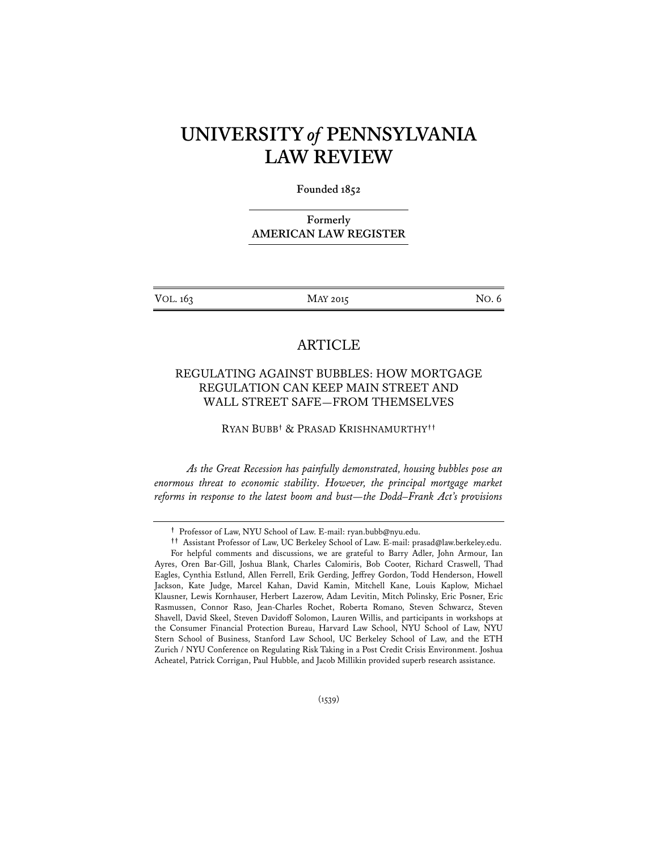# **UNIVERSITY** *of* **PENNSYLVANIA LAW REVIEW**

**Founded 1852** 

**Formerly AMERICAN LAW REGISTER**

VOL. 163 MAY 2015 MAY 2015

# ARTICLE

# REGULATING AGAINST BUBBLES: HOW MORTGAGE REGULATION CAN KEEP MAIN STREET AND WALL STREET SAFE—FROM THEMSELVES

RYAN BUBB**†** & PRASAD KRISHNAMURTHY**††**

 *As the Great Recession has painfully demonstrated, housing bubbles pose an*  enormous threat to economic stability. However, the principal mortgage market *reforms in response to the latest boom and bust—the Dodd–Frank Act's provisions* 

**<sup>†</sup>** Professor of Law, NYU School of Law. E-mail: ryan.bubb@nyu.edu.

**<sup>††</sup>** Assistant Professor of Law, UC Berkeley School of Law. E-mail: prasad@law.berkeley.edu.

For helpful comments and discussions, we are grateful to Barry Adler, John Armour, Ian Ayres, Oren Bar-Gill, Joshua Blank, Charles Calomiris, Bob Cooter, Richard Craswell, Thad Eagles, Cynthia Estlund, Allen Ferrell, Erik Gerding, Jeffrey Gordon, Todd Henderson, Howell Jackson, Kate Judge, Marcel Kahan, David Kamin, Mitchell Kane, Louis Kaplow, Michael Klausner, Lewis Kornhauser, Herbert Lazerow, Adam Levitin, Mitch Polinsky, Eric Posner, Eric Rasmussen, Connor Raso, Jean-Charles Rochet, Roberta Romano, Steven Schwarcz, Steven Shavell, David Skeel, Steven Davidoff Solomon, Lauren Willis, and participants in workshops at the Consumer Financial Protection Bureau, Harvard Law School, NYU School of Law, NYU Stern School of Business, Stanford Law School, UC Berkeley School of Law, and the ETH Zurich / NYU Conference on Regulating Risk Taking in a Post Credit Crisis Environment. Joshua Acheatel, Patrick Corrigan, Paul Hubble, and Jacob Millikin provided superb research assistance.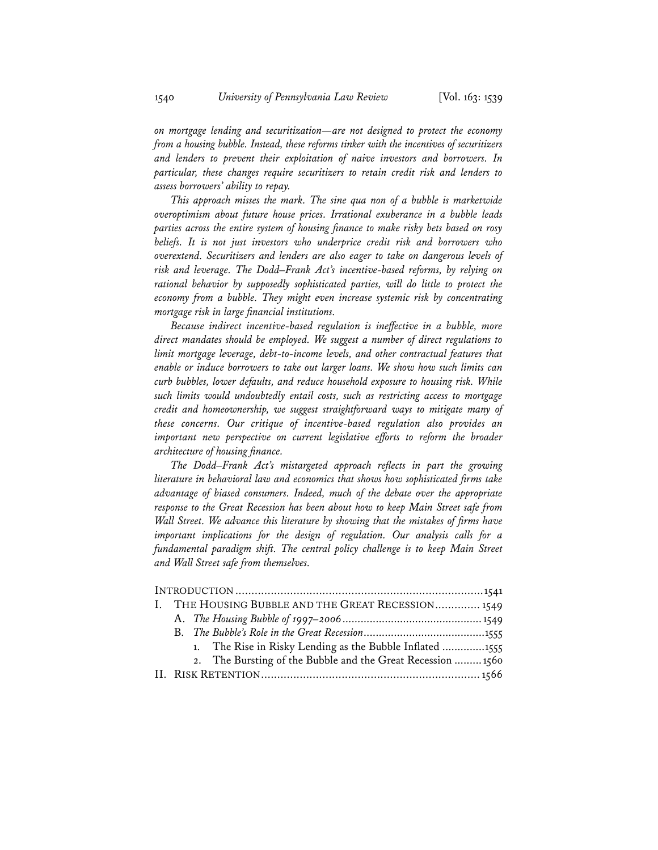*on mortgage lending and securitization—are not designed to protect the economy from a housing bubble. Instead, these reforms tinker with the incentives of securitizers and lenders to prevent their exploitation of naive investors and borrowers. In particular, these changes require securitizers to retain credit risk and lenders to assess borrowers' ability to repay.* 

*This approach misses the mark. The sine qua non of a bubble is marketwide overoptimism about future house prices. Irrational exuberance in a bubble leads parties across the entire system of housing finance to make risky bets based on rosy beliefs. It is not just investors who underprice credit risk and borrowers who overextend. Securitizers and lenders are also eager to take on dangerous levels of risk and leverage. The Dodd–Frank Act's incentive-based reforms, by relying on rational behavior by supposedly sophisticated parties, will do little to protect the economy from a bubble. They might even increase systemic risk by concentrating mortgage risk in large financial institutions.* 

*Because indirect incentive-based regulation is ineffective in a bubble, more direct mandates should be employed. We suggest a number of direct regulations to limit mortgage leverage, debt-to-income levels, and other contractual features that enable or induce borrowers to take out larger loans. We show how such limits can curb bubbles, lower defaults, and reduce household exposure to housing risk. While such limits would undoubtedly entail costs, such as restricting access to mortgage credit and homeownership, we suggest straightforward ways to mitigate many of these concerns. Our critique of incentive-based regulation also provides an important new perspective on current legislative efforts to reform the broader architecture of housing finance.* 

*The Dodd–Frank Act's mistargeted approach reflects in part the growing literature in behavioral law and economics that shows how sophisticated firms take advantage of biased consumers. Indeed, much of the debate over the appropriate response to the Great Recession has been about how to keep Main Street safe from Wall Street. We advance this literature by showing that the mistakes of firms have important implications for the design of regulation. Our analysis calls for a*  fundamental paradigm shift. The central policy challenge is to keep Main Street *and Wall Street safe from themselves.* 

|  | I. THE HOUSING BUBBLE AND THE GREAT RECESSION 1549          |  |
|--|-------------------------------------------------------------|--|
|  |                                                             |  |
|  |                                                             |  |
|  | 1. The Rise in Risky Lending as the Bubble Inflated 1555    |  |
|  | 2. The Bursting of the Bubble and the Great Recession  1560 |  |
|  |                                                             |  |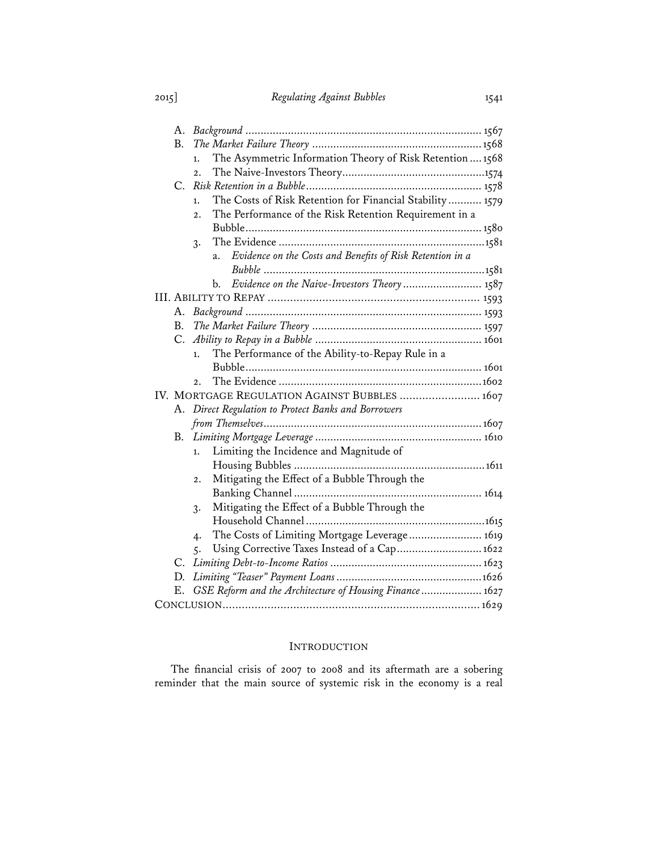| А. |                                                                             |
|----|-----------------------------------------------------------------------------|
| B. |                                                                             |
|    | The Asymmetric Information Theory of Risk Retention  1568<br>$\mathbf{1}$ . |
|    | $\overline{2}$ .                                                            |
| C. |                                                                             |
|    | The Costs of Risk Retention for Financial Stability 1579<br>1.              |
|    | The Performance of the Risk Retention Requirement in a<br>2.1               |
|    |                                                                             |
|    | 3.                                                                          |
|    | Evidence on the Costs and Benefits of Risk Retention in a<br>a.             |
|    |                                                                             |
|    | Evidence on the Naive-Investors Theory 1587<br>b.                           |
|    |                                                                             |
| A. |                                                                             |
| В. |                                                                             |
| C. |                                                                             |
|    | The Performance of the Ability-to-Repay Rule in a<br>1.                     |
|    |                                                                             |
|    | 2.1                                                                         |
|    | IV. MORTGAGE REGULATION AGAINST BUBBLES  1607                               |
| А. | Direct Regulation to Protect Banks and Borrowers                            |
|    |                                                                             |
| В. |                                                                             |
|    | Limiting the Incidence and Magnitude of<br>1.                               |
|    |                                                                             |
|    | Mitigating the Effect of a Bubble Through the<br>$\overline{2}$ .           |
|    |                                                                             |
|    | Mitigating the Effect of a Bubble Through the<br>3.                         |
|    |                                                                             |
|    | The Costs of Limiting Mortgage Leverage 1619<br>4.                          |
|    | Using Corrective Taxes Instead of a Cap 1622<br>5.                          |
|    |                                                                             |
| D. |                                                                             |
| Е. | GSE Reform and the Architecture of Housing Finance 1627                     |
|    |                                                                             |

## INTRODUCTION

The financial crisis of 2007 to 2008 and its aftermath are a sobering reminder that the main source of systemic risk in the economy is a real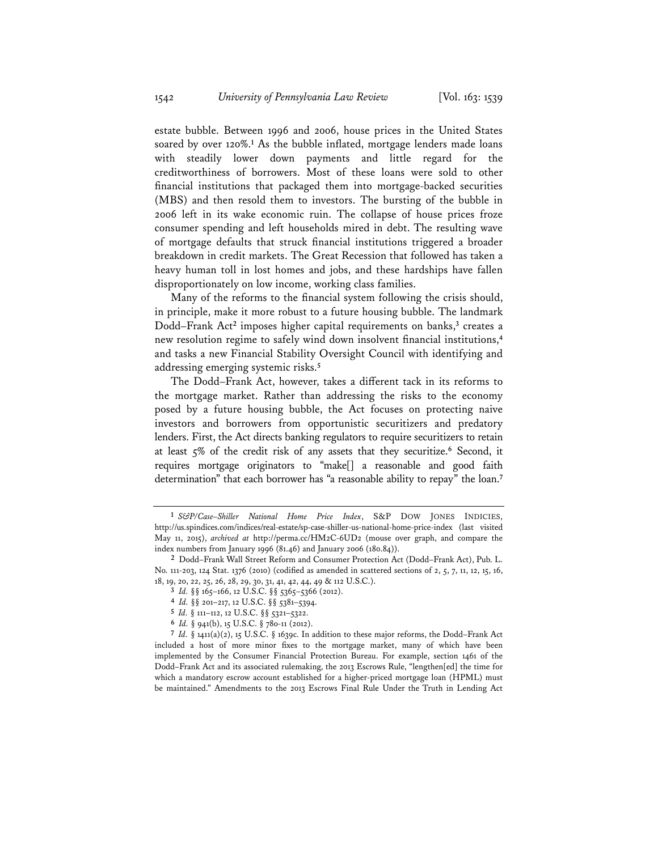estate bubble. Between 1996 and 2006, house prices in the United States soared by over 120%.<sup>1</sup> As the bubble inflated, mortgage lenders made loans with steadily lower down payments and little regard for the creditworthiness of borrowers. Most of these loans were sold to other financial institutions that packaged them into mortgage-backed securities (MBS) and then resold them to investors. The bursting of the bubble in 2006 left in its wake economic ruin. The collapse of house prices froze consumer spending and left households mired in debt. The resulting wave of mortgage defaults that struck financial institutions triggered a broader breakdown in credit markets. The Great Recession that followed has taken a heavy human toll in lost homes and jobs, and these hardships have fallen disproportionately on low income, working class families.

Many of the reforms to the financial system following the crisis should, in principle, make it more robust to a future housing bubble. The landmark Dodd–Frank Act**<sup>2</sup>** imposes higher capital requirements on banks,**<sup>3</sup>** creates a new resolution regime to safely wind down insolvent financial institutions,**<sup>4</sup>** and tasks a new Financial Stability Oversight Council with identifying and addressing emerging systemic risks.**<sup>5</sup>**

The Dodd–Frank Act, however, takes a different tack in its reforms to the mortgage market. Rather than addressing the risks to the economy posed by a future housing bubble, the Act focuses on protecting naive investors and borrowers from opportunistic securitizers and predatory lenders. First, the Act directs banking regulators to require securitizers to retain at least 5% of the credit risk of any assets that they securitize.**<sup>6</sup>** Second, it requires mortgage originators to "make[] a reasonable and good faith determination" that each borrower has "a reasonable ability to repay" the loan.**<sup>7</sup>**

**6** *Id.* § 941(b), 15 U.S.C. § 78o-11 (2012).

**<sup>1</sup>** *S&P/Case–Shiller National Home Price Index*, S&P DOW JONES INDICIES, http://us.spindices.com/indices/real-estate/sp-case-shiller-us-national-home-price-index (last visited May 11, 2015), *archived at* http://perma.cc/HM2C-6UD2 (mouse over graph, and compare the index numbers from January 1996 (81.46) and January 2006 (180.84)).

**<sup>2</sup>** Dodd–Frank Wall Street Reform and Consumer Protection Act (Dodd–Frank Act), Pub. L. No. 111-203, 124 Stat. 1376 (2010) (codified as amended in scattered sections of 2, 5, 7, 11, 12, 15, 16, 18, 19, 20, 22, 25, 26, 28, 29, 30, 31, 41, 42, 44, 49 & 112 U.S.C.).

**<sup>3</sup>** *Id.* §§ 165–166, 12 U.S.C. §§ 5365–5366 (2012).

**<sup>4</sup>** *Id.* §§ 201–217, 12 U.S.C. §§ 5381–5394.

**<sup>5</sup>** *Id.* § 111–112, 12 U.S.C. §§ 5321–5322.

**<sup>7</sup>** *Id.* § 1411(a)(2), 15 U.S.C. § 1639c. In addition to these major reforms, the Dodd–Frank Act included a host of more minor fixes to the mortgage market, many of which have been implemented by the Consumer Financial Protection Bureau. For example, section 1461 of the Dodd–Frank Act and its associated rulemaking, the 2013 Escrows Rule, "lengthen[ed] the time for which a mandatory escrow account established for a higher-priced mortgage loan (HPML) must be maintained." Amendments to the 2013 Escrows Final Rule Under the Truth in Lending Act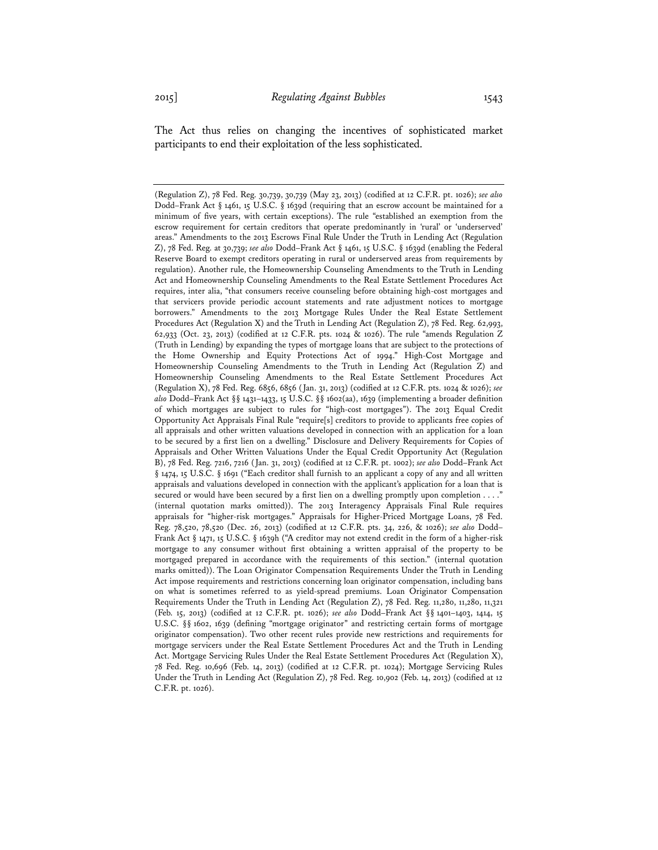The Act thus relies on changing the incentives of sophisticated market participants to end their exploitation of the less sophisticated.

<sup>(</sup>Regulation Z), 78 Fed. Reg. 30,739, 30,739 (May 23, 2013) (codified at 12 C.F.R. pt. 1026); *see also* Dodd–Frank Act § 1461, 15 U.S.C. § 1639d (requiring that an escrow account be maintained for a minimum of five years, with certain exceptions). The rule "established an exemption from the escrow requirement for certain creditors that operate predominantly in 'rural' or 'underserved' areas." Amendments to the 2013 Escrows Final Rule Under the Truth in Lending Act (Regulation Z), 78 Fed. Reg. at 30,739; *see also* Dodd–Frank Act § 1461, 15 U.S.C. § 1639d (enabling the Federal Reserve Board to exempt creditors operating in rural or underserved areas from requirements by regulation). Another rule, the Homeownership Counseling Amendments to the Truth in Lending Act and Homeownership Counseling Amendments to the Real Estate Settlement Procedures Act requires, inter alia, "that consumers receive counseling before obtaining high-cost mortgages and that servicers provide periodic account statements and rate adjustment notices to mortgage borrowers." Amendments to the 2013 Mortgage Rules Under the Real Estate Settlement Procedures Act (Regulation X) and the Truth in Lending Act (Regulation Z), 78 Fed. Reg. 62,993, 62,933 (Oct. 23, 2013) (codified at 12 C.F.R. pts. 1024 & 1026). The rule "amends Regulation Z (Truth in Lending) by expanding the types of mortgage loans that are subject to the protections of the Home Ownership and Equity Protections Act of 1994." High-Cost Mortgage and Homeownership Counseling Amendments to the Truth in Lending Act (Regulation Z) and Homeownership Counseling Amendments to the Real Estate Settlement Procedures Act (Regulation X), 78 Fed. Reg. 6856, 6856 (Jan. 31, 2013) (codified at 12 C.F.R. pts. 1024 & 1026); *see also* Dodd–Frank Act §§ 1431–1433, 15 U.S.C. §§ 1602(aa), 1639 (implementing a broader definition of which mortgages are subject to rules for "high-cost mortgages"). The 2013 Equal Credit Opportunity Act Appraisals Final Rule "require[s] creditors to provide to applicants free copies of all appraisals and other written valuations developed in connection with an application for a loan to be secured by a first lien on a dwelling." Disclosure and Delivery Requirements for Copies of Appraisals and Other Written Valuations Under the Equal Credit Opportunity Act (Regulation B), 78 Fed. Reg. 7216, 7216 (Jan. 31, 2013) (codified at 12 C.F.R. pt. 1002); *see also* Dodd–Frank Act § 1474, 15 U.S.C. § 1691 ("Each creditor shall furnish to an applicant a copy of any and all written appraisals and valuations developed in connection with the applicant's application for a loan that is secured or would have been secured by a first lien on a dwelling promptly upon completion . . . ." (internal quotation marks omitted)). The 2013 Interagency Appraisals Final Rule requires appraisals for "higher-risk mortgages." Appraisals for Higher-Priced Mortgage Loans, 78 Fed. Reg. 78,520, 78,520 (Dec. 26, 2013) (codified at 12 C.F.R. pts. 34, 226, & 1026); *see also* Dodd– Frank Act § 1471, 15 U.S.C. § 1639h ("A creditor may not extend credit in the form of a higher-risk mortgage to any consumer without first obtaining a written appraisal of the property to be mortgaged prepared in accordance with the requirements of this section." (internal quotation marks omitted)). The Loan Originator Compensation Requirements Under the Truth in Lending Act impose requirements and restrictions concerning loan originator compensation, including bans on what is sometimes referred to as yield-spread premiums. Loan Originator Compensation Requirements Under the Truth in Lending Act (Regulation Z), 78 Fed. Reg. 11,280, 11,280, 11,321 (Feb. 15, 2013) (codified at 12 C.F.R. pt. 1026); *see also* Dodd–Frank Act §§ 1401–1403, 1414, 15 U.S.C. §§ 1602, 1639 (defining "mortgage originator" and restricting certain forms of mortgage originator compensation). Two other recent rules provide new restrictions and requirements for mortgage servicers under the Real Estate Settlement Procedures Act and the Truth in Lending Act. Mortgage Servicing Rules Under the Real Estate Settlement Procedures Act (Regulation X), 78 Fed. Reg. 10,696 (Feb. 14, 2013) (codified at 12 C.F.R. pt. 1024); Mortgage Servicing Rules Under the Truth in Lending Act (Regulation Z), 78 Fed. Reg. 10,902 (Feb. 14, 2013) (codified at 12 C.F.R. pt. 1026).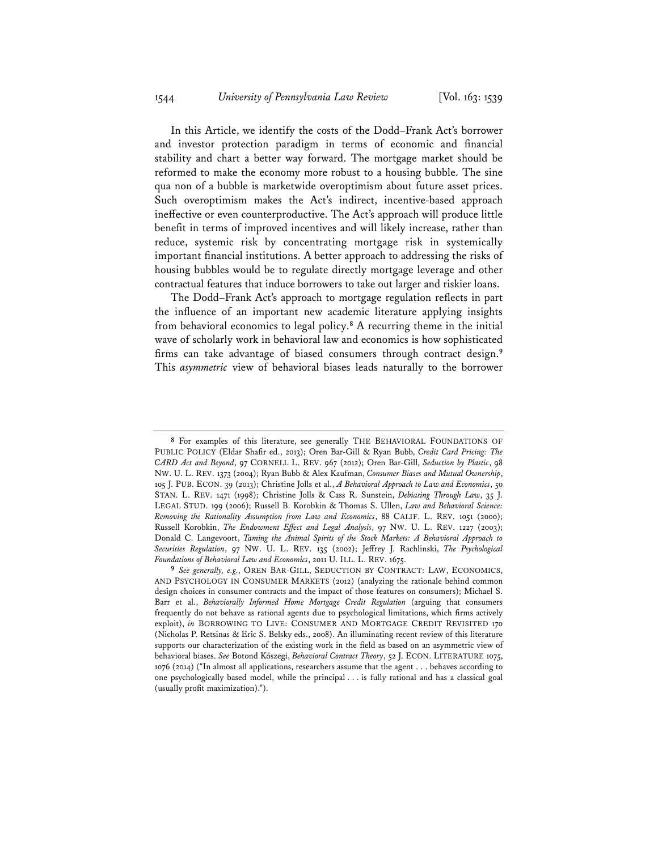In this Article, we identify the costs of the Dodd–Frank Act's borrower and investor protection paradigm in terms of economic and financial stability and chart a better way forward. The mortgage market should be reformed to make the economy more robust to a housing bubble. The sine qua non of a bubble is marketwide overoptimism about future asset prices. Such overoptimism makes the Act's indirect, incentive-based approach ineffective or even counterproductive. The Act's approach will produce little benefit in terms of improved incentives and will likely increase, rather than reduce, systemic risk by concentrating mortgage risk in systemically important financial institutions. A better approach to addressing the risks of housing bubbles would be to regulate directly mortgage leverage and other contractual features that induce borrowers to take out larger and riskier loans.

The Dodd–Frank Act's approach to mortgage regulation reflects in part the influence of an important new academic literature applying insights from behavioral economics to legal policy.**<sup>8</sup>** A recurring theme in the initial wave of scholarly work in behavioral law and economics is how sophisticated firms can take advantage of biased consumers through contract design.**<sup>9</sup>** This *asymmetric* view of behavioral biases leads naturally to the borrower

**<sup>8</sup>** For examples of this literature, see generally THE BEHAVIORAL FOUNDATIONS OF PUBLIC POLICY (Eldar Shafir ed., 2013); Oren Bar-Gill & Ryan Bubb, *Credit Card Pricing: The CARD Act and Beyond*, 97 CORNELL L. REV. 967 (2012); Oren Bar-Gill, *Seduction by Plastic*, 98 NW. U. L. REV. 1373 (2004); Ryan Bubb & Alex Kaufman, *Consumer Biases and Mutual Ownership*, 105 J. PUB. ECON. 39 (2013); Christine Jolls et al., *A Behavioral Approach to Law and Economics*, 50 STAN. L. REV. 1471 (1998); Christine Jolls & Cass R. Sunstein, *Debiasing Through Law*, 35 J. LEGAL STUD. 199 (2006); Russell B. Korobkin & Thomas S. Ullen, *Law and Behavioral Science: Removing the Rationality Assumption from Law and Economics*, 88 CALIF. L. REV. 1051 (2000); Russell Korobkin, *The Endowment Effect and Legal Analysis*, 97 NW. U. L. REV. 1227 (2003); Donald C. Langevoort, *Taming the Animal Spirits of the Stock Markets: A Behavioral Approach to Securities Regulation*, 97 NW. U. L. REV. 135 (2002); Jeffrey J. Rachlinski, *The Psychological Foundations of Behavioral Law and Economics*, 2011 U. ILL. L. REV. 1675.

**<sup>9</sup>** *See generally, e.g.*, OREN BAR-GILL, SEDUCTION BY CONTRACT: LAW, ECONOMICS, AND PSYCHOLOGY IN CONSUMER MARKETS (2012) (analyzing the rationale behind common design choices in consumer contracts and the impact of those features on consumers); Michael S. Barr et al., *Behaviorally Informed Home Mortgage Credit Regulation* (arguing that consumers frequently do not behave as rational agents due to psychological limitations, which firms actively exploit), *in* BORROWING TO LIVE: CONSUMER AND MORTGAGE CREDIT REVISITED 170 (Nicholas P. Retsinas & Eric S. Belsky eds., 2008). An illuminating recent review of this literature supports our characterization of the existing work in the field as based on an asymmetric view of behavioral biases. *See* Botond Kőszegi, *Behavioral Contract Theory*, 52 J. ECON. LITERATURE 1075, 1076 (2014) ("In almost all applications, researchers assume that the agent . . . behaves according to one psychologically based model, while the principal . . . is fully rational and has a classical goal (usually profit maximization).").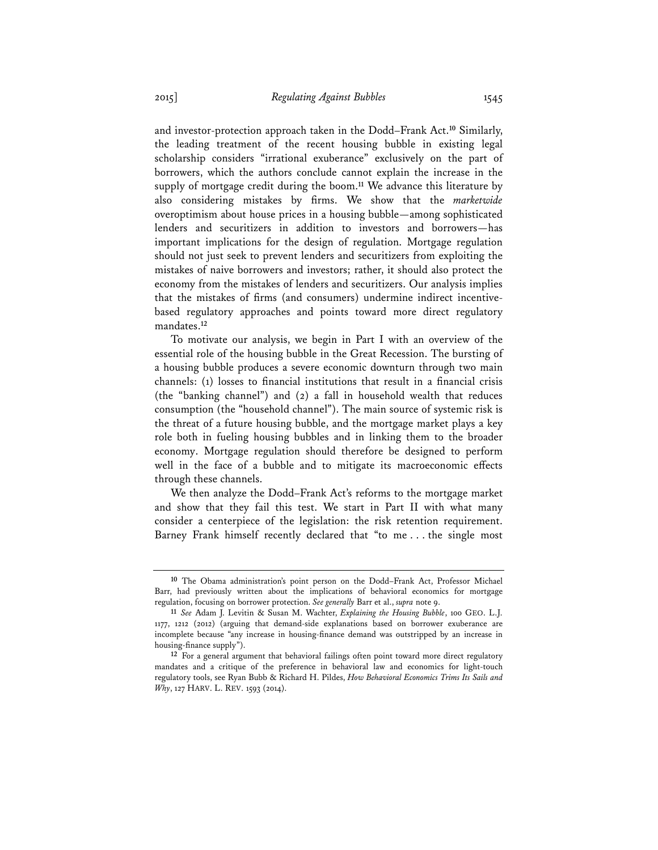and investor-protection approach taken in the Dodd–Frank Act.**<sup>10</sup>** Similarly, the leading treatment of the recent housing bubble in existing legal scholarship considers "irrational exuberance" exclusively on the part of borrowers, which the authors conclude cannot explain the increase in the supply of mortgage credit during the boom.**<sup>11</sup>** We advance this literature by also considering mistakes by firms. We show that the *marketwide* overoptimism about house prices in a housing bubble—among sophisticated lenders and securitizers in addition to investors and borrowers—has important implications for the design of regulation. Mortgage regulation should not just seek to prevent lenders and securitizers from exploiting the mistakes of naive borrowers and investors; rather, it should also protect the economy from the mistakes of lenders and securitizers. Our analysis implies that the mistakes of firms (and consumers) undermine indirect incentivebased regulatory approaches and points toward more direct regulatory mandates.**<sup>12</sup>**

To motivate our analysis, we begin in Part I with an overview of the essential role of the housing bubble in the Great Recession. The bursting of a housing bubble produces a severe economic downturn through two main channels: (1) losses to financial institutions that result in a financial crisis (the "banking channel") and (2) a fall in household wealth that reduces consumption (the "household channel"). The main source of systemic risk is the threat of a future housing bubble, and the mortgage market plays a key role both in fueling housing bubbles and in linking them to the broader economy. Mortgage regulation should therefore be designed to perform well in the face of a bubble and to mitigate its macroeconomic effects through these channels.

We then analyze the Dodd–Frank Act's reforms to the mortgage market and show that they fail this test. We start in Part II with what many consider a centerpiece of the legislation: the risk retention requirement. Barney Frank himself recently declared that "to me . . . the single most

**<sup>10</sup>** The Obama administration's point person on the Dodd–Frank Act, Professor Michael Barr, had previously written about the implications of behavioral economics for mortgage regulation, focusing on borrower protection. *See generally* Barr et al., *supra* note 9.

**<sup>11</sup>** *See* Adam J. Levitin & Susan M. Wachter, *Explaining the Housing Bubble*, 100 GEO. L.J. 1177, 1212 (2012) (arguing that demand-side explanations based on borrower exuberance are incomplete because "any increase in housing-finance demand was outstripped by an increase in housing-finance supply").

**<sup>12</sup>** For a general argument that behavioral failings often point toward more direct regulatory mandates and a critique of the preference in behavioral law and economics for light-touch regulatory tools, see Ryan Bubb & Richard H. Pildes, *How Behavioral Economics Trims Its Sails and Why*, 127 HARV. L. REV. 1593 (2014).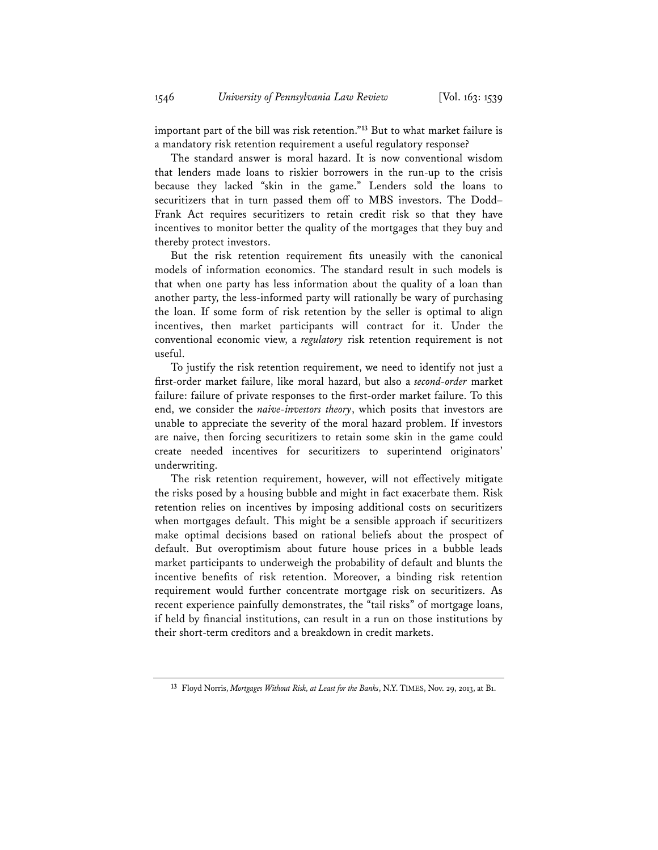important part of the bill was risk retention."**<sup>13</sup>** But to what market failure is a mandatory risk retention requirement a useful regulatory response?

The standard answer is moral hazard. It is now conventional wisdom that lenders made loans to riskier borrowers in the run-up to the crisis because they lacked "skin in the game." Lenders sold the loans to securitizers that in turn passed them off to MBS investors. The Dodd– Frank Act requires securitizers to retain credit risk so that they have incentives to monitor better the quality of the mortgages that they buy and thereby protect investors.

But the risk retention requirement fits uneasily with the canonical models of information economics. The standard result in such models is that when one party has less information about the quality of a loan than another party, the less-informed party will rationally be wary of purchasing the loan. If some form of risk retention by the seller is optimal to align incentives, then market participants will contract for it. Under the conventional economic view, a *regulatory* risk retention requirement is not useful.

To justify the risk retention requirement, we need to identify not just a first-order market failure, like moral hazard, but also a *second-order* market failure: failure of private responses to the first-order market failure. To this end, we consider the *naive-investors theory*, which posits that investors are unable to appreciate the severity of the moral hazard problem. If investors are naive, then forcing securitizers to retain some skin in the game could create needed incentives for securitizers to superintend originators' underwriting.

The risk retention requirement, however, will not effectively mitigate the risks posed by a housing bubble and might in fact exacerbate them. Risk retention relies on incentives by imposing additional costs on securitizers when mortgages default. This might be a sensible approach if securitizers make optimal decisions based on rational beliefs about the prospect of default. But overoptimism about future house prices in a bubble leads market participants to underweigh the probability of default and blunts the incentive benefits of risk retention. Moreover, a binding risk retention requirement would further concentrate mortgage risk on securitizers. As recent experience painfully demonstrates, the "tail risks" of mortgage loans, if held by financial institutions, can result in a run on those institutions by their short-term creditors and a breakdown in credit markets.

**<sup>13</sup>** Floyd Norris, *Mortgages Without Risk, at Least for the Banks*, N.Y. TIMES, Nov. 29, 2013, at B1.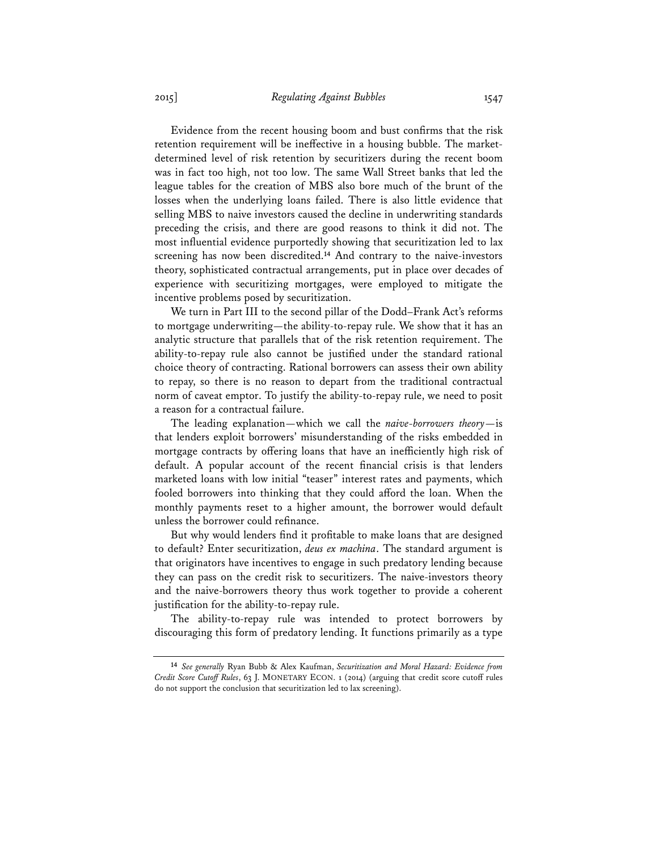Evidence from the recent housing boom and bust confirms that the risk retention requirement will be ineffective in a housing bubble. The marketdetermined level of risk retention by securitizers during the recent boom was in fact too high, not too low. The same Wall Street banks that led the league tables for the creation of MBS also bore much of the brunt of the losses when the underlying loans failed. There is also little evidence that selling MBS to naive investors caused the decline in underwriting standards preceding the crisis, and there are good reasons to think it did not. The most influential evidence purportedly showing that securitization led to lax screening has now been discredited.**<sup>14</sup>** And contrary to the naive-investors theory, sophisticated contractual arrangements, put in place over decades of experience with securitizing mortgages, were employed to mitigate the incentive problems posed by securitization.

We turn in Part III to the second pillar of the Dodd–Frank Act's reforms to mortgage underwriting—the ability-to-repay rule. We show that it has an analytic structure that parallels that of the risk retention requirement. The ability-to-repay rule also cannot be justified under the standard rational choice theory of contracting. Rational borrowers can assess their own ability to repay, so there is no reason to depart from the traditional contractual norm of caveat emptor. To justify the ability-to-repay rule, we need to posit a reason for a contractual failure.

The leading explanation—which we call the *naive-borrowers theory*—is that lenders exploit borrowers' misunderstanding of the risks embedded in mortgage contracts by offering loans that have an inefficiently high risk of default. A popular account of the recent financial crisis is that lenders marketed loans with low initial "teaser" interest rates and payments, which fooled borrowers into thinking that they could afford the loan. When the monthly payments reset to a higher amount, the borrower would default unless the borrower could refinance.

But why would lenders find it profitable to make loans that are designed to default? Enter securitization, *deus ex machina*. The standard argument is that originators have incentives to engage in such predatory lending because they can pass on the credit risk to securitizers. The naive-investors theory and the naive-borrowers theory thus work together to provide a coherent justification for the ability-to-repay rule.

The ability-to-repay rule was intended to protect borrowers by discouraging this form of predatory lending. It functions primarily as a type

**<sup>14</sup>** *See generally* Ryan Bubb & Alex Kaufman, *Securitization and Moral Hazard: Evidence from Credit Score Cutoff Rules*, 63 J. MONETARY ECON. 1 (2014) (arguing that credit score cutoff rules do not support the conclusion that securitization led to lax screening).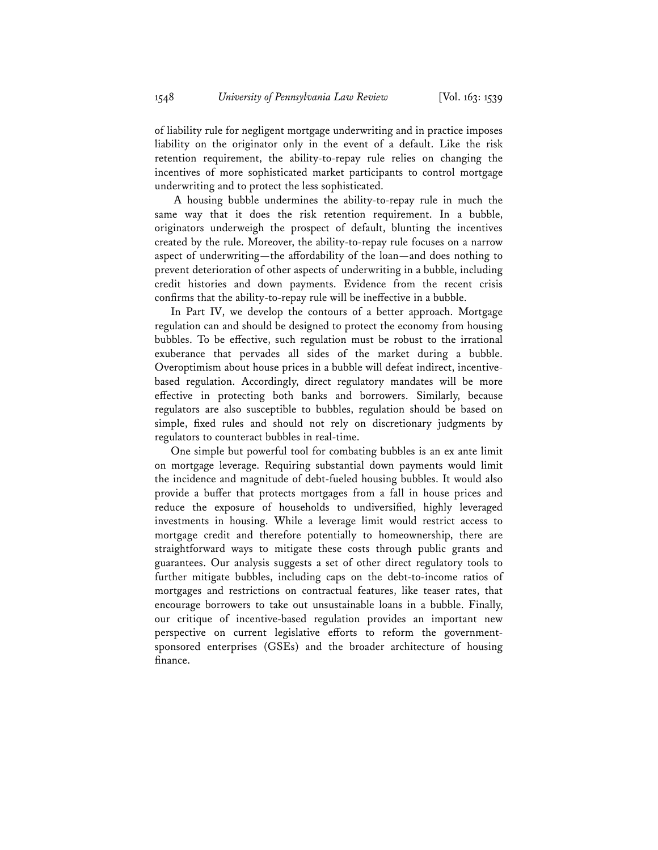of liability rule for negligent mortgage underwriting and in practice imposes liability on the originator only in the event of a default. Like the risk retention requirement, the ability-to-repay rule relies on changing the incentives of more sophisticated market participants to control mortgage underwriting and to protect the less sophisticated.

 A housing bubble undermines the ability-to-repay rule in much the same way that it does the risk retention requirement. In a bubble, originators underweigh the prospect of default, blunting the incentives created by the rule. Moreover, the ability-to-repay rule focuses on a narrow aspect of underwriting—the affordability of the loan—and does nothing to prevent deterioration of other aspects of underwriting in a bubble, including credit histories and down payments. Evidence from the recent crisis confirms that the ability-to-repay rule will be ineffective in a bubble.

In Part IV, we develop the contours of a better approach. Mortgage regulation can and should be designed to protect the economy from housing bubbles. To be effective, such regulation must be robust to the irrational exuberance that pervades all sides of the market during a bubble. Overoptimism about house prices in a bubble will defeat indirect, incentivebased regulation. Accordingly, direct regulatory mandates will be more effective in protecting both banks and borrowers. Similarly, because regulators are also susceptible to bubbles, regulation should be based on simple, fixed rules and should not rely on discretionary judgments by regulators to counteract bubbles in real-time.

One simple but powerful tool for combating bubbles is an ex ante limit on mortgage leverage. Requiring substantial down payments would limit the incidence and magnitude of debt-fueled housing bubbles. It would also provide a buffer that protects mortgages from a fall in house prices and reduce the exposure of households to undiversified, highly leveraged investments in housing. While a leverage limit would restrict access to mortgage credit and therefore potentially to homeownership, there are straightforward ways to mitigate these costs through public grants and guarantees. Our analysis suggests a set of other direct regulatory tools to further mitigate bubbles, including caps on the debt-to-income ratios of mortgages and restrictions on contractual features, like teaser rates, that encourage borrowers to take out unsustainable loans in a bubble. Finally, our critique of incentive-based regulation provides an important new perspective on current legislative efforts to reform the governmentsponsored enterprises (GSEs) and the broader architecture of housing finance.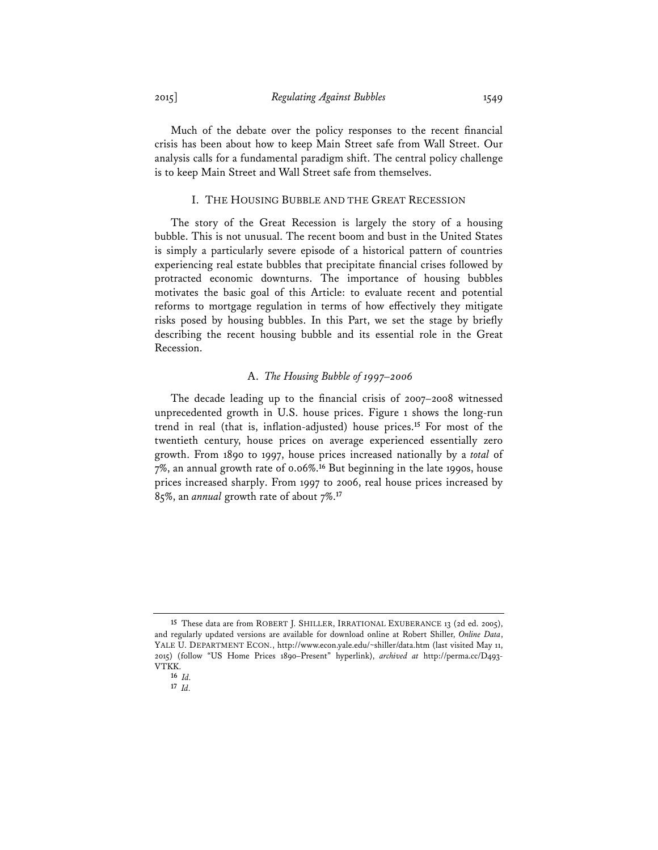Much of the debate over the policy responses to the recent financial crisis has been about how to keep Main Street safe from Wall Street. Our analysis calls for a fundamental paradigm shift. The central policy challenge is to keep Main Street and Wall Street safe from themselves.

#### I. THE HOUSING BUBBLE AND THE GREAT RECESSION

The story of the Great Recession is largely the story of a housing bubble. This is not unusual. The recent boom and bust in the United States is simply a particularly severe episode of a historical pattern of countries experiencing real estate bubbles that precipitate financial crises followed by protracted economic downturns. The importance of housing bubbles motivates the basic goal of this Article: to evaluate recent and potential reforms to mortgage regulation in terms of how effectively they mitigate risks posed by housing bubbles. In this Part, we set the stage by briefly describing the recent housing bubble and its essential role in the Great Recession.

#### A. *The Housing Bubble of 1997–2006*

The decade leading up to the financial crisis of 2007–2008 witnessed unprecedented growth in U.S. house prices. Figure 1 shows the long-run trend in real (that is, inflation-adjusted) house prices.**<sup>15</sup>** For most of the twentieth century, house prices on average experienced essentially zero growth. From 1890 to 1997, house prices increased nationally by a *total* of 7%, an annual growth rate of 0.06%.**<sup>16</sup>** But beginning in the late 1990s, house prices increased sharply. From 1997 to 2006, real house prices increased by 85%, an *annual* growth rate of about 7%.**<sup>17</sup>**

**<sup>15</sup>** These data are from ROBERT J. SHILLER, IRRATIONAL EXUBERANCE 13 (2d ed. 2005), and regularly updated versions are available for download online at Robert Shiller, *Online Data*, YALE U. DEPARTMENT ECON., http://www.econ.yale.edu/~shiller/data.htm (last visited May 11, 2015) (follow "US Home Prices 1890–Present" hyperlink), *archived at* http://perma.cc/D493- VTKK.

**<sup>16</sup>** *Id.*

**<sup>17</sup>** *Id.*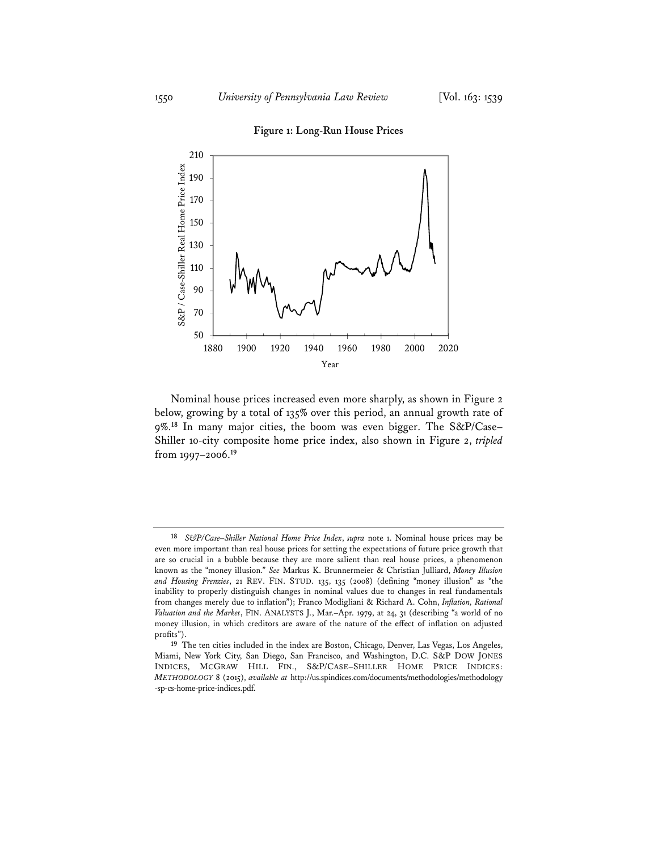# 210 S&P / Case-Shiller Real Home Price Index S&P / Case-Shiller Real Home Price Index 190 170 150 130 110 90 70 50 1880 1900 1920 1940 1960 1980 2000 2020 Year

#### **Figure 1: Long-Run House Prices**

Nominal house prices increased even more sharply, as shown in Figure 2 below, growing by a total of 135% over this period, an annual growth rate of 9%.**<sup>18</sup>** In many major cities, the boom was even bigger. The S&P/Case– Shiller 10-city composite home price index, also shown in Figure 2, *tripled* from 1997–2006.**<sup>19</sup>**

**<sup>18</sup>** *S&P/Case–Shiller National Home Price Index*, *supra* note 1. Nominal house prices may be even more important than real house prices for setting the expectations of future price growth that are so crucial in a bubble because they are more salient than real house prices, a phenomenon known as the "money illusion." *See* Markus K. Brunnermeier & Christian Julliard, *Money Illusion and Housing Frenzies*, 21 REV. FIN. STUD. 135, 135 (2008) (defining "money illusion" as "the inability to properly distinguish changes in nominal values due to changes in real fundamentals from changes merely due to inflation"); Franco Modigliani & Richard A. Cohn, *Inflation, Rational Valuation and the Market*, FIN. ANALYSTS J., Mar.–Apr. 1979, at 24, 31 (describing "a world of no money illusion, in which creditors are aware of the nature of the effect of inflation on adjusted profits").

**<sup>19</sup>** The ten cities included in the index are Boston, Chicago, Denver, Las Vegas, Los Angeles, Miami, New York City, San Diego, San Francisco, and Washington, D.C. S&P DOW JONES INDICES, MCGRAW HILL FIN., S&P/CASE–SHILLER HOME PRICE INDICES: *METHODOLOGY* 8 (2015), *available at* http://us.spindices.com/documents/methodologies/methodology -sp-cs-home-price-indices.pdf.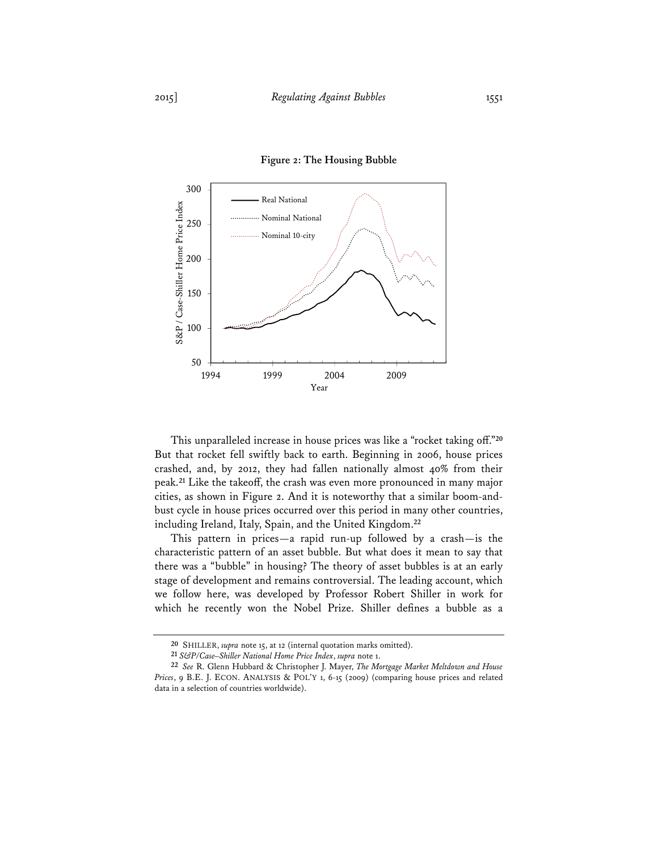

#### **Figure 2: The Housing Bubble**

This unparalleled increase in house prices was like a "rocket taking off."**<sup>20</sup>** But that rocket fell swiftly back to earth. Beginning in 2006, house prices crashed, and, by 2012, they had fallen nationally almost 40% from their peak.**<sup>21</sup>** Like the takeoff, the crash was even more pronounced in many major cities, as shown in Figure 2. And it is noteworthy that a similar boom-andbust cycle in house prices occurred over this period in many other countries, including Ireland, Italy, Spain, and the United Kingdom.**<sup>22</sup>**

This pattern in prices—a rapid run-up followed by a crash—is the characteristic pattern of an asset bubble. But what does it mean to say that there was a "bubble" in housing? The theory of asset bubbles is at an early stage of development and remains controversial. The leading account, which we follow here, was developed by Professor Robert Shiller in work for which he recently won the Nobel Prize. Shiller defines a bubble as a

**<sup>20</sup>** SHILLER, *supra* note 15, at 12 (internal quotation marks omitted).

**<sup>21</sup>** *S&P/Case–Shiller National Home Price Index*, *supra* note 1.

**<sup>22</sup>** *See* R. Glenn Hubbard & Christopher J. Mayer, *The Mortgage Market Meltdown and House Prices*, 9 B.E. J. ECON. ANALYSIS & POL'Y 1, 6-15 (2009) (comparing house prices and related data in a selection of countries worldwide).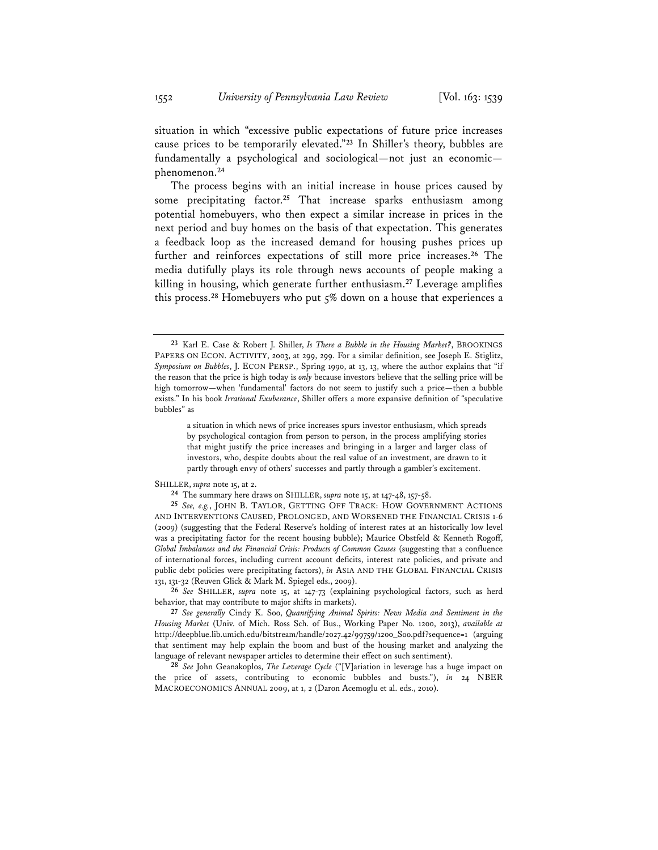situation in which "excessive public expectations of future price increases cause prices to be temporarily elevated."**<sup>23</sup>** In Shiller's theory, bubbles are fundamentally a psychological and sociological—not just an economic phenomenon.**<sup>24</sup>**

The process begins with an initial increase in house prices caused by some precipitating factor.**<sup>25</sup>** That increase sparks enthusiasm among potential homebuyers, who then expect a similar increase in prices in the next period and buy homes on the basis of that expectation. This generates a feedback loop as the increased demand for housing pushes prices up further and reinforces expectations of still more price increases.**<sup>26</sup>** The media dutifully plays its role through news accounts of people making a killing in housing, which generate further enthusiasm.**<sup>27</sup>** Leverage amplifies this process.**<sup>28</sup>** Homebuyers who put 5% down on a house that experiences a

a situation in which news of price increases spurs investor enthusiasm, which spreads by psychological contagion from person to person, in the process amplifying stories that might justify the price increases and bringing in a larger and larger class of investors, who, despite doubts about the real value of an investment, are drawn to it partly through envy of others' successes and partly through a gambler's excitement.

SHILLER, *supra* note 15, at 2.

**26** *See* SHILLER, *supra* note 15, at 147-73 (explaining psychological factors, such as herd behavior, that may contribute to major shifts in markets).

**28** *See* John Geanakoplos, *The Leverage Cycle* ("[V]ariation in leverage has a huge impact on the price of assets, contributing to economic bubbles and busts."), *in* 24 NBER MACROECONOMICS ANNUAL 2009, at 1, 2 (Daron Acemoglu et al. eds., 2010).

**<sup>23</sup>** Karl E. Case & Robert J. Shiller, *Is There a Bubble in the Housing Market?*, BROOKINGS PAPERS ON ECON. ACTIVITY, 2003, at 299, 299. For a similar definition, see Joseph E. Stiglitz, *Symposium on Bubbles*, J. ECON PERSP., Spring 1990, at 13, 13, where the author explains that "if the reason that the price is high today is *only* because investors believe that the selling price will be high tomorrow—when 'fundamental' factors do not seem to justify such a price—then a bubble exists." In his book *Irrational Exuberance*, Shiller offers a more expansive definition of "speculative bubbles" as

**<sup>24</sup>** The summary here draws on SHILLER, *supra* note 15, at 147-48, 157-58.

**<sup>25</sup>** *See, e.g.*, JOHN B. TAYLOR, GETTING OFF TRACK: HOW GOVERNMENT ACTIONS AND INTERVENTIONS CAUSED, PROLONGED, AND WORSENED THE FINANCIAL CRISIS 1-6 (2009) (suggesting that the Federal Reserve's holding of interest rates at an historically low level was a precipitating factor for the recent housing bubble); Maurice Obstfeld & Kenneth Rogoff, *Global Imbalances and the Financial Crisis: Products of Common Causes* (suggesting that a confluence of international forces, including current account deficits, interest rate policies, and private and public debt policies were precipitating factors), *in* ASIA AND THE GLOBAL FINANCIAL CRISIS 131, 131-32 (Reuven Glick & Mark M. Spiegel eds., 2009).

**<sup>27</sup>** *See generally* Cindy K. Soo, *Quantifying Animal Spirits: News Media and Sentiment in the Housing Market* (Univ. of Mich. Ross Sch. of Bus., Working Paper No. 1200, 2013), *available at* http://deepblue.lib.umich.edu/bitstream/handle/2027.42/99759/1200\_Soo.pdf?sequence=1 (arguing that sentiment may help explain the boom and bust of the housing market and analyzing the language of relevant newspaper articles to determine their effect on such sentiment).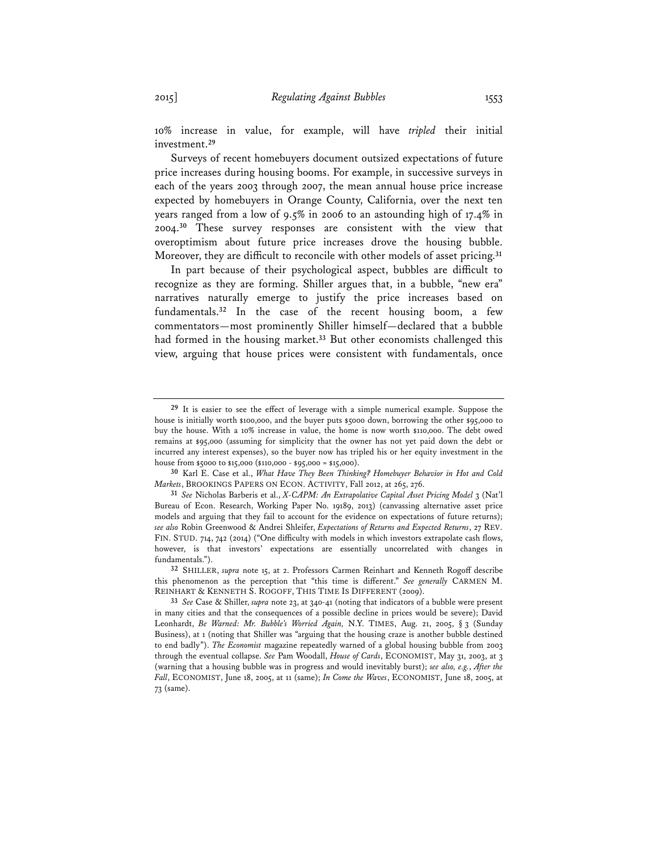10% increase in value, for example, will have *tripled* their initial investment.**<sup>29</sup>**

Surveys of recent homebuyers document outsized expectations of future price increases during housing booms. For example, in successive surveys in each of the years 2003 through 2007, the mean annual house price increase expected by homebuyers in Orange County, California, over the next ten years ranged from a low of 9.5% in 2006 to an astounding high of 17.4% in 2004.**<sup>30</sup>** These survey responses are consistent with the view that overoptimism about future price increases drove the housing bubble. Moreover, they are difficult to reconcile with other models of asset pricing.**<sup>31</sup>**

In part because of their psychological aspect, bubbles are difficult to recognize as they are forming. Shiller argues that, in a bubble, "new era" narratives naturally emerge to justify the price increases based on fundamentals.**<sup>32</sup>** In the case of the recent housing boom, a few commentators—most prominently Shiller himself—declared that a bubble had formed in the housing market.**<sup>33</sup>** But other economists challenged this view, arguing that house prices were consistent with fundamentals, once

**30** Karl E. Case et al., *What Have They Been Thinking? Homebuyer Behavior in Hot and Cold Markets*, BROOKINGS PAPERS ON ECON. ACTIVITY, Fall 2012, at 265, 276.

**<sup>29</sup>** It is easier to see the effect of leverage with a simple numerical example. Suppose the house is initially worth \$100,000, and the buyer puts \$5000 down, borrowing the other \$95,000 to buy the house. With a 10% increase in value, the home is now worth \$110,000. The debt owed remains at \$95,000 (assuming for simplicity that the owner has not yet paid down the debt or incurred any interest expenses), so the buyer now has tripled his or her equity investment in the house from \$5000 to \$15,000 (\$110,000 - \$95,000 = \$15,000).

**<sup>31</sup>** *See* Nicholas Barberis et al., *X-CAPM: An Extrapolative Capital Asset Pricing Model* 3 (Nat'l Bureau of Econ. Research, Working Paper No. 19189, 2013) (canvassing alternative asset price models and arguing that they fail to account for the evidence on expectations of future returns); *see also* Robin Greenwood & Andrei Shleifer, *Expectations of Returns and Expected Returns*, 27 REV. FIN. STUD. 714, 742 (2014) ("One difficulty with models in which investors extrapolate cash flows, however, is that investors' expectations are essentially uncorrelated with changes in fundamentals.").

**<sup>32</sup>** SHILLER, *supra* note 15, at 2. Professors Carmen Reinhart and Kenneth Rogoff describe this phenomenon as the perception that "this time is different." *See generally* CARMEN M. REINHART & KENNETH S. ROGOFF, THIS TIME IS DIFFERENT (2009).

**<sup>33</sup>** *See* Case & Shiller, *supra* note 23, at 340-41 (noting that indicators of a bubble were present in many cities and that the consequences of a possible decline in prices would be severe); David Leonhardt, *Be Warned: Mr. Bubble's Worried Again,* N.Y. TIMES, Aug. 21, 2005, § 3 (Sunday Business), at 1 (noting that Shiller was "arguing that the housing craze is another bubble destined to end badly"). *The Economist* magazine repeatedly warned of a global housing bubble from 2003 through the eventual collapse. *See* Pam Woodall, *House of Cards*, ECONOMIST, May 31, 2003, at 3 (warning that a housing bubble was in progress and would inevitably burst); *see also, e.g.*, *After the Fall*, ECONOMIST, June 18, 2005, at 11 (same); *In Come the Waves*, ECONOMIST, June 18, 2005, at 73 (same).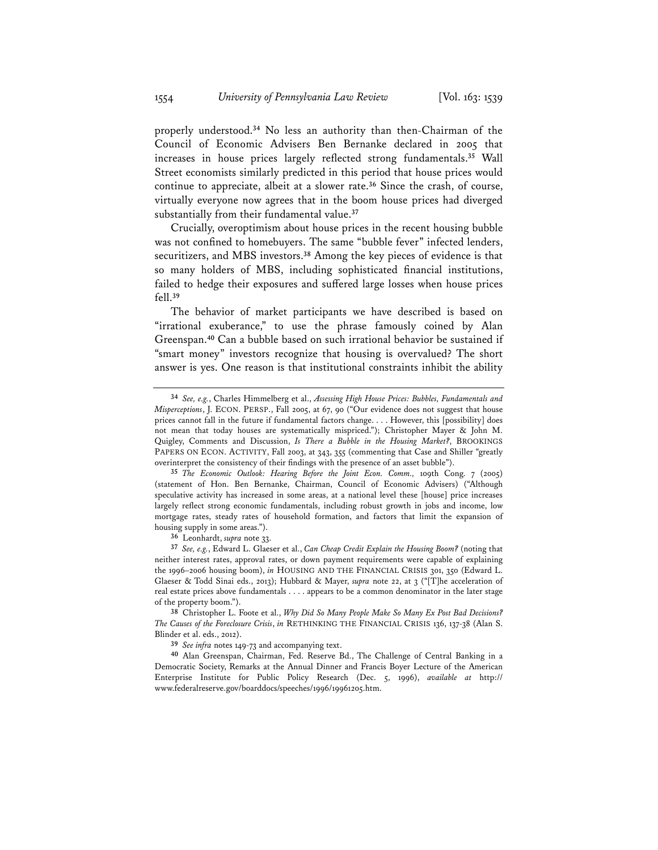properly understood.**<sup>34</sup>** No less an authority than then-Chairman of the Council of Economic Advisers Ben Bernanke declared in 2005 that increases in house prices largely reflected strong fundamentals.**<sup>35</sup>** Wall Street economists similarly predicted in this period that house prices would continue to appreciate, albeit at a slower rate.**<sup>36</sup>** Since the crash, of course, virtually everyone now agrees that in the boom house prices had diverged substantially from their fundamental value.**<sup>37</sup>**

Crucially, overoptimism about house prices in the recent housing bubble was not confined to homebuyers. The same "bubble fever" infected lenders, securitizers, and MBS investors.**<sup>38</sup>** Among the key pieces of evidence is that so many holders of MBS, including sophisticated financial institutions, failed to hedge their exposures and suffered large losses when house prices fell.**<sup>39</sup>**

The behavior of market participants we have described is based on "irrational exuberance," to use the phrase famously coined by Alan Greenspan.**<sup>40</sup>** Can a bubble based on such irrational behavior be sustained if "smart money" investors recognize that housing is overvalued? The short answer is yes. One reason is that institutional constraints inhibit the ability

**36** Leonhardt, *supra* note 33.

**37** *See, e.g.*, Edward L. Glaeser et al., *Can Cheap Credit Explain the Housing Boom?* (noting that neither interest rates, approval rates, or down payment requirements were capable of explaining the 1996–2006 housing boom), *in* HOUSING AND THE FINANCIAL CRISIS 301, 350 (Edward L. Glaeser & Todd Sinai eds., 2013); Hubbard & Mayer, *supra* note 22, at 3 ("[T]he acceleration of real estate prices above fundamentals . . . . appears to be a common denominator in the later stage of the property boom.").

**38** Christopher L. Foote et al., *Why Did So Many People Make So Many Ex Post Bad Decisions? The Causes of the Foreclosure Crisis*, *in* RETHINKING THE FINANCIAL CRISIS 136, 137-38 (Alan S. Blinder et al. eds., 2012).

**39** *See infra* notes 149-73 and accompanying text.

**40** Alan Greenspan, Chairman, Fed. Reserve Bd., The Challenge of Central Banking in a Democratic Society, Remarks at the Annual Dinner and Francis Boyer Lecture of the American Enterprise Institute for Public Policy Research (Dec. 5, 1996), *available at* http:// www.federalreserve.gov/boarddocs/speeches/1996/19961205.htm.

**<sup>34</sup>** *See, e.g.*, Charles Himmelberg et al., *Assessing High House Prices: Bubbles, Fundamentals and Misperceptions*, J. ECON. PERSP., Fall 2005, at 67, 90 ("Our evidence does not suggest that house prices cannot fall in the future if fundamental factors change. . . . However, this [possibility] does not mean that today houses are systematically mispriced."); Christopher Mayer & John M. Quigley, Comments and Discussion, *Is There a Bubble in the Housing Market?*, BROOKINGS PAPERS ON ECON. ACTIVITY, Fall 2003, at 343, 355 (commenting that Case and Shiller "greatly overinterpret the consistency of their findings with the presence of an asset bubble").

**<sup>35</sup>** *The Economic Outlook: Hearing Before the Joint Econ. Comm.,* 109th Cong. 7 (2005) (statement of Hon. Ben Bernanke, Chairman, Council of Economic Advisers) ("Although speculative activity has increased in some areas, at a national level these [house] price increases largely reflect strong economic fundamentals, including robust growth in jobs and income, low mortgage rates, steady rates of household formation, and factors that limit the expansion of housing supply in some areas.").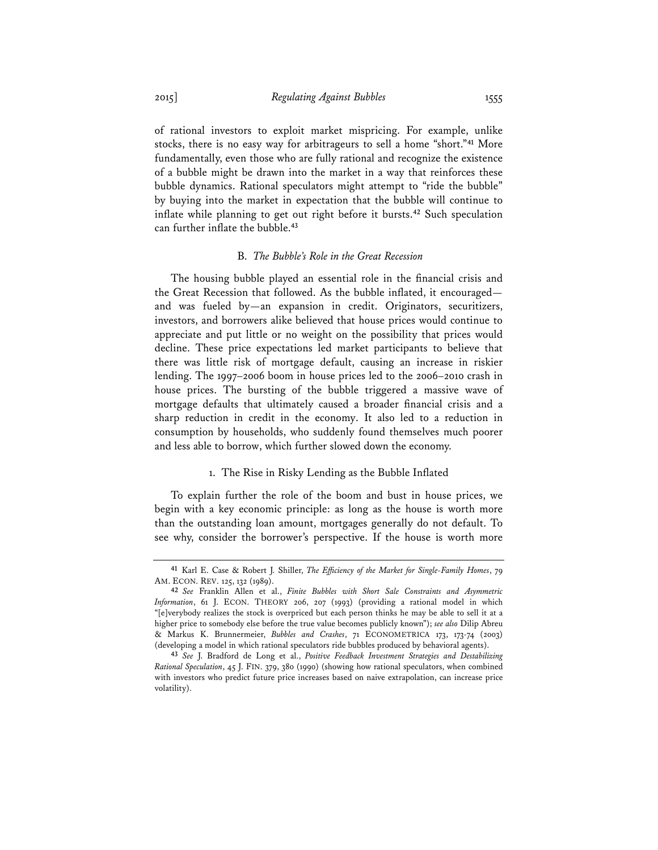of rational investors to exploit market mispricing. For example, unlike stocks, there is no easy way for arbitrageurs to sell a home "short."**<sup>41</sup>** More fundamentally, even those who are fully rational and recognize the existence of a bubble might be drawn into the market in a way that reinforces these bubble dynamics. Rational speculators might attempt to "ride the bubble" by buying into the market in expectation that the bubble will continue to inflate while planning to get out right before it bursts.**<sup>42</sup>** Such speculation can further inflate the bubble.**<sup>43</sup>**

#### B. *The Bubble's Role in the Great Recession*

The housing bubble played an essential role in the financial crisis and the Great Recession that followed. As the bubble inflated, it encouraged and was fueled by—an expansion in credit. Originators, securitizers, investors, and borrowers alike believed that house prices would continue to appreciate and put little or no weight on the possibility that prices would decline. These price expectations led market participants to believe that there was little risk of mortgage default, causing an increase in riskier lending. The 1997–2006 boom in house prices led to the 2006–2010 crash in house prices. The bursting of the bubble triggered a massive wave of mortgage defaults that ultimately caused a broader financial crisis and a sharp reduction in credit in the economy. It also led to a reduction in consumption by households, who suddenly found themselves much poorer and less able to borrow, which further slowed down the economy.

#### 1. The Rise in Risky Lending as the Bubble Inflated

To explain further the role of the boom and bust in house prices, we begin with a key economic principle: as long as the house is worth more than the outstanding loan amount, mortgages generally do not default. To see why, consider the borrower's perspective. If the house is worth more

**<sup>41</sup>** Karl E. Case & Robert J. Shiller, *The Efficiency of the Market for Single-Family Homes*, 79 AM. ECON. REV. 125, 132 (1989).

**<sup>42</sup>** *See* Franklin Allen et al., *Finite Bubbles with Short Sale Constraints and Asymmetric Information*, 61 J. ECON. THEORY 206, 207 (1993) (providing a rational model in which "[e]verybody realizes the stock is overpriced but each person thinks he may be able to sell it at a higher price to somebody else before the true value becomes publicly known"); *see also* Dilip Abreu & Markus K. Brunnermeier, *Bubbles and Crashes*, 71 ECONOMETRICA 173, 173-74 (2003) (developing a model in which rational speculators ride bubbles produced by behavioral agents).

**<sup>43</sup>** *See* J. Bradford de Long et al., *Positive Feedback Investment Strategies and Destabilizing Rational Speculation*, 45 J. FIN. 379, 380 (1990) (showing how rational speculators, when combined with investors who predict future price increases based on naive extrapolation, can increase price volatility).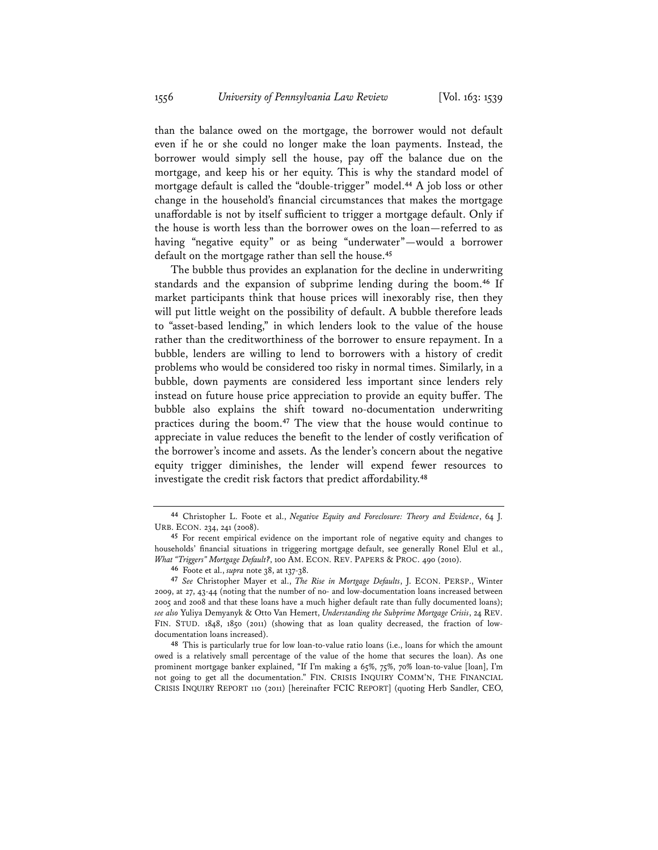than the balance owed on the mortgage, the borrower would not default even if he or she could no longer make the loan payments. Instead, the borrower would simply sell the house, pay off the balance due on the mortgage, and keep his or her equity. This is why the standard model of mortgage default is called the "double-trigger" model.**<sup>44</sup>** A job loss or other change in the household's financial circumstances that makes the mortgage unaffordable is not by itself sufficient to trigger a mortgage default. Only if the house is worth less than the borrower owes on the loan—referred to as having "negative equity" or as being "underwater"—would a borrower default on the mortgage rather than sell the house.**<sup>45</sup>**

The bubble thus provides an explanation for the decline in underwriting standards and the expansion of subprime lending during the boom.**<sup>46</sup>** If market participants think that house prices will inexorably rise, then they will put little weight on the possibility of default. A bubble therefore leads to "asset-based lending," in which lenders look to the value of the house rather than the creditworthiness of the borrower to ensure repayment. In a bubble, lenders are willing to lend to borrowers with a history of credit problems who would be considered too risky in normal times. Similarly, in a bubble, down payments are considered less important since lenders rely instead on future house price appreciation to provide an equity buffer. The bubble also explains the shift toward no-documentation underwriting practices during the boom.**<sup>47</sup>** The view that the house would continue to appreciate in value reduces the benefit to the lender of costly verification of the borrower's income and assets. As the lender's concern about the negative equity trigger diminishes, the lender will expend fewer resources to investigate the credit risk factors that predict affordability.**<sup>48</sup>**

**<sup>44</sup>** Christopher L. Foote et al., *Negative Equity and Foreclosure: Theory and Evidence*, 64 J. URB. ECON. 234, 241 (2008).

**<sup>45</sup>** For recent empirical evidence on the important role of negative equity and changes to households' financial situations in triggering mortgage default, see generally Ronel Elul et al., *What "Triggers" Mortgage Default?*, 100 AM. ECON. REV. PAPERS & PROC. 490 (2010).

**<sup>46</sup>** Foote et al., *supra* note 38, at 137-38.

**<sup>47</sup>** *See* Christopher Mayer et al., *The Rise in Mortgage Defaults*, J. ECON. PERSP., Winter 2009, at 27, 43-44 (noting that the number of no- and low-documentation loans increased between 2005 and 2008 and that these loans have a much higher default rate than fully documented loans); *see also* Yuliya Demyanyk & Otto Van Hemert, *Understanding the Subprime Mortgage Crisis*, 24 REV. FIN. STUD. 1848, 1850 (2011) (showing that as loan quality decreased, the fraction of lowdocumentation loans increased).

**<sup>48</sup>** This is particularly true for low loan-to-value ratio loans (i.e., loans for which the amount owed is a relatively small percentage of the value of the home that secures the loan). As one prominent mortgage banker explained, "If I'm making a 65%, 75%, 70% loan-to-value [loan], I'm not going to get all the documentation." FIN. CRISIS INQUIRY COMM'N, THE FINANCIAL CRISIS INQUIRY REPORT 110 (2011) [hereinafter FCIC REPORT] (quoting Herb Sandler, CEO,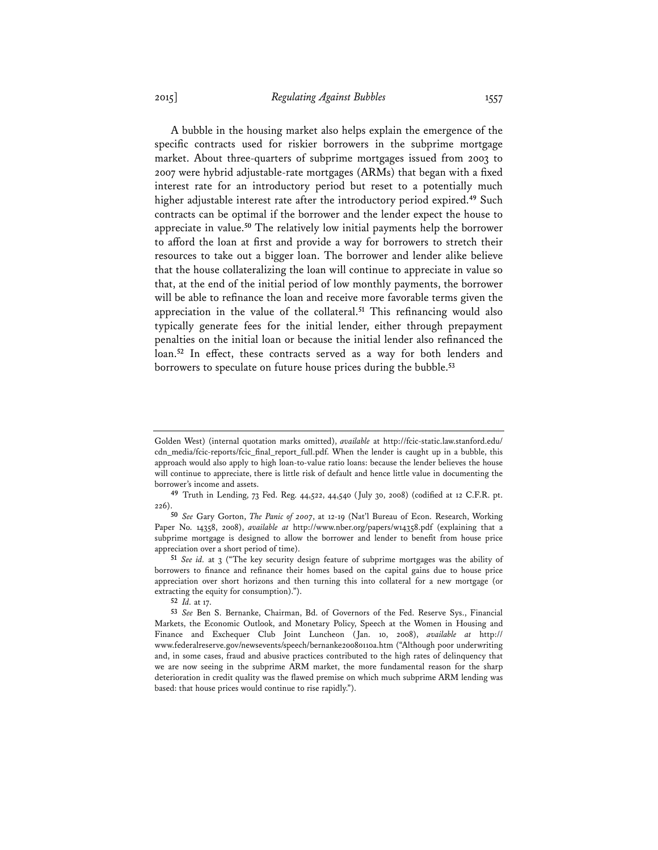A bubble in the housing market also helps explain the emergence of the specific contracts used for riskier borrowers in the subprime mortgage market. About three-quarters of subprime mortgages issued from 2003 to 2007 were hybrid adjustable-rate mortgages (ARMs) that began with a fixed interest rate for an introductory period but reset to a potentially much higher adjustable interest rate after the introductory period expired.**<sup>49</sup>** Such contracts can be optimal if the borrower and the lender expect the house to appreciate in value.**<sup>50</sup>** The relatively low initial payments help the borrower to afford the loan at first and provide a way for borrowers to stretch their resources to take out a bigger loan. The borrower and lender alike believe that the house collateralizing the loan will continue to appreciate in value so that, at the end of the initial period of low monthly payments, the borrower will be able to refinance the loan and receive more favorable terms given the appreciation in the value of the collateral.**<sup>51</sup>** This refinancing would also typically generate fees for the initial lender, either through prepayment penalties on the initial loan or because the initial lender also refinanced the loan.**<sup>52</sup>** In effect, these contracts served as a way for both lenders and borrowers to speculate on future house prices during the bubble.**<sup>53</sup>**

Golden West) (internal quotation marks omitted), *available* at http://fcic-static.law.stanford.edu/ cdn\_media/fcic-reports/fcic\_final\_report\_full.pdf. When the lender is caught up in a bubble, this approach would also apply to high loan-to-value ratio loans: because the lender believes the house will continue to appreciate, there is little risk of default and hence little value in documenting the borrower's income and assets.

**<sup>49</sup>** Truth in Lending, 73 Fed. Reg. 44,522, 44,540 (July 30, 2008) (codified at 12 C.F.R. pt. 226).

**<sup>50</sup>** *See* Gary Gorton, *The Panic of 2007*, at 12-19 (Nat'l Bureau of Econ. Research, Working Paper No. 14358, 2008), *available at* http://www.nber.org/papers/w14358.pdf (explaining that a subprime mortgage is designed to allow the borrower and lender to benefit from house price appreciation over a short period of time).

**<sup>51</sup>** *See id.* at 3 ("The key security design feature of subprime mortgages was the ability of borrowers to finance and refinance their homes based on the capital gains due to house price appreciation over short horizons and then turning this into collateral for a new mortgage (or extracting the equity for consumption).").

**<sup>52</sup>** *Id.* at 17.

**<sup>53</sup>** *See* Ben S. Bernanke, Chairman, Bd. of Governors of the Fed. Reserve Sys., Financial Markets, the Economic Outlook, and Monetary Policy, Speech at the Women in Housing and Finance and Exchequer Club Joint Luncheon (Jan. 10, 2008), *available at* http:// www.federalreserve.gov/newsevents/speech/bernanke20080110a.htm ("Although poor underwriting and, in some cases, fraud and abusive practices contributed to the high rates of delinquency that we are now seeing in the subprime ARM market, the more fundamental reason for the sharp deterioration in credit quality was the flawed premise on which much subprime ARM lending was based: that house prices would continue to rise rapidly.").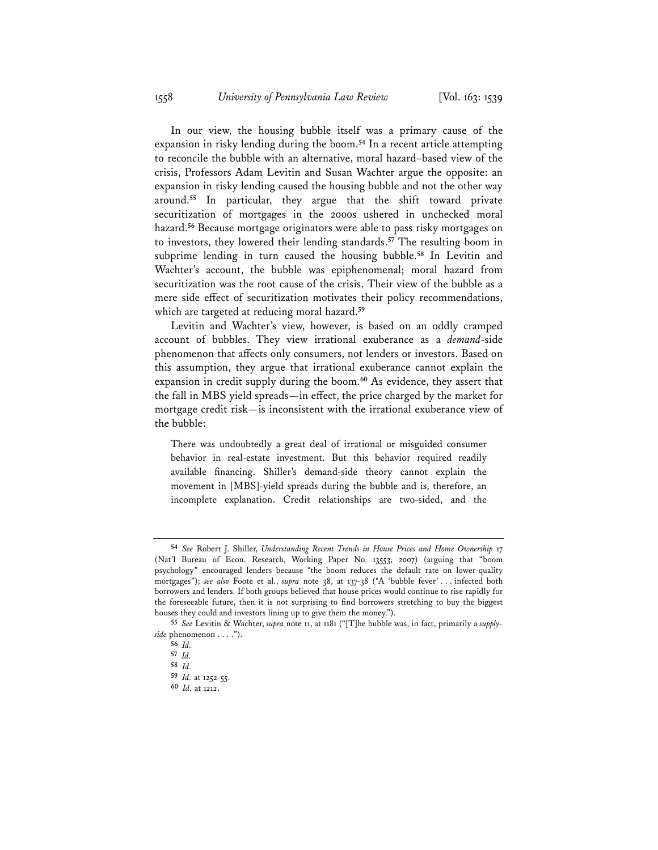In our view, the housing bubble itself was a primary cause of the expansion in risky lending during the boom.**<sup>54</sup>** In a recent article attempting to reconcile the bubble with an alternative, moral hazard–based view of the crisis, Professors Adam Levitin and Susan Wachter argue the opposite: an expansion in risky lending caused the housing bubble and not the other way around.**<sup>55</sup>** In particular, they argue that the shift toward private securitization of mortgages in the 2000s ushered in unchecked moral hazard.**<sup>56</sup>** Because mortgage originators were able to pass risky mortgages on to investors, they lowered their lending standards.**<sup>57</sup>** The resulting boom in subprime lending in turn caused the housing bubble.**<sup>58</sup>** In Levitin and Wachter's account, the bubble was epiphenomenal; moral hazard from securitization was the root cause of the crisis. Their view of the bubble as a mere side effect of securitization motivates their policy recommendations, which are targeted at reducing moral hazard.**<sup>59</sup>**

Levitin and Wachter's view, however, is based on an oddly cramped account of bubbles. They view irrational exuberance as a *demand*-side phenomenon that affects only consumers, not lenders or investors. Based on this assumption, they argue that irrational exuberance cannot explain the expansion in credit supply during the boom.**<sup>60</sup>** As evidence, they assert that the fall in MBS yield spreads—in effect, the price charged by the market for mortgage credit risk—is inconsistent with the irrational exuberance view of the bubble:

There was undoubtedly a great deal of irrational or misguided consumer behavior in real-estate investment. But this behavior required readily available financing. Shiller's demand-side theory cannot explain the movement in [MBS]-yield spreads during the bubble and is, therefore, an incomplete explanation. Credit relationships are two-sided, and the

**<sup>54</sup>** *See* Robert J. Shiller, *Understanding Recent Trends in House Prices and Home Ownership* 17 (Nat'l Bureau of Econ. Research, Working Paper No. 13553, 2007) (arguing that "boom psychology" encouraged lenders because "the boom reduces the default rate on lower-quality mortgages"); *see also* Foote et al., *supra* note 38, at 137-38 ("A 'bubble fever' . . . infected both borrowers and lenders. If both groups believed that house prices would continue to rise rapidly for the foreseeable future, then it is not surprising to find borrowers stretching to buy the biggest houses they could and investors lining up to give them the money.").

**<sup>55</sup>** *See* Levitin & Wachter, *supra* note 11, at 1181 ("[T]he bubble was, in fact, primarily a *supplyside* phenomenon . . . .").

**<sup>56</sup>** *Id.*

**<sup>57</sup>** *Id.*

**<sup>58</sup>** *Id.*

**<sup>59</sup>** *Id.* at 1252-55.

**<sup>60</sup>** *Id.* at 1212.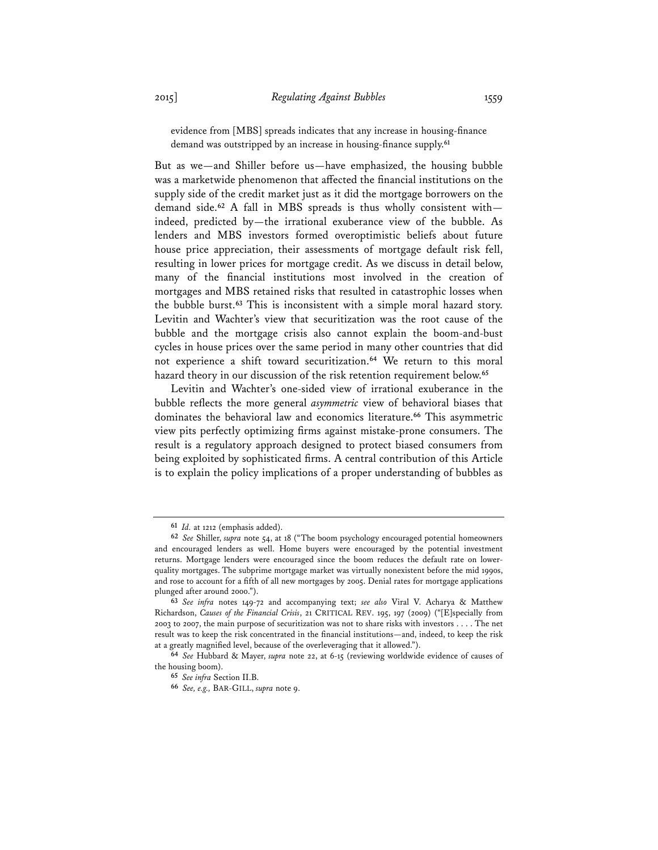evidence from [MBS] spreads indicates that any increase in housing-finance demand was outstripped by an increase in housing-finance supply.**<sup>61</sup>**

But as we—and Shiller before us—have emphasized, the housing bubble was a marketwide phenomenon that affected the financial institutions on the supply side of the credit market just as it did the mortgage borrowers on the demand side.**<sup>62</sup>** A fall in MBS spreads is thus wholly consistent with indeed, predicted by—the irrational exuberance view of the bubble. As lenders and MBS investors formed overoptimistic beliefs about future house price appreciation, their assessments of mortgage default risk fell, resulting in lower prices for mortgage credit. As we discuss in detail below, many of the financial institutions most involved in the creation of mortgages and MBS retained risks that resulted in catastrophic losses when the bubble burst.**<sup>63</sup>** This is inconsistent with a simple moral hazard story. Levitin and Wachter's view that securitization was the root cause of the bubble and the mortgage crisis also cannot explain the boom-and-bust cycles in house prices over the same period in many other countries that did not experience a shift toward securitization.**<sup>64</sup>** We return to this moral hazard theory in our discussion of the risk retention requirement below.**<sup>65</sup>**

Levitin and Wachter's one-sided view of irrational exuberance in the bubble reflects the more general *asymmetric* view of behavioral biases that dominates the behavioral law and economics literature.**<sup>66</sup>** This asymmetric view pits perfectly optimizing firms against mistake-prone consumers. The result is a regulatory approach designed to protect biased consumers from being exploited by sophisticated firms. A central contribution of this Article is to explain the policy implications of a proper understanding of bubbles as

**<sup>61</sup>** *Id.* at 1212 (emphasis added).

**<sup>62</sup>** *See* Shiller, *supra* note 54, at 18 ("The boom psychology encouraged potential homeowners and encouraged lenders as well. Home buyers were encouraged by the potential investment returns. Mortgage lenders were encouraged since the boom reduces the default rate on lowerquality mortgages. The subprime mortgage market was virtually nonexistent before the mid 1990s, and rose to account for a fifth of all new mortgages by 2005. Denial rates for mortgage applications plunged after around 2000.").

**<sup>63</sup>** *See infra* notes 149-72 and accompanying text; *see also* Viral V. Acharya & Matthew Richardson, *Causes of the Financial Crisis*, 21 CRITICAL REV. 195, 197 (2009) ("[E]specially from 2003 to 2007, the main purpose of securitization was not to share risks with investors . . . . The net result was to keep the risk concentrated in the financial institutions—and, indeed, to keep the risk at a greatly magnified level, because of the overleveraging that it allowed.").

**<sup>64</sup>** *See* Hubbard & Mayer, *supra* note 22, at 6-15 (reviewing worldwide evidence of causes of the housing boom).

**<sup>65</sup>** *See infra* Section II.B.

**<sup>66</sup>** *See, e.g.,* BAR-GILL, *supra* note 9.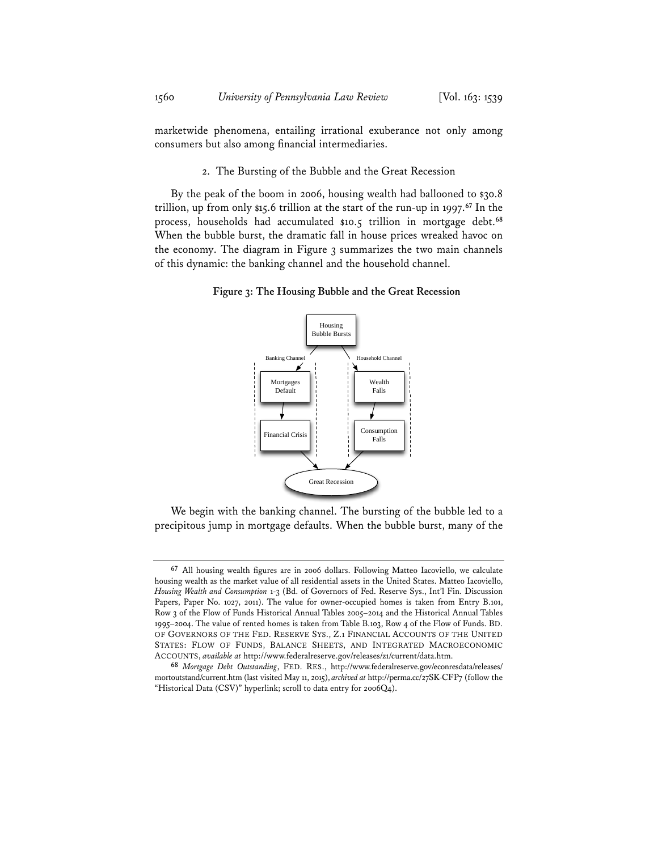marketwide phenomena, entailing irrational exuberance not only among consumers but also among financial intermediaries.

### 2. The Bursting of the Bubble and the Great Recession

By the peak of the boom in 2006, housing wealth had ballooned to \$30.8 trillion, up from only \$15.6 trillion at the start of the run-up in 1997.**<sup>67</sup>** In the process, households had accumulated \$10.5 trillion in mortgage debt.**<sup>68</sup>** When the bubble burst, the dramatic fall in house prices wreaked havoc on the economy. The diagram in Figure 3 summarizes the two main channels of this dynamic: the banking channel and the household channel.

**Figure 3: The Housing Bubble and the Great Recession** 



We begin with the banking channel. The bursting of the bubble led to a precipitous jump in mortgage defaults. When the bubble burst, many of the

**<sup>67</sup>** All housing wealth figures are in 2006 dollars. Following Matteo Iacoviello, we calculate housing wealth as the market value of all residential assets in the United States. Matteo Iacoviello, *Housing Wealth and Consumption* 1-3 (Bd. of Governors of Fed. Reserve Sys., Int'l Fin. Discussion Papers, Paper No. 1027, 2011). The value for owner-occupied homes is taken from Entry B.101, Row 3 of the Flow of Funds Historical Annual Tables 2005–2014 and the Historical Annual Tables 1995–2004. The value of rented homes is taken from Table B.103, Row 4 of the Flow of Funds. BD. OF GOVERNORS OF THE FED. RESERVE SYS., Z.1 FINANCIAL ACCOUNTS OF THE UNITED STATES: FLOW OF FUNDS, BALANCE SHEETS, AND INTEGRATED MACROECONOMIC ACCOUNTS, *available at* http://www.federalreserve.gov/releases/z1/current/data.htm.

**<sup>68</sup>** *Mortgage Debt Outstanding*, FED. RES., http://www.federalreserve.gov/econresdata/releases/ mortoutstand/current.htm (last visited May 11, 2015), *archived at* http://perma.cc/27SK-CFP7 (follow the "Historical Data (CSV)" hyperlink; scroll to data entry for 2006Q4).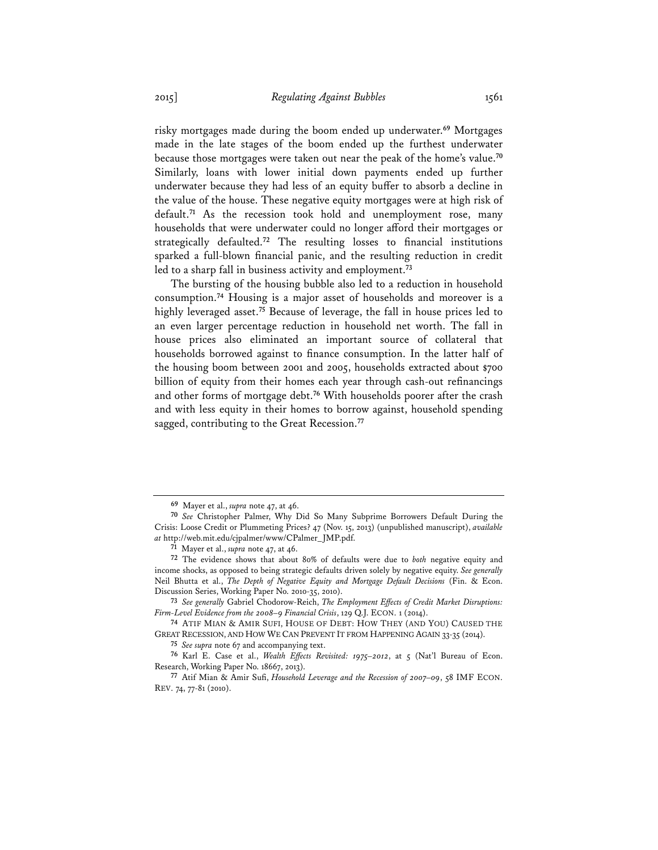risky mortgages made during the boom ended up underwater.**<sup>69</sup>** Mortgages made in the late stages of the boom ended up the furthest underwater because those mortgages were taken out near the peak of the home's value.**<sup>70</sup>** Similarly, loans with lower initial down payments ended up further underwater because they had less of an equity buffer to absorb a decline in the value of the house. These negative equity mortgages were at high risk of default.**<sup>71</sup>** As the recession took hold and unemployment rose, many households that were underwater could no longer afford their mortgages or strategically defaulted.**<sup>72</sup>** The resulting losses to financial institutions sparked a full-blown financial panic, and the resulting reduction in credit led to a sharp fall in business activity and employment.**<sup>73</sup>**

The bursting of the housing bubble also led to a reduction in household consumption.**<sup>74</sup>** Housing is a major asset of households and moreover is a highly leveraged asset.**<sup>75</sup>** Because of leverage, the fall in house prices led to an even larger percentage reduction in household net worth. The fall in house prices also eliminated an important source of collateral that households borrowed against to finance consumption. In the latter half of the housing boom between 2001 and 2005, households extracted about \$700 billion of equity from their homes each year through cash-out refinancings and other forms of mortgage debt.**<sup>76</sup>** With households poorer after the crash and with less equity in their homes to borrow against, household spending sagged, contributing to the Great Recession.**<sup>77</sup>**

**73** *See generally* Gabriel Chodorow-Reich, *The Employment Effects of Credit Market Disruptions: Firm-Level Evidence from the 2008–9 Financial Crisis*, 129 Q.J. ECON. 1 (2014).

**74** ATIF MIAN & AMIR SUFI, HOUSE OF DEBT: HOW THEY (AND YOU) CAUSED THE GREAT RECESSION, AND HOW WE CAN PREVENT IT FROM HAPPENING AGAIN 33-35 (2014).

**75** *See supra* note 67 and accompanying text.

**76** Karl E. Case et al., *Wealth Effects Revisited: 1975–2012*, at 5 (Nat'l Bureau of Econ. Research, Working Paper No. 18667, 2013).

**77** Atif Mian & Amir Sufi, *Household Leverage and the Recession of 2007–09*, 58 IMF ECON. REV. 74, 77-81 (2010).

**<sup>69</sup>** Mayer et al., *supra* note 47, at 46.

**<sup>70</sup>** *See* Christopher Palmer, Why Did So Many Subprime Borrowers Default During the Crisis: Loose Credit or Plummeting Prices? 47 (Nov. 15, 2013) (unpublished manuscript), *available at* http://web.mit.edu/cjpalmer/www/CPalmer\_JMP.pdf.

**<sup>71</sup>** Mayer et al., *supra* note 47, at 46.

**<sup>72</sup>** The evidence shows that about 80% of defaults were due to *both* negative equity and income shocks, as opposed to being strategic defaults driven solely by negative equity. *See generally* Neil Bhutta et al., *The Depth of Negative Equity and Mortgage Default Decisions* (Fin. & Econ. Discussion Series, Working Paper No. 2010-35, 2010).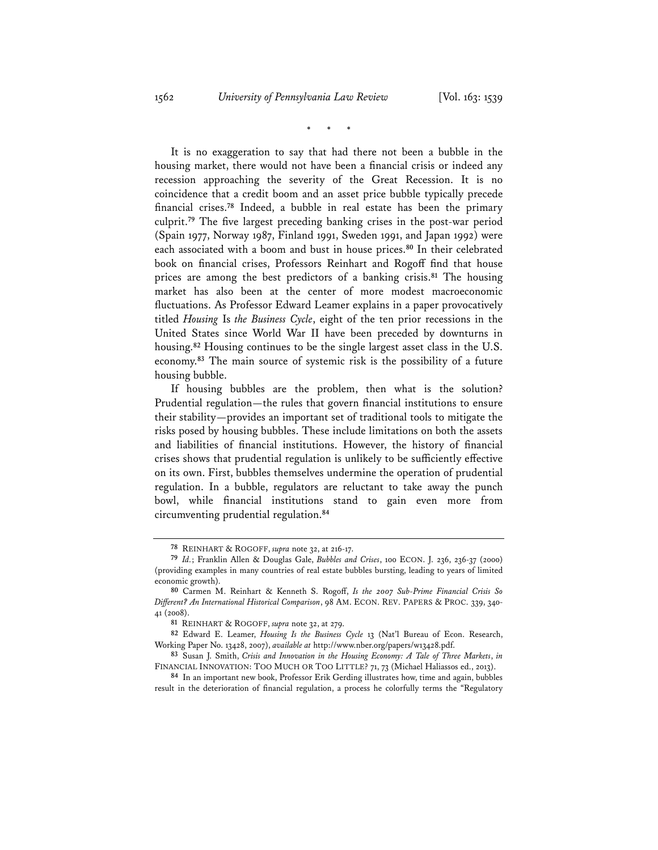\* \* \*

It is no exaggeration to say that had there not been a bubble in the housing market, there would not have been a financial crisis or indeed any recession approaching the severity of the Great Recession. It is no coincidence that a credit boom and an asset price bubble typically precede financial crises.**<sup>78</sup>** Indeed, a bubble in real estate has been the primary culprit.**<sup>79</sup>** The five largest preceding banking crises in the post-war period (Spain 1977, Norway 1987, Finland 1991, Sweden 1991, and Japan 1992) were each associated with a boom and bust in house prices.**<sup>80</sup>** In their celebrated book on financial crises, Professors Reinhart and Rogoff find that house prices are among the best predictors of a banking crisis.**<sup>81</sup>** The housing market has also been at the center of more modest macroeconomic fluctuations. As Professor Edward Leamer explains in a paper provocatively titled *Housing* Is *the Business Cycle*, eight of the ten prior recessions in the United States since World War II have been preceded by downturns in housing.**<sup>82</sup>** Housing continues to be the single largest asset class in the U.S. economy.**<sup>83</sup>** The main source of systemic risk is the possibility of a future housing bubble.

If housing bubbles are the problem, then what is the solution? Prudential regulation—the rules that govern financial institutions to ensure their stability—provides an important set of traditional tools to mitigate the risks posed by housing bubbles. These include limitations on both the assets and liabilities of financial institutions. However, the history of financial crises shows that prudential regulation is unlikely to be sufficiently effective on its own. First, bubbles themselves undermine the operation of prudential regulation. In a bubble, regulators are reluctant to take away the punch bowl, while financial institutions stand to gain even more from circumventing prudential regulation.**<sup>84</sup>**

**<sup>78</sup>** REINHART & ROGOFF, *supra* note 32, at 216-17.

**<sup>79</sup>** *Id.*; Franklin Allen & Douglas Gale, *Bubbles and Crises*, 100 ECON. J. 236, 236-37 (2000) (providing examples in many countries of real estate bubbles bursting, leading to years of limited economic growth).

**<sup>80</sup>** Carmen M. Reinhart & Kenneth S. Rogoff, *Is the 2007 Sub-Prime Financial Crisis So Different? An International Historical Comparison*, 98 AM. ECON. REV. PAPERS & PROC. 339, 340- 41 (2008).

**<sup>81</sup>** REINHART & ROGOFF, *supra* note 32, at 279.

**<sup>82</sup>** Edward E. Leamer, *Housing Is the Business Cycle* 13 (Nat'l Bureau of Econ. Research, Working Paper No. 13428, 2007), *available at* http://www.nber.org/papers/w13428.pdf.

**<sup>83</sup>** Susan J. Smith, *Crisis and Innovation in the Housing Economy: A Tale of Three Markets*, *in* FINANCIAL INNOVATION: TOO MUCH OR TOO LITTLE? 71, 73 (Michael Haliassos ed., 2013).

**<sup>84</sup>** In an important new book, Professor Erik Gerding illustrates how, time and again, bubbles result in the deterioration of financial regulation, a process he colorfully terms the "Regulatory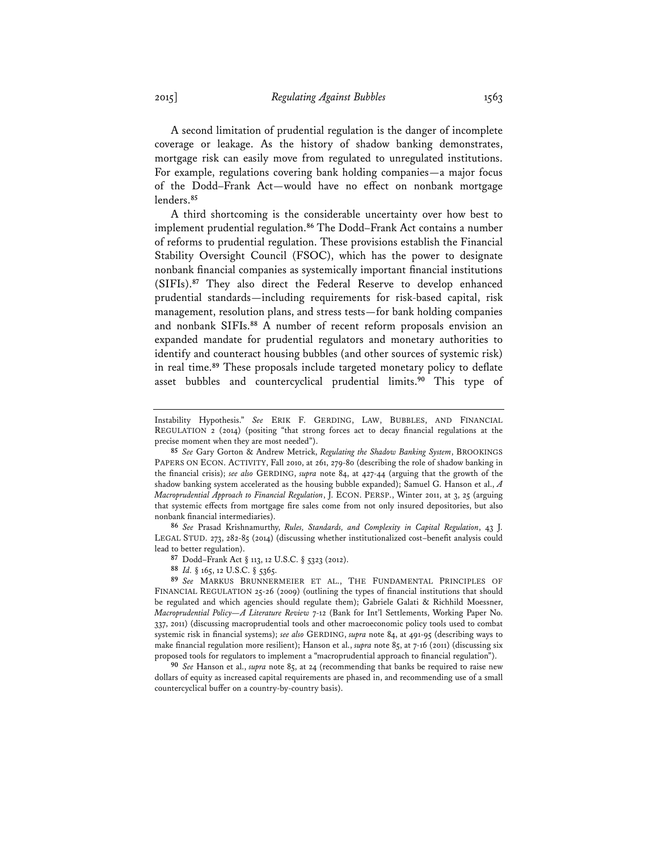A second limitation of prudential regulation is the danger of incomplete coverage or leakage. As the history of shadow banking demonstrates, mortgage risk can easily move from regulated to unregulated institutions. For example, regulations covering bank holding companies—a major focus of the Dodd–Frank Act—would have no effect on nonbank mortgage lenders.**<sup>85</sup>**

A third shortcoming is the considerable uncertainty over how best to implement prudential regulation.**<sup>86</sup>** The Dodd–Frank Act contains a number of reforms to prudential regulation. These provisions establish the Financial Stability Oversight Council (FSOC), which has the power to designate nonbank financial companies as systemically important financial institutions (SIFIs).**<sup>87</sup>** They also direct the Federal Reserve to develop enhanced prudential standards—including requirements for risk-based capital, risk management, resolution plans, and stress tests—for bank holding companies and nonbank SIFIs.**<sup>88</sup>** A number of recent reform proposals envision an expanded mandate for prudential regulators and monetary authorities to identify and counteract housing bubbles (and other sources of systemic risk) in real time.**<sup>89</sup>** These proposals include targeted monetary policy to deflate asset bubbles and countercyclical prudential limits.**<sup>90</sup>** This type of

**86** *See* Prasad Krishnamurthy, *Rules, Standards, and Complexity in Capital Regulation*, 43 J. LEGAL STUD. 273, 282-85 (2014) (discussing whether institutionalized cost–benefit analysis could lead to better regulation).

**87** Dodd–Frank Act § 113, 12 U.S.C. § 5323 (2012).

**90** *See* Hanson et al., *supra* note 85, at 24 (recommending that banks be required to raise new dollars of equity as increased capital requirements are phased in, and recommending use of a small countercyclical buffer on a country-by-country basis).

Instability Hypothesis." *See* ERIK F. GERDING, LAW, BUBBLES, AND FINANCIAL REGULATION 2 (2014) (positing "that strong forces act to decay financial regulations at the precise moment when they are most needed").

**<sup>85</sup>** *See* Gary Gorton & Andrew Metrick, *Regulating the Shadow Banking System*, BROOKINGS PAPERS ON ECON. ACTIVITY, Fall 2010, at 261, 279-80 (describing the role of shadow banking in the financial crisis); *see also* GERDING, *supra* note 84, at 427-44 (arguing that the growth of the shadow banking system accelerated as the housing bubble expanded); Samuel G. Hanson et al., *A Macroprudential Approach to Financial Regulation*, J. ECON. PERSP., Winter 2011, at 3, 25 (arguing that systemic effects from mortgage fire sales come from not only insured depositories, but also nonbank financial intermediaries).

**<sup>88</sup>** *Id.* § 165, 12 U.S.C. § 5365.

**<sup>89</sup>** *See* MARKUS BRUNNERMEIER ET AL., THE FUNDAMENTAL PRINCIPLES OF FINANCIAL REGULATION 25-26 (2009) (outlining the types of financial institutions that should be regulated and which agencies should regulate them); Gabriele Galati & Richhild Moessner, *Macroprudential Policy—A Literature Review* 7-12 (Bank for Int'l Settlements, Working Paper No. 337, 2011) (discussing macroprudential tools and other macroeconomic policy tools used to combat systemic risk in financial systems); *see also* GERDING, *supra* note 84, at 491-95 (describing ways to make financial regulation more resilient); Hanson et al., *supra* note 85, at 7-16 (2011) (discussing six proposed tools for regulators to implement a "macroprudential approach to financial regulation").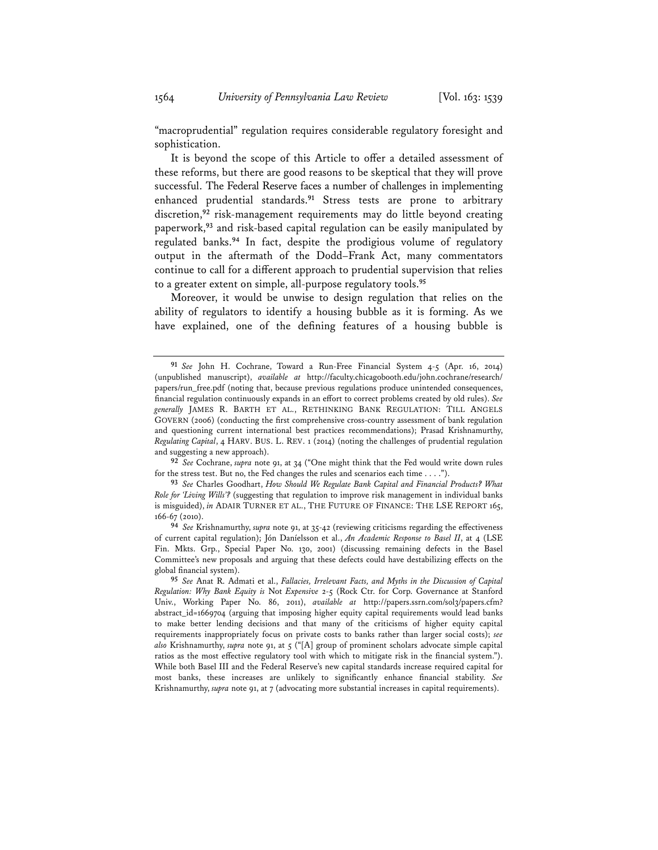"macroprudential" regulation requires considerable regulatory foresight and sophistication.

It is beyond the scope of this Article to offer a detailed assessment of these reforms, but there are good reasons to be skeptical that they will prove successful. The Federal Reserve faces a number of challenges in implementing enhanced prudential standards.**<sup>91</sup>** Stress tests are prone to arbitrary discretion,**<sup>92</sup>** risk-management requirements may do little beyond creating paperwork,**<sup>93</sup>** and risk-based capital regulation can be easily manipulated by regulated banks.**<sup>94</sup>** In fact, despite the prodigious volume of regulatory output in the aftermath of the Dodd–Frank Act, many commentators continue to call for a different approach to prudential supervision that relies to a greater extent on simple, all-purpose regulatory tools.**<sup>95</sup>**

Moreover, it would be unwise to design regulation that relies on the ability of regulators to identify a housing bubble as it is forming. As we have explained, one of the defining features of a housing bubble is

**<sup>91</sup>** *See* John H. Cochrane, Toward a Run-Free Financial System 4-5 (Apr. 16, 2014) (unpublished manuscript), *available at* http://faculty.chicagobooth.edu/john.cochrane/research/ papers/run\_free.pdf (noting that, because previous regulations produce unintended consequences, financial regulation continuously expands in an effort to correct problems created by old rules). *See generally* JAMES R. BARTH ET AL., RETHINKING BANK REGULATION: TILL ANGELS GOVERN (2006) (conducting the first comprehensive cross-country assessment of bank regulation and questioning current international best practices recommendations); Prasad Krishnamurthy, *Regulating Capital*, 4 HARV. BUS. L. REV. 1 (2014) (noting the challenges of prudential regulation and suggesting a new approach).

**<sup>92</sup>** *See* Cochrane, *supra* note 91, at 34 ("One might think that the Fed would write down rules for the stress test. But no, the Fed changes the rules and scenarios each time . . . .").

**<sup>93</sup>** *See* Charles Goodhart, *How Should We Regulate Bank Capital and Financial Products? What Role for 'Living Wills'?* (suggesting that regulation to improve risk management in individual banks is misguided), *in* ADAIR TURNER ET AL., THE FUTURE OF FINANCE: THE LSE REPORT 165, 166-67 (2010).

**<sup>94</sup>** *See* Krishnamurthy, *supra* note 91, at 35-42 (reviewing criticisms regarding the effectiveness of current capital regulation); Jón Daníelsson et al., *An Academic Response to Basel II*, at 4 (LSE Fin. Mkts. Grp., Special Paper No. 130, 2001) (discussing remaining defects in the Basel Committee's new proposals and arguing that these defects could have destabilizing effects on the global financial system).

**<sup>95</sup>** *See* Anat R. Admati et al., *Fallacies, Irrelevant Facts, and Myths in the Discussion of Capital Regulation: Why Bank Equity is* Not *Expensive* 2-5 (Rock Ctr. for Corp. Governance at Stanford Univ., Working Paper No. 86, 2011), *available at* http://papers.ssrn.com/sol3/papers.cfm? abstract\_id=1669704 (arguing that imposing higher equity capital requirements would lead banks to make better lending decisions and that many of the criticisms of higher equity capital requirements inappropriately focus on private costs to banks rather than larger social costs); *see also* Krishnamurthy, *supra* note 91, at 5 ("[A] group of prominent scholars advocate simple capital ratios as the most effective regulatory tool with which to mitigate risk in the financial system."). While both Basel III and the Federal Reserve's new capital standards increase required capital for most banks, these increases are unlikely to significantly enhance financial stability. *See* Krishnamurthy, *supra* note 91, at 7 (advocating more substantial increases in capital requirements).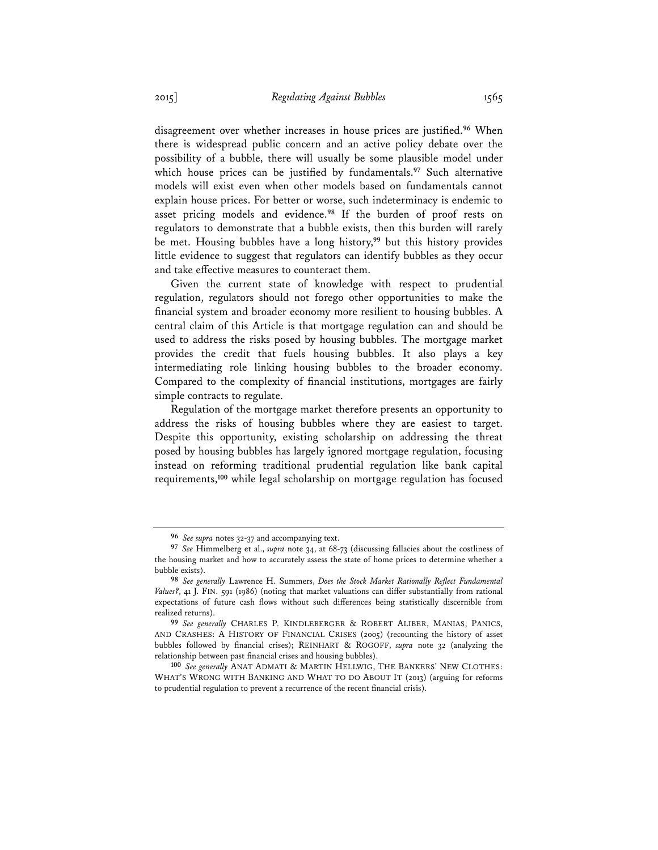disagreement over whether increases in house prices are justified.**<sup>96</sup>** When there is widespread public concern and an active policy debate over the possibility of a bubble, there will usually be some plausible model under which house prices can be justified by fundamentals.**<sup>97</sup>** Such alternative models will exist even when other models based on fundamentals cannot explain house prices. For better or worse, such indeterminacy is endemic to asset pricing models and evidence.**<sup>98</sup>** If the burden of proof rests on regulators to demonstrate that a bubble exists, then this burden will rarely be met. Housing bubbles have a long history,**<sup>99</sup>** but this history provides little evidence to suggest that regulators can identify bubbles as they occur and take effective measures to counteract them.

Given the current state of knowledge with respect to prudential regulation, regulators should not forego other opportunities to make the financial system and broader economy more resilient to housing bubbles. A central claim of this Article is that mortgage regulation can and should be used to address the risks posed by housing bubbles. The mortgage market provides the credit that fuels housing bubbles. It also plays a key intermediating role linking housing bubbles to the broader economy. Compared to the complexity of financial institutions, mortgages are fairly simple contracts to regulate.

Regulation of the mortgage market therefore presents an opportunity to address the risks of housing bubbles where they are easiest to target. Despite this opportunity, existing scholarship on addressing the threat posed by housing bubbles has largely ignored mortgage regulation, focusing instead on reforming traditional prudential regulation like bank capital requirements,**<sup>100</sup>** while legal scholarship on mortgage regulation has focused

**<sup>96</sup>** *See supra* notes 32-37 and accompanying text.

**<sup>97</sup>** *See* Himmelberg et al., *supra* note 34, at 68-73 (discussing fallacies about the costliness of the housing market and how to accurately assess the state of home prices to determine whether a bubble exists).

**<sup>98</sup>** *See generally* Lawrence H. Summers, *Does the Stock Market Rationally Reflect Fundamental Values?*, 41 J. FIN. 591 (1986) (noting that market valuations can differ substantially from rational expectations of future cash flows without such differences being statistically discernible from realized returns).

**<sup>99</sup>** *See generally* CHARLES P. KINDLEBERGER & ROBERT ALIBER, MANIAS, PANICS, AND CRASHES: A HISTORY OF FINANCIAL CRISES (2005) (recounting the history of asset bubbles followed by financial crises); REINHART & ROGOFF, *supra* note 32 (analyzing the relationship between past financial crises and housing bubbles).

**<sup>100</sup>** *See generally* ANAT ADMATI & MARTIN HELLWIG, THE BANKERS' NEW CLOTHES: WHAT'S WRONG WITH BANKING AND WHAT TO DO ABOUT IT (2013) (arguing for reforms to prudential regulation to prevent a recurrence of the recent financial crisis).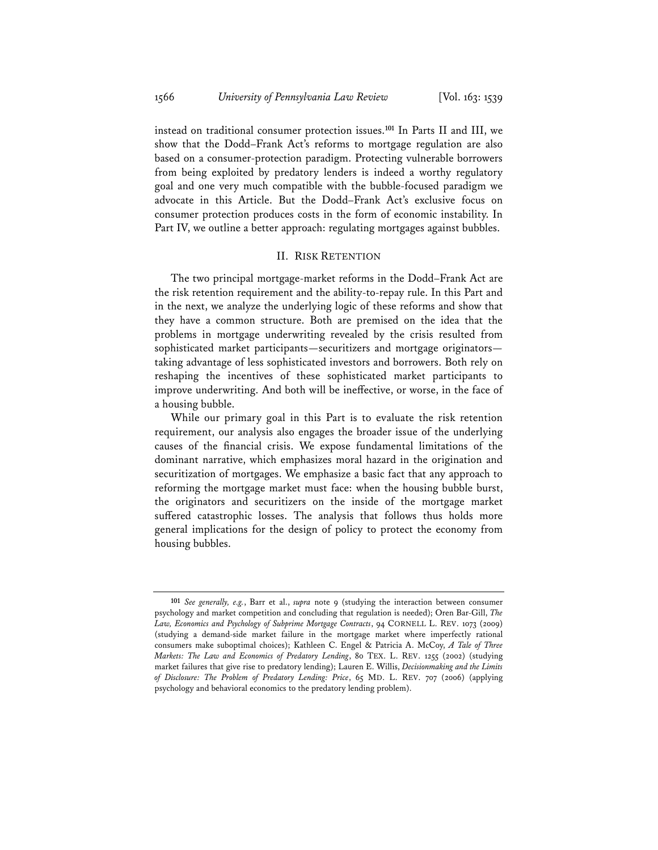instead on traditional consumer protection issues.**<sup>101</sup>** In Parts II and III, we show that the Dodd–Frank Act's reforms to mortgage regulation are also based on a consumer-protection paradigm. Protecting vulnerable borrowers from being exploited by predatory lenders is indeed a worthy regulatory goal and one very much compatible with the bubble-focused paradigm we advocate in this Article. But the Dodd–Frank Act's exclusive focus on consumer protection produces costs in the form of economic instability. In Part IV, we outline a better approach: regulating mortgages against bubbles.

### II. RISK RETENTION

The two principal mortgage-market reforms in the Dodd–Frank Act are the risk retention requirement and the ability-to-repay rule. In this Part and in the next, we analyze the underlying logic of these reforms and show that they have a common structure. Both are premised on the idea that the problems in mortgage underwriting revealed by the crisis resulted from sophisticated market participants—securitizers and mortgage originators taking advantage of less sophisticated investors and borrowers. Both rely on reshaping the incentives of these sophisticated market participants to improve underwriting. And both will be ineffective, or worse, in the face of a housing bubble.

While our primary goal in this Part is to evaluate the risk retention requirement, our analysis also engages the broader issue of the underlying causes of the financial crisis. We expose fundamental limitations of the dominant narrative, which emphasizes moral hazard in the origination and securitization of mortgages. We emphasize a basic fact that any approach to reforming the mortgage market must face: when the housing bubble burst, the originators and securitizers on the inside of the mortgage market suffered catastrophic losses. The analysis that follows thus holds more general implications for the design of policy to protect the economy from housing bubbles.

**<sup>101</sup>** *See generally, e.g.*, Barr et al., *supra* note 9 (studying the interaction between consumer psychology and market competition and concluding that regulation is needed); Oren Bar-Gill, *The Law, Economics and Psychology of Subprime Mortgage Contracts*, 94 CORNELL L. REV. 1073 (2009) (studying a demand-side market failure in the mortgage market where imperfectly rational consumers make suboptimal choices); Kathleen C. Engel & Patricia A. McCoy, *A Tale of Three Markets: The Law and Economics of Predatory Lending*, 80 TEX. L. REV. 1255 (2002) (studying market failures that give rise to predatory lending); Lauren E. Willis, *Decisionmaking and the Limits of Disclosure: The Problem of Predatory Lending: Price*, 65 MD. L. REV. 707 (2006) (applying psychology and behavioral economics to the predatory lending problem).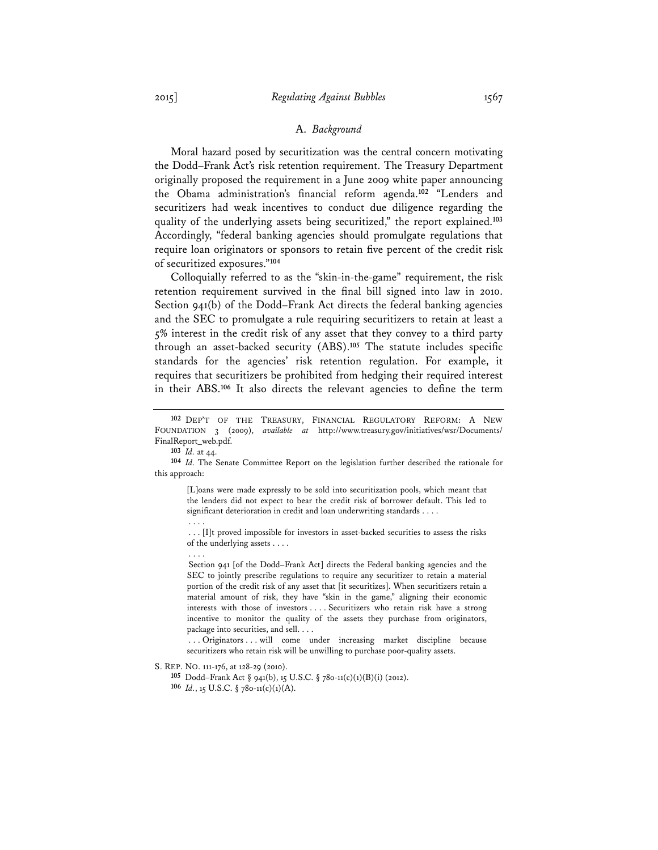#### A. *Background*

Moral hazard posed by securitization was the central concern motivating the Dodd–Frank Act's risk retention requirement. The Treasury Department originally proposed the requirement in a June 2009 white paper announcing the Obama administration's financial reform agenda.**<sup>102</sup>** "Lenders and securitizers had weak incentives to conduct due diligence regarding the quality of the underlying assets being securitized," the report explained.**<sup>103</sup>** Accordingly, "federal banking agencies should promulgate regulations that require loan originators or sponsors to retain five percent of the credit risk of securitized exposures."**<sup>104</sup>**

Colloquially referred to as the "skin-in-the-game" requirement, the risk retention requirement survived in the final bill signed into law in 2010. Section 941(b) of the Dodd–Frank Act directs the federal banking agencies and the SEC to promulgate a rule requiring securitizers to retain at least a 5% interest in the credit risk of any asset that they convey to a third party through an asset-backed security (ABS).**<sup>105</sup>** The statute includes specific standards for the agencies' risk retention regulation. For example, it requires that securitizers be prohibited from hedging their required interest in their ABS.**<sup>106</sup>** It also directs the relevant agencies to define the term

. . . .

[L]oans were made expressly to be sold into securitization pools, which meant that the lenders did not expect to bear the credit risk of borrower default. This led to significant deterioration in credit and loan underwriting standards . . . . . . . .

. . . [I]t proved impossible for investors in asset-backed securities to assess the risks of the underlying assets . . . .

Section 941 [of the Dodd–Frank Act] directs the Federal banking agencies and the SEC to jointly prescribe regulations to require any securitizer to retain a material portion of the credit risk of any asset that [it securitizes]. When securitizers retain a material amount of risk, they have "skin in the game," aligning their economic interests with those of investors . . . . Securitizers who retain risk have a strong incentive to monitor the quality of the assets they purchase from originators, package into securities, and sell. . . .

. . . Originators . . . will come under increasing market discipline because securitizers who retain risk will be unwilling to purchase poor-quality assets.

S. REP. NO. 111-176, at 128-29 (2010).

**105** Dodd–Frank Act § 941(b), 15 U.S.C. § 78o-11(c)(1)(B)(i) (2012).

**106** *Id.*, 15 U.S.C. § 78o-11(c)(1)(A).

**<sup>102</sup>** DEP'T OF THE TREASURY, FINANCIAL REGULATORY REFORM: A NEW FOUNDATION 3 (2009), *available at* http://www.treasury.gov/initiatives/wsr/Documents/ FinalReport\_web.pdf.

**<sup>103</sup>** *Id.* at 44.

**<sup>104</sup>** *Id.* The Senate Committee Report on the legislation further described the rationale for this approach: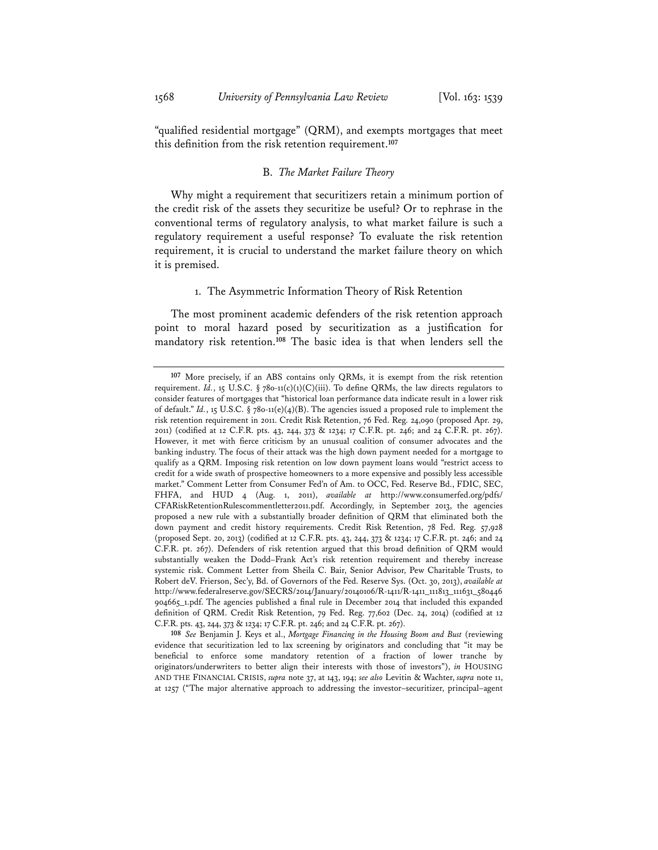"qualified residential mortgage" (QRM), and exempts mortgages that meet this definition from the risk retention requirement.**<sup>107</sup>**

#### B. *The Market Failure Theory*

Why might a requirement that securitizers retain a minimum portion of the credit risk of the assets they securitize be useful? Or to rephrase in the conventional terms of regulatory analysis, to what market failure is such a regulatory requirement a useful response? To evaluate the risk retention requirement, it is crucial to understand the market failure theory on which it is premised.

#### 1. The Asymmetric Information Theory of Risk Retention

The most prominent academic defenders of the risk retention approach point to moral hazard posed by securitization as a justification for mandatory risk retention.**<sup>108</sup>** The basic idea is that when lenders sell the

**108** *See* Benjamin J. Keys et al., *Mortgage Financing in the Housing Boom and Bust* (reviewing evidence that securitization led to lax screening by originators and concluding that "it may be beneficial to enforce some mandatory retention of a fraction of lower tranche by originators/underwriters to better align their interests with those of investors"), *in* HOUSING AND THE FINANCIAL CRISIS, *supra* note 37, at 143, 194; *see also* Levitin & Wachter, *supra* note 11, at 1257 ("The major alternative approach to addressing the investor–securitizer, principal–agent

**<sup>107</sup>** More precisely, if an ABS contains only QRMs, it is exempt from the risk retention requirement. *Id.*, 15 U.S.C. § 780-11(c)(1)(C)(iii). To define QRMs, the law directs regulators to consider features of mortgages that "historical loan performance data indicate result in a lower risk of default." *Id.*, 15 U.S.C. § 78o-11(e)(4)(B). The agencies issued a proposed rule to implement the risk retention requirement in 2011. Credit Risk Retention, 76 Fed. Reg. 24,090 (proposed Apr. 29, 2011) (codified at 12 C.F.R. pts. 43, 244, 373 & 1234; 17 C.F.R. pt. 246; and 24 C.F.R. pt. 267). However, it met with fierce criticism by an unusual coalition of consumer advocates and the banking industry. The focus of their attack was the high down payment needed for a mortgage to qualify as a QRM. Imposing risk retention on low down payment loans would "restrict access to credit for a wide swath of prospective homeowners to a more expensive and possibly less accessible market." Comment Letter from Consumer Fed'n of Am. to OCC, Fed. Reserve Bd., FDIC, SEC, FHFA, and HUD 4 (Aug. 1, 2011), *available at* http://www.consumerfed.org/pdfs/ CFARiskRetentionRulescommentletter2011.pdf. Accordingly, in September 2013, the agencies proposed a new rule with a substantially broader definition of QRM that eliminated both the down payment and credit history requirements. Credit Risk Retention, 78 Fed. Reg. 57,928 (proposed Sept. 20, 2013) (codified at 12 C.F.R. pts. 43, 244, 373 & 1234; 17 C.F.R. pt. 246; and 24 C.F.R. pt. 267). Defenders of risk retention argued that this broad definition of QRM would substantially weaken the Dodd–Frank Act's risk retention requirement and thereby increase systemic risk. Comment Letter from Sheila C. Bair, Senior Advisor, Pew Charitable Trusts, to Robert deV. Frierson, Sec'y, Bd. of Governors of the Fed. Reserve Sys. (Oct. 30, 2013), *available at* http://www.federalreserve.gov/SECRS/2014/January/20140106/R-1411/R-1411\_111813\_111631\_580446 904665\_1.pdf. The agencies published a final rule in December 2014 that included this expanded definition of QRM. Credit Risk Retention, 79 Fed. Reg. 77,602 (Dec. 24, 2014) (codified at 12 C.F.R. pts. 43, 244, 373 & 1234; 17 C.F.R. pt. 246; and 24 C.F.R. pt. 267).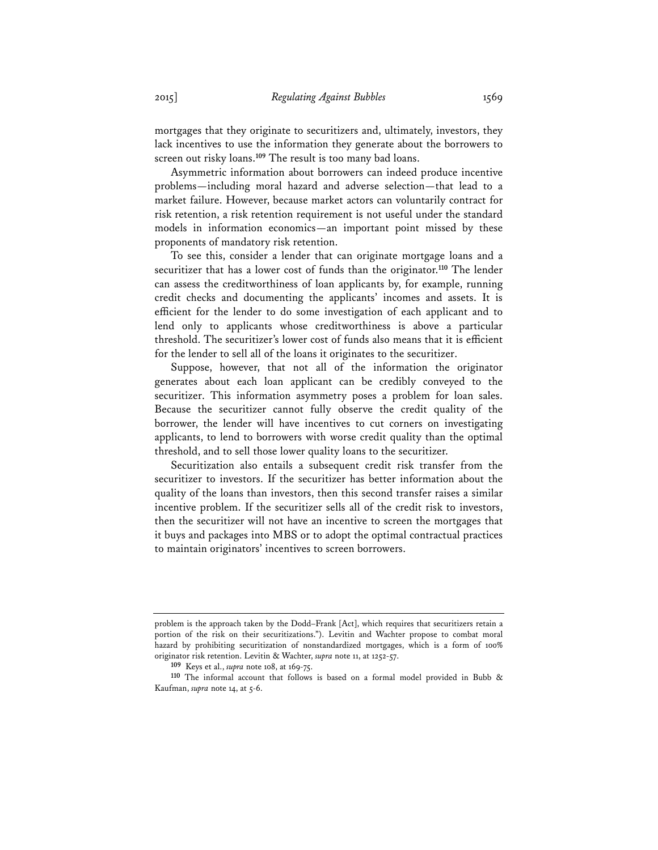mortgages that they originate to securitizers and, ultimately, investors, they lack incentives to use the information they generate about the borrowers to screen out risky loans.**<sup>109</sup>** The result is too many bad loans.

Asymmetric information about borrowers can indeed produce incentive problems—including moral hazard and adverse selection—that lead to a market failure. However, because market actors can voluntarily contract for risk retention, a risk retention requirement is not useful under the standard models in information economics—an important point missed by these proponents of mandatory risk retention.

To see this, consider a lender that can originate mortgage loans and a securitizer that has a lower cost of funds than the originator.**<sup>110</sup>** The lender can assess the creditworthiness of loan applicants by, for example, running credit checks and documenting the applicants' incomes and assets. It is efficient for the lender to do some investigation of each applicant and to lend only to applicants whose creditworthiness is above a particular threshold. The securitizer's lower cost of funds also means that it is efficient for the lender to sell all of the loans it originates to the securitizer.

Suppose, however, that not all of the information the originator generates about each loan applicant can be credibly conveyed to the securitizer. This information asymmetry poses a problem for loan sales. Because the securitizer cannot fully observe the credit quality of the borrower, the lender will have incentives to cut corners on investigating applicants, to lend to borrowers with worse credit quality than the optimal threshold, and to sell those lower quality loans to the securitizer.

Securitization also entails a subsequent credit risk transfer from the securitizer to investors. If the securitizer has better information about the quality of the loans than investors, then this second transfer raises a similar incentive problem. If the securitizer sells all of the credit risk to investors, then the securitizer will not have an incentive to screen the mortgages that it buys and packages into MBS or to adopt the optimal contractual practices to maintain originators' incentives to screen borrowers.

problem is the approach taken by the Dodd–Frank [Act], which requires that securitizers retain a portion of the risk on their securitizations."). Levitin and Wachter propose to combat moral hazard by prohibiting securitization of nonstandardized mortgages, which is a form of 100% originator risk retention. Levitin & Wachter, *supra* note 11, at 1252-57.

**<sup>109</sup>** Keys et al., *supra* note 108, at 169-75.

**<sup>110</sup>** The informal account that follows is based on a formal model provided in Bubb & Kaufman, *supra* note 14, at 5-6.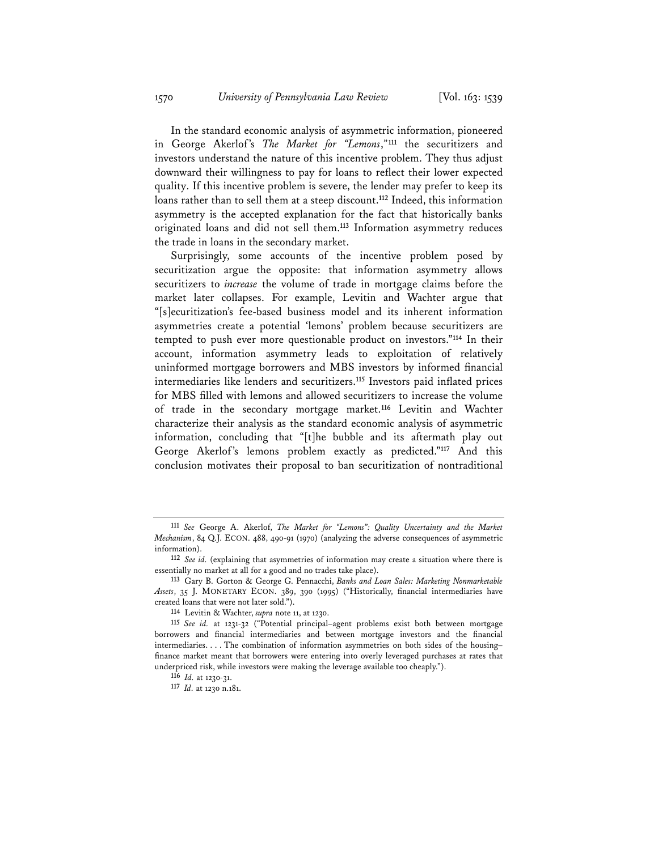In the standard economic analysis of asymmetric information, pioneered in George Akerlof's *The Market for "Lemons*,*"***<sup>111</sup>** the securitizers and investors understand the nature of this incentive problem. They thus adjust downward their willingness to pay for loans to reflect their lower expected quality. If this incentive problem is severe, the lender may prefer to keep its loans rather than to sell them at a steep discount.**<sup>112</sup>** Indeed, this information asymmetry is the accepted explanation for the fact that historically banks originated loans and did not sell them.**<sup>113</sup>** Information asymmetry reduces the trade in loans in the secondary market.

Surprisingly, some accounts of the incentive problem posed by securitization argue the opposite: that information asymmetry allows securitizers to *increase* the volume of trade in mortgage claims before the market later collapses. For example, Levitin and Wachter argue that "[s]ecuritization's fee-based business model and its inherent information asymmetries create a potential 'lemons' problem because securitizers are tempted to push ever more questionable product on investors."**<sup>114</sup>** In their account, information asymmetry leads to exploitation of relatively uninformed mortgage borrowers and MBS investors by informed financial intermediaries like lenders and securitizers.**<sup>115</sup>** Investors paid inflated prices for MBS filled with lemons and allowed securitizers to increase the volume of trade in the secondary mortgage market.**<sup>116</sup>** Levitin and Wachter characterize their analysis as the standard economic analysis of asymmetric information, concluding that "[t]he bubble and its aftermath play out George Akerlof's lemons problem exactly as predicted."**<sup>117</sup>** And this conclusion motivates their proposal to ban securitization of nontraditional

**<sup>111</sup>** *See* George A. Akerlof, *The Market for "Lemons": Quality Uncertainty and the Market Mechanism*, 84 Q.J. ECON. 488, 490-91 (1970) (analyzing the adverse consequences of asymmetric information).

**<sup>112</sup>** *See id.* (explaining that asymmetries of information may create a situation where there is essentially no market at all for a good and no trades take place).

**<sup>113</sup>** Gary B. Gorton & George G. Pennacchi, *Banks and Loan Sales: Marketing Nonmarketable Assets*, 35 J. MONETARY ECON. 389, 390 (1995) ("Historically, financial intermediaries have created loans that were not later sold.").

**<sup>114</sup>** Levitin & Wachter, *supra* note 11, at 1230.

**<sup>115</sup>** *See id.* at 1231-32 ("Potential principal–agent problems exist both between mortgage borrowers and financial intermediaries and between mortgage investors and the financial intermediaries. . . . The combination of information asymmetries on both sides of the housing– finance market meant that borrowers were entering into overly leveraged purchases at rates that underpriced risk, while investors were making the leverage available too cheaply.").

**<sup>116</sup>** *Id.* at 1230-31.

**<sup>117</sup>** *Id.* at 1230 n.181.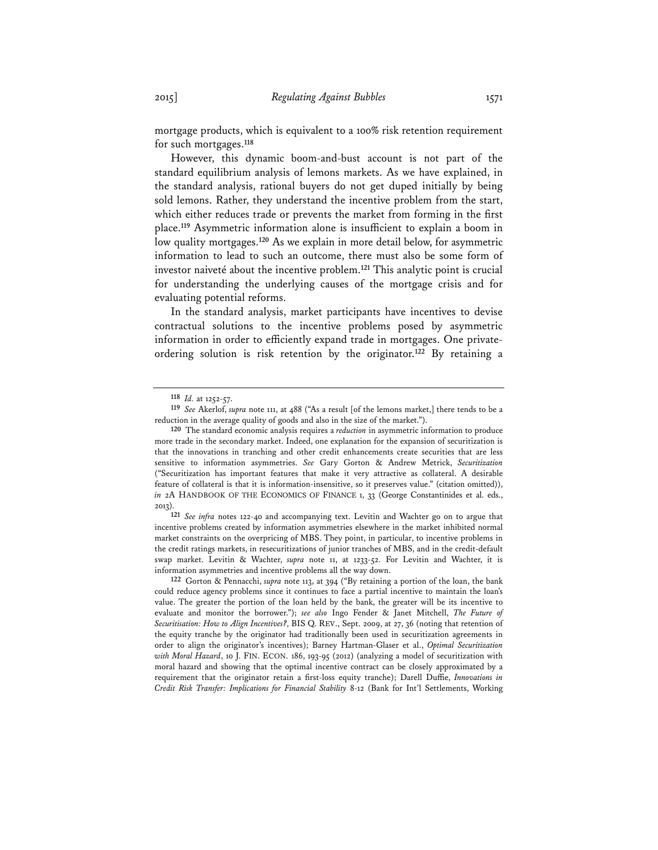mortgage products, which is equivalent to a 100% risk retention requirement for such mortgages.**<sup>118</sup>**

However, this dynamic boom-and-bust account is not part of the standard equilibrium analysis of lemons markets. As we have explained, in the standard analysis, rational buyers do not get duped initially by being sold lemons. Rather, they understand the incentive problem from the start, which either reduces trade or prevents the market from forming in the first place.**<sup>119</sup>** Asymmetric information alone is insufficient to explain a boom in low quality mortgages.**<sup>120</sup>** As we explain in more detail below, for asymmetric information to lead to such an outcome, there must also be some form of investor naiveté about the incentive problem.**<sup>121</sup>** This analytic point is crucial for understanding the underlying causes of the mortgage crisis and for evaluating potential reforms.

In the standard analysis, market participants have incentives to devise contractual solutions to the incentive problems posed by asymmetric information in order to efficiently expand trade in mortgages. One privateordering solution is risk retention by the originator.**<sup>122</sup>** By retaining a

**121** *See infra* notes 122-40 and accompanying text. Levitin and Wachter go on to argue that incentive problems created by information asymmetries elsewhere in the market inhibited normal market constraints on the overpricing of MBS. They point, in particular, to incentive problems in the credit ratings markets, in resecuritizations of junior tranches of MBS, and in the credit-default swap market. Levitin & Wachter, *supra* note 11, at 1233-52. For Levitin and Wachter, it is information asymmetries and incentive problems all the way down.

**<sup>118</sup>** *Id.* at 1252-57.

**<sup>119</sup>** *See* Akerlof, *supra* note 111, at 488 ("As a result [of the lemons market,] there tends to be a reduction in the average quality of goods and also in the size of the market.").

**<sup>120</sup>** The standard economic analysis requires a *reduction* in asymmetric information to produce more trade in the secondary market. Indeed, one explanation for the expansion of securitization is that the innovations in tranching and other credit enhancements create securities that are less sensitive to information asymmetries. *See* Gary Gorton & Andrew Metrick, *Securitization* ("Securitization has important features that make it very attractive as collateral. A desirable feature of collateral is that it is information-insensitive, so it preserves value." (citation omitted)), *in* 2A HANDBOOK OF THE ECONOMICS OF FINANCE 1, 33 (George Constantinides et al. eds., 2013).

**<sup>122</sup>** Gorton & Pennacchi, *supra* note 113, at 394 ("By retaining a portion of the loan, the bank could reduce agency problems since it continues to face a partial incentive to maintain the loan's value. The greater the portion of the loan held by the bank, the greater will be its incentive to evaluate and monitor the borrower."); *see also* Ingo Fender & Janet Mitchell, *The Future of Securitisation: How to Align Incentives?*, BIS Q. REV., Sept. 2009, at 27, 36 (noting that retention of the equity tranche by the originator had traditionally been used in securitization agreements in order to align the originator's incentives); Barney Hartman-Glaser et al., *Optimal Securitization with Moral Hazard*, 10 J. FIN. ECON. 186, 193-95 (2012) (analyzing a model of securitization with moral hazard and showing that the optimal incentive contract can be closely approximated by a requirement that the originator retain a first-loss equity tranche); Darell Duffie, *Innovations in Credit Risk Transfer: Implications for Financial Stability* 8-12 (Bank for Int'l Settlements, Working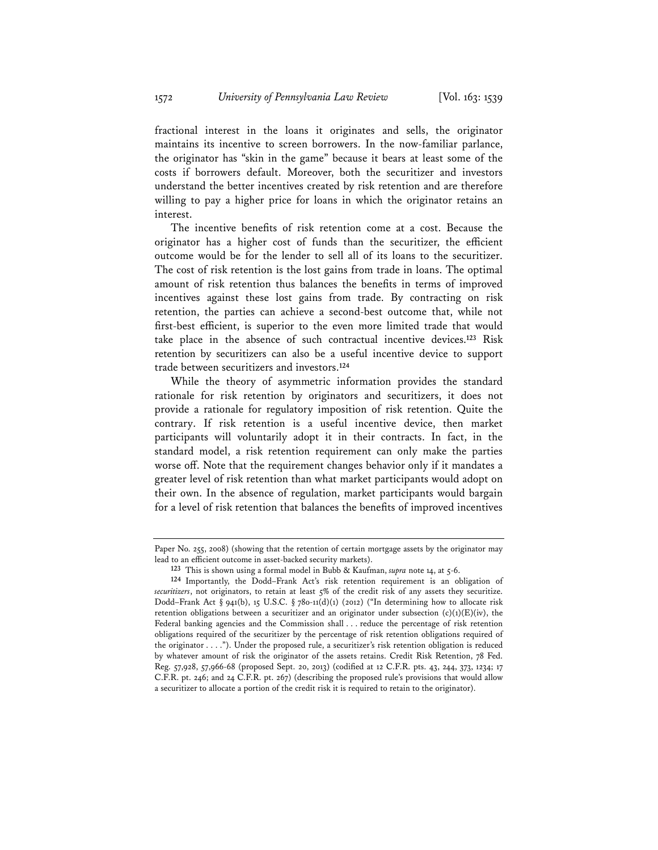fractional interest in the loans it originates and sells, the originator maintains its incentive to screen borrowers. In the now-familiar parlance, the originator has "skin in the game" because it bears at least some of the costs if borrowers default. Moreover, both the securitizer and investors understand the better incentives created by risk retention and are therefore willing to pay a higher price for loans in which the originator retains an interest.

The incentive benefits of risk retention come at a cost. Because the originator has a higher cost of funds than the securitizer, the efficient outcome would be for the lender to sell all of its loans to the securitizer. The cost of risk retention is the lost gains from trade in loans. The optimal amount of risk retention thus balances the benefits in terms of improved incentives against these lost gains from trade. By contracting on risk retention, the parties can achieve a second-best outcome that, while not first-best efficient, is superior to the even more limited trade that would take place in the absence of such contractual incentive devices.**<sup>123</sup>** Risk retention by securitizers can also be a useful incentive device to support trade between securitizers and investors.**<sup>124</sup>**

While the theory of asymmetric information provides the standard rationale for risk retention by originators and securitizers, it does not provide a rationale for regulatory imposition of risk retention. Quite the contrary. If risk retention is a useful incentive device, then market participants will voluntarily adopt it in their contracts. In fact, in the standard model, a risk retention requirement can only make the parties worse off. Note that the requirement changes behavior only if it mandates a greater level of risk retention than what market participants would adopt on their own. In the absence of regulation, market participants would bargain for a level of risk retention that balances the benefits of improved incentives

Paper No. 255, 2008) (showing that the retention of certain mortgage assets by the originator may lead to an efficient outcome in asset-backed security markets).

**<sup>123</sup>** This is shown using a formal model in Bubb & Kaufman, *supra* note 14, at 5-6.

**<sup>124</sup>** Importantly, the Dodd–Frank Act's risk retention requirement is an obligation of securitizers, not originators, to retain at least 5% of the credit risk of any assets they securitize. Dodd–Frank Act § 941(b), 15 U.S.C. § 780-11(d)(1) (2012) ("In determining how to allocate risk retention obligations between a securitizer and an originator under subsection  $(c)(1)(E)(iv)$ , the Federal banking agencies and the Commission shall . . . reduce the percentage of risk retention obligations required of the securitizer by the percentage of risk retention obligations required of the originator . . . ."). Under the proposed rule, a securitizer's risk retention obligation is reduced by whatever amount of risk the originator of the assets retains. Credit Risk Retention, 78 Fed. Reg. 57,928, 57,966-68 (proposed Sept. 20, 2013) (codified at 12 C.F.R. pts. 43, 244, 373, 1234; 17 C.F.R. pt. 246; and 24 C.F.R. pt. 267) (describing the proposed rule's provisions that would allow a securitizer to allocate a portion of the credit risk it is required to retain to the originator).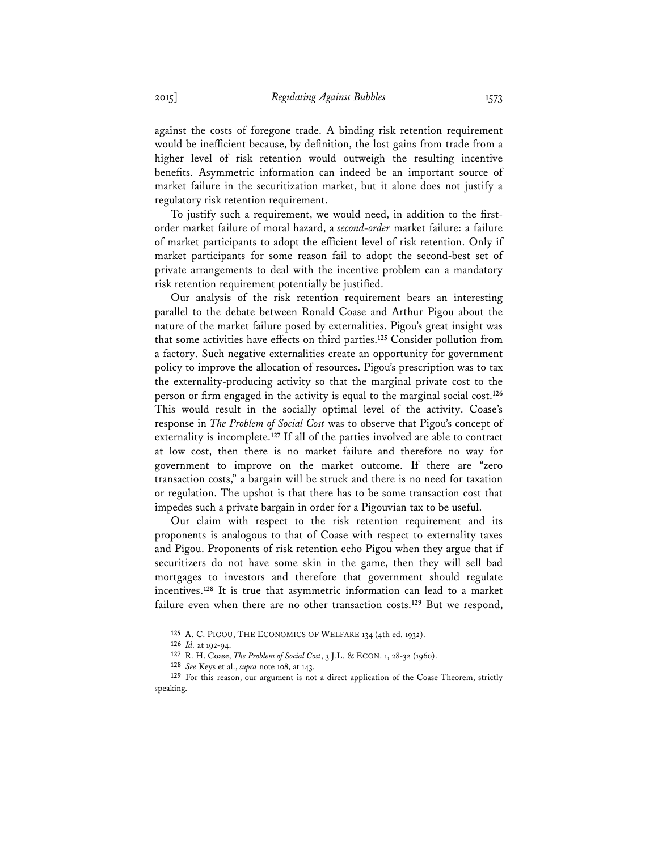against the costs of foregone trade. A binding risk retention requirement would be inefficient because, by definition, the lost gains from trade from a higher level of risk retention would outweigh the resulting incentive benefits. Asymmetric information can indeed be an important source of market failure in the securitization market, but it alone does not justify a regulatory risk retention requirement.

To justify such a requirement, we would need, in addition to the firstorder market failure of moral hazard, a *second-order* market failure: a failure of market participants to adopt the efficient level of risk retention. Only if market participants for some reason fail to adopt the second-best set of private arrangements to deal with the incentive problem can a mandatory risk retention requirement potentially be justified.

Our analysis of the risk retention requirement bears an interesting parallel to the debate between Ronald Coase and Arthur Pigou about the nature of the market failure posed by externalities. Pigou's great insight was that some activities have effects on third parties.**<sup>125</sup>** Consider pollution from a factory. Such negative externalities create an opportunity for government policy to improve the allocation of resources. Pigou's prescription was to tax the externality-producing activity so that the marginal private cost to the person or firm engaged in the activity is equal to the marginal social cost.**<sup>126</sup>** This would result in the socially optimal level of the activity. Coase's response in *The Problem of Social Cost* was to observe that Pigou's concept of externality is incomplete.**<sup>127</sup>** If all of the parties involved are able to contract at low cost, then there is no market failure and therefore no way for government to improve on the market outcome. If there are "zero transaction costs," a bargain will be struck and there is no need for taxation or regulation. The upshot is that there has to be some transaction cost that impedes such a private bargain in order for a Pigouvian tax to be useful.

Our claim with respect to the risk retention requirement and its proponents is analogous to that of Coase with respect to externality taxes and Pigou. Proponents of risk retention echo Pigou when they argue that if securitizers do not have some skin in the game, then they will sell bad mortgages to investors and therefore that government should regulate incentives.**<sup>128</sup>** It is true that asymmetric information can lead to a market failure even when there are no other transaction costs.**<sup>129</sup>** But we respond,

**<sup>125</sup>** A. C. PIGOU, THE ECONOMICS OF WELFARE 134 (4th ed. 1932).

**<sup>126</sup>** *Id.* at 192-94.

**<sup>127</sup>** R. H. Coase, *The Problem of Social Cost*, 3 J.L. & ECON. 1, 28-32 (1960).

**<sup>128</sup>** *See* Keys et al., *supra* note 108, at 143.

**<sup>129</sup>** For this reason, our argument is not a direct application of the Coase Theorem, strictly speaking.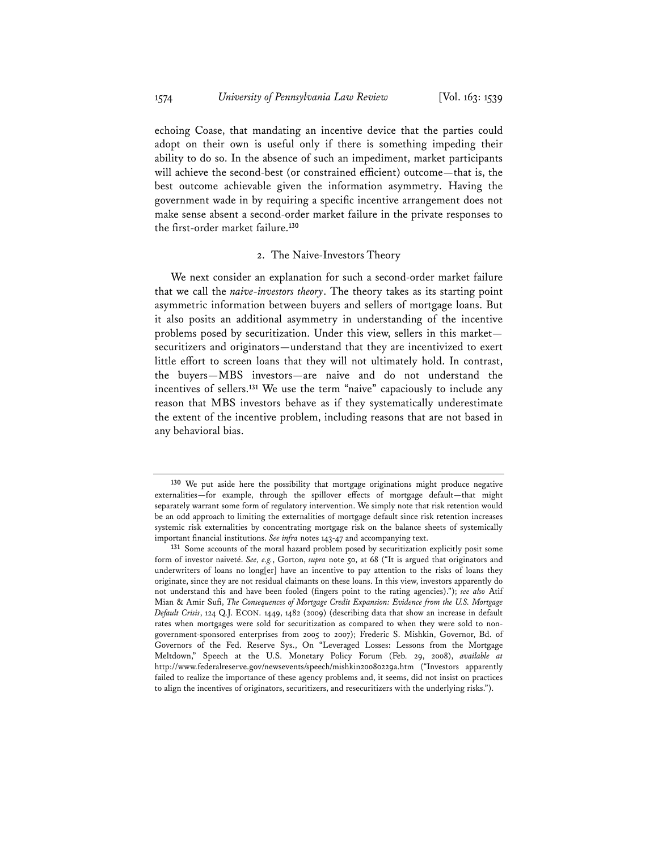echoing Coase, that mandating an incentive device that the parties could adopt on their own is useful only if there is something impeding their ability to do so. In the absence of such an impediment, market participants will achieve the second-best (or constrained efficient) outcome—that is, the best outcome achievable given the information asymmetry. Having the government wade in by requiring a specific incentive arrangement does not make sense absent a second-order market failure in the private responses to the first-order market failure.**<sup>130</sup>**

#### 2. The Naive-Investors Theory

We next consider an explanation for such a second-order market failure that we call the *naive-investors theory*. The theory takes as its starting point asymmetric information between buyers and sellers of mortgage loans. But it also posits an additional asymmetry in understanding of the incentive problems posed by securitization. Under this view, sellers in this market securitizers and originators—understand that they are incentivized to exert little effort to screen loans that they will not ultimately hold. In contrast, the buyers—MBS investors—are naive and do not understand the incentives of sellers.**<sup>131</sup>** We use the term "naive" capaciously to include any reason that MBS investors behave as if they systematically underestimate the extent of the incentive problem, including reasons that are not based in any behavioral bias.

**<sup>130</sup>** We put aside here the possibility that mortgage originations might produce negative externalities—for example, through the spillover effects of mortgage default—that might separately warrant some form of regulatory intervention. We simply note that risk retention would be an odd approach to limiting the externalities of mortgage default since risk retention increases systemic risk externalities by concentrating mortgage risk on the balance sheets of systemically important financial institutions. *See infra* notes 143-47 and accompanying text.

**<sup>131</sup>** Some accounts of the moral hazard problem posed by securitization explicitly posit some form of investor naiveté. *See, e.g.*, Gorton, *supra* note 50, at 68 ("It is argued that originators and underwriters of loans no long[er] have an incentive to pay attention to the risks of loans they originate, since they are not residual claimants on these loans. In this view, investors apparently do not understand this and have been fooled (fingers point to the rating agencies)."); *see also* Atif Mian & Amir Sufi, *The Consequences of Mortgage Credit Expansion: Evidence from the U.S. Mortgage Default Crisis*, 124 Q.J. ECON. 1449, 1482 (2009) (describing data that show an increase in default rates when mortgages were sold for securitization as compared to when they were sold to nongovernment-sponsored enterprises from 2005 to 2007); Frederic S. Mishkin, Governor, Bd. of Governors of the Fed. Reserve Sys., On "Leveraged Losses: Lessons from the Mortgage Meltdown," Speech at the U.S. Monetary Policy Forum (Feb. 29, 2008), *available at* http://www.federalreserve.gov/newsevents/speech/mishkin20080229a.htm ("Investors apparently failed to realize the importance of these agency problems and, it seems, did not insist on practices to align the incentives of originators, securitizers, and resecuritizers with the underlying risks.").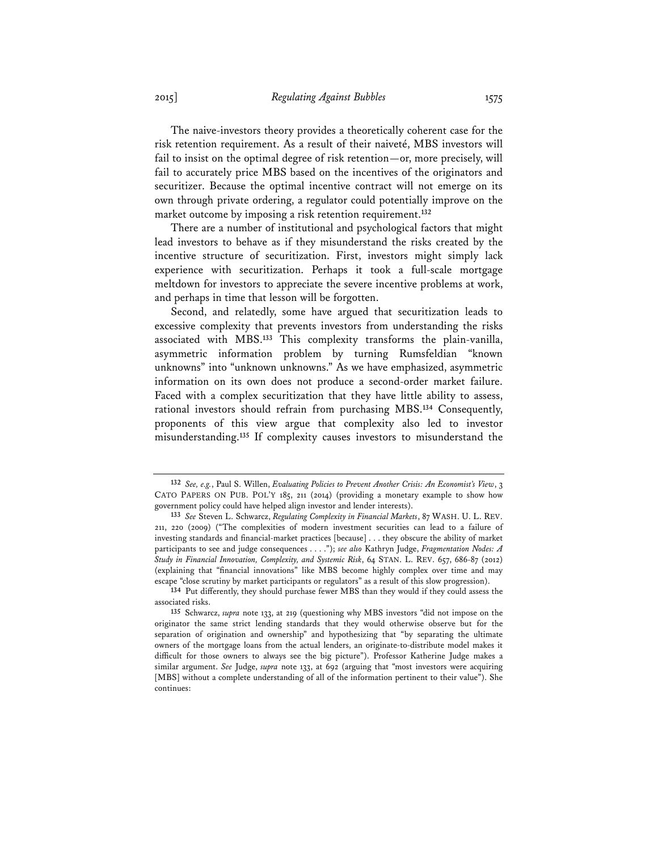The naive-investors theory provides a theoretically coherent case for the risk retention requirement. As a result of their naiveté, MBS investors will fail to insist on the optimal degree of risk retention—or, more precisely, will fail to accurately price MBS based on the incentives of the originators and securitizer. Because the optimal incentive contract will not emerge on its own through private ordering, a regulator could potentially improve on the market outcome by imposing a risk retention requirement.**<sup>132</sup>**

There are a number of institutional and psychological factors that might lead investors to behave as if they misunderstand the risks created by the incentive structure of securitization. First, investors might simply lack experience with securitization. Perhaps it took a full-scale mortgage meltdown for investors to appreciate the severe incentive problems at work, and perhaps in time that lesson will be forgotten.

Second, and relatedly, some have argued that securitization leads to excessive complexity that prevents investors from understanding the risks associated with MBS.**<sup>133</sup>** This complexity transforms the plain-vanilla, asymmetric information problem by turning Rumsfeldian "known unknowns" into "unknown unknowns." As we have emphasized, asymmetric information on its own does not produce a second-order market failure. Faced with a complex securitization that they have little ability to assess, rational investors should refrain from purchasing MBS.**<sup>134</sup>** Consequently, proponents of this view argue that complexity also led to investor misunderstanding.**<sup>135</sup>** If complexity causes investors to misunderstand the

**<sup>132</sup>** *See, e.g.*, Paul S. Willen, *Evaluating Policies to Prevent Another Crisis: An Economist's View*, 3 CATO PAPERS ON PUB. POL'Y 185, 211 (2014) (providing a monetary example to show how government policy could have helped align investor and lender interests).

**<sup>133</sup>** *See* Steven L. Schwarcz, *Regulating Complexity in Financial Markets*, 87 WASH. U. L. REV. 211, 220 (2009) ("The complexities of modern investment securities can lead to a failure of investing standards and financial-market practices [because] . . . they obscure the ability of market participants to see and judge consequences . . . ."); *see also* Kathryn Judge, *Fragmentation Nodes: A Study in Financial Innovation, Complexity, and Systemic Risk*, 64 STAN. L. REV. 657, 686-87 (2012) (explaining that "financial innovations" like MBS become highly complex over time and may escape "close scrutiny by market participants or regulators" as a result of this slow progression).

**<sup>134</sup>** Put differently, they should purchase fewer MBS than they would if they could assess the associated risks.

**<sup>135</sup>** Schwarcz, *supra* note 133, at 219 (questioning why MBS investors "did not impose on the originator the same strict lending standards that they would otherwise observe but for the separation of origination and ownership" and hypothesizing that "by separating the ultimate owners of the mortgage loans from the actual lenders, an originate-to-distribute model makes it difficult for those owners to always see the big picture"). Professor Katherine Judge makes a similar argument. *See* Judge, *supra* note 133, at 692 (arguing that "most investors were acquiring [MBS] without a complete understanding of all of the information pertinent to their value"). She continues: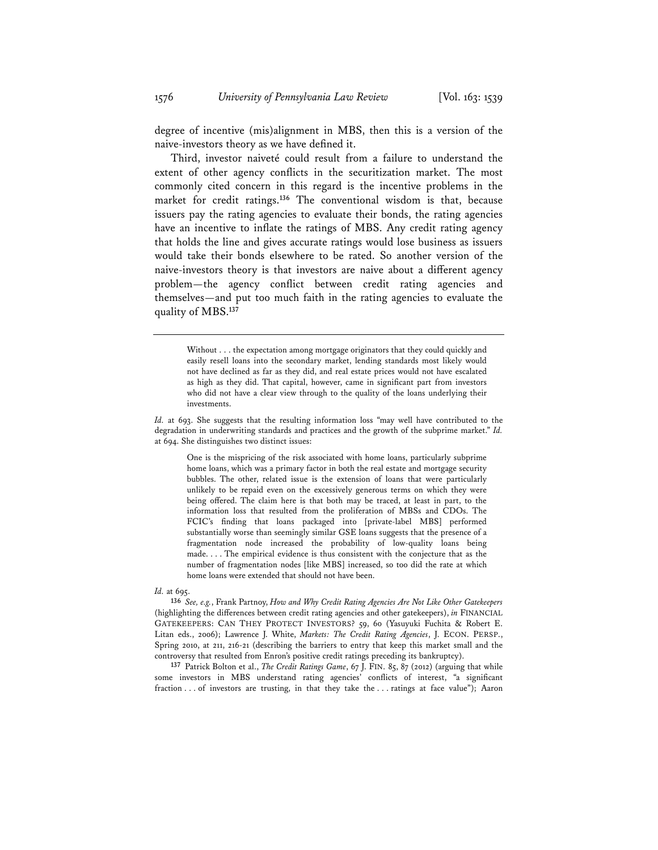degree of incentive (mis)alignment in MBS, then this is a version of the naive-investors theory as we have defined it.

Third, investor naiveté could result from a failure to understand the extent of other agency conflicts in the securitization market. The most commonly cited concern in this regard is the incentive problems in the market for credit ratings.**<sup>136</sup>** The conventional wisdom is that, because issuers pay the rating agencies to evaluate their bonds, the rating agencies have an incentive to inflate the ratings of MBS. Any credit rating agency that holds the line and gives accurate ratings would lose business as issuers would take their bonds elsewhere to be rated. So another version of the naive-investors theory is that investors are naive about a different agency problem—the agency conflict between credit rating agencies and themselves—and put too much faith in the rating agencies to evaluate the quality of MBS.**<sup>137</sup>**

Without . . . the expectation among mortgage originators that they could quickly and easily resell loans into the secondary market, lending standards most likely would not have declined as far as they did, and real estate prices would not have escalated as high as they did. That capital, however, came in significant part from investors who did not have a clear view through to the quality of the loans underlying their investments.

*Id.* at 693. She suggests that the resulting information loss "may well have contributed to the degradation in underwriting standards and practices and the growth of the subprime market." *Id.* at 694. She distinguishes two distinct issues:

One is the mispricing of the risk associated with home loans, particularly subprime home loans, which was a primary factor in both the real estate and mortgage security bubbles. The other, related issue is the extension of loans that were particularly unlikely to be repaid even on the excessively generous terms on which they were being offered. The claim here is that both may be traced, at least in part, to the information loss that resulted from the proliferation of MBSs and CDOs. The FCIC's finding that loans packaged into [private-label MBS] performed substantially worse than seemingly similar GSE loans suggests that the presence of a fragmentation node increased the probability of low-quality loans being made. . . . The empirical evidence is thus consistent with the conjecture that as the number of fragmentation nodes [like MBS] increased, so too did the rate at which home loans were extended that should not have been.

#### *Id.* at 695.

**136** *See, e.g.*, Frank Partnoy, *How and Why Credit Rating Agencies Are Not Like Other Gatekeepers* (highlighting the differences between credit rating agencies and other gatekeepers), *in* FINANCIAL GATEKEEPERS: CAN THEY PROTECT INVESTORS? 59, 60 (Yasuyuki Fuchita & Robert E. Litan eds., 2006); Lawrence J. White, *Markets: The Credit Rating Agencies*, J. ECON. PERSP., Spring 2010, at 211, 216-21 (describing the barriers to entry that keep this market small and the controversy that resulted from Enron's positive credit ratings preceding its bankruptcy).

**137** Patrick Bolton et al., *The Credit Ratings Game*, 67 J. FIN. 85, 87 (2012) (arguing that while some investors in MBS understand rating agencies' conflicts of interest, "a significant fraction . . . of investors are trusting, in that they take the . . . ratings at face value"); Aaron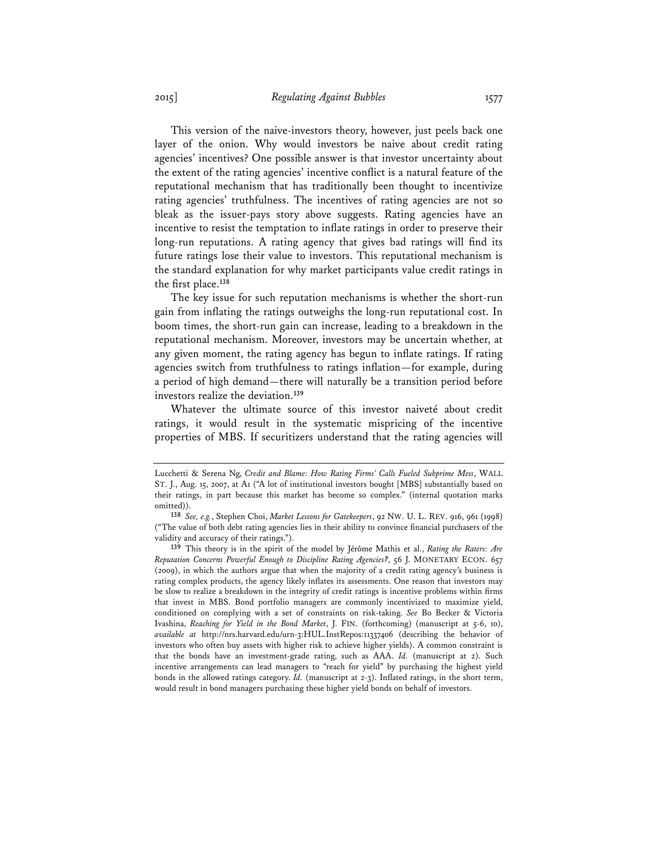This version of the naive-investors theory, however, just peels back one layer of the onion. Why would investors be naive about credit rating agencies' incentives? One possible answer is that investor uncertainty about the extent of the rating agencies' incentive conflict is a natural feature of the reputational mechanism that has traditionally been thought to incentivize rating agencies' truthfulness. The incentives of rating agencies are not so bleak as the issuer-pays story above suggests. Rating agencies have an incentive to resist the temptation to inflate ratings in order to preserve their long-run reputations. A rating agency that gives bad ratings will find its future ratings lose their value to investors. This reputational mechanism is the standard explanation for why market participants value credit ratings in the first place.**<sup>138</sup>**

The key issue for such reputation mechanisms is whether the short-run gain from inflating the ratings outweighs the long-run reputational cost. In boom times, the short-run gain can increase, leading to a breakdown in the reputational mechanism. Moreover, investors may be uncertain whether, at any given moment, the rating agency has begun to inflate ratings. If rating agencies switch from truthfulness to ratings inflation—for example, during a period of high demand—there will naturally be a transition period before investors realize the deviation.**<sup>139</sup>**

Whatever the ultimate source of this investor naiveté about credit ratings, it would result in the systematic mispricing of the incentive properties of MBS. If securitizers understand that the rating agencies will

Lucchetti & Serena Ng, *Credit and Blame: How Rating Firms' Calls Fueled Subprime Mess*, WALL ST. J., Aug. 15, 2007, at A1 ("A lot of institutional investors bought [MBS] substantially based on their ratings, in part because this market has become so complex." (internal quotation marks omitted)).

**<sup>138</sup>** *See, e.g.*, Stephen Choi, *Market Lessons for Gatekeepers*, 92 NW. U. L. REV. 916, 961 (1998) ("The value of both debt rating agencies lies in their ability to convince financial purchasers of the validity and accuracy of their ratings.").

**<sup>139</sup>** This theory is in the spirit of the model by Jérôme Mathis et al., *Rating the Raters: Are Reputation Concerns Powerful Enough to Discipline Rating Agencies?*, 56 J. MONETARY ECON. 657 (2009), in which the authors argue that when the majority of a credit rating agency's business is rating complex products, the agency likely inflates its assessments. One reason that investors may be slow to realize a breakdown in the integrity of credit ratings is incentive problems within firms that invest in MBS. Bond portfolio managers are commonly incentivized to maximize yield, conditioned on complying with a set of constraints on risk-taking. *See* Bo Becker & Victoria Ivashina, *Reaching for Yield in the Bond Market*, J. FIN. (forthcoming) (manuscript at 5-6, 10), *available at* http://nrs.harvard.edu/urn-3:HUL.InstRepos:11337406 (describing the behavior of investors who often buy assets with higher risk to achieve higher yields). A common constraint is that the bonds have an investment-grade rating, such as AAA. *Id.* (manuscript at 2). Such incentive arrangements can lead managers to "reach for yield" by purchasing the highest yield bonds in the allowed ratings category. *Id.* (manuscript at 2-3). Inflated ratings, in the short term, would result in bond managers purchasing these higher yield bonds on behalf of investors.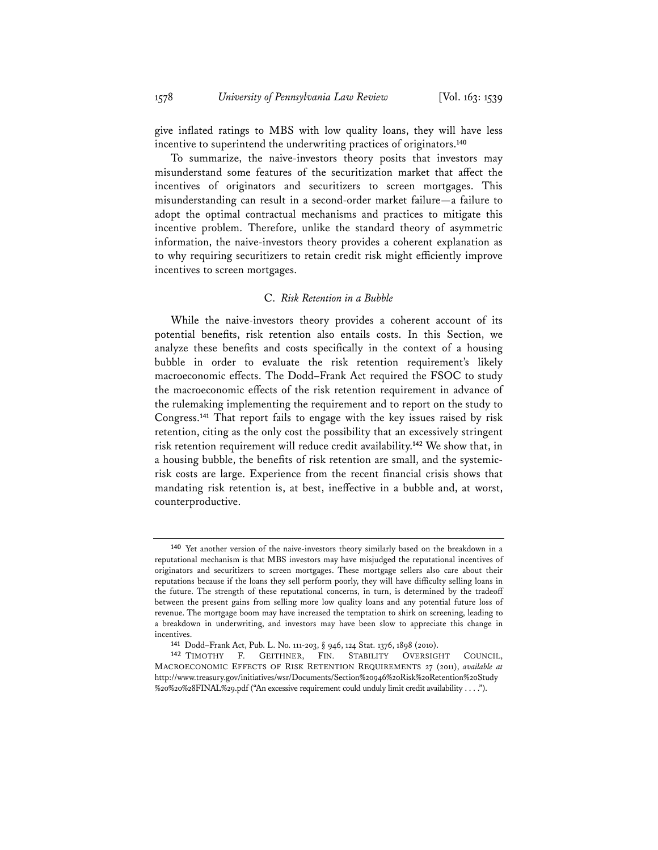give inflated ratings to MBS with low quality loans, they will have less incentive to superintend the underwriting practices of originators.**<sup>140</sup>**

To summarize, the naive-investors theory posits that investors may misunderstand some features of the securitization market that affect the incentives of originators and securitizers to screen mortgages. This misunderstanding can result in a second-order market failure—a failure to adopt the optimal contractual mechanisms and practices to mitigate this incentive problem. Therefore, unlike the standard theory of asymmetric information, the naive-investors theory provides a coherent explanation as to why requiring securitizers to retain credit risk might efficiently improve incentives to screen mortgages.

### C. *Risk Retention in a Bubble*

While the naive-investors theory provides a coherent account of its potential benefits, risk retention also entails costs. In this Section, we analyze these benefits and costs specifically in the context of a housing bubble in order to evaluate the risk retention requirement's likely macroeconomic effects. The Dodd–Frank Act required the FSOC to study the macroeconomic effects of the risk retention requirement in advance of the rulemaking implementing the requirement and to report on the study to Congress.**<sup>141</sup>** That report fails to engage with the key issues raised by risk retention, citing as the only cost the possibility that an excessively stringent risk retention requirement will reduce credit availability.**<sup>142</sup>** We show that, in a housing bubble, the benefits of risk retention are small, and the systemicrisk costs are large. Experience from the recent financial crisis shows that mandating risk retention is, at best, ineffective in a bubble and, at worst, counterproductive.

**<sup>140</sup>** Yet another version of the naive-investors theory similarly based on the breakdown in a reputational mechanism is that MBS investors may have misjudged the reputational incentives of originators and securitizers to screen mortgages. These mortgage sellers also care about their reputations because if the loans they sell perform poorly, they will have difficulty selling loans in the future. The strength of these reputational concerns, in turn, is determined by the tradeoff between the present gains from selling more low quality loans and any potential future loss of revenue. The mortgage boom may have increased the temptation to shirk on screening, leading to a breakdown in underwriting, and investors may have been slow to appreciate this change in incentives.

**<sup>141</sup>** Dodd–Frank Act, Pub. L. No. 111-203, § 946, 124 Stat. 1376, 1898 (2010).

**<sup>142</sup>** TIMOTHY F. GEITHNER, FIN. STABILITY OVERSIGHT COUNCIL, MACROECONOMIC EFFECTS OF RISK RETENTION REQUIREMENTS 27 (2011), *available at* http://www.treasury.gov/initiatives/wsr/Documents/Section%20946%20Risk%20Retention%20Study %20%20%28FINAL%29.pdf ("An excessive requirement could unduly limit credit availability . . . .").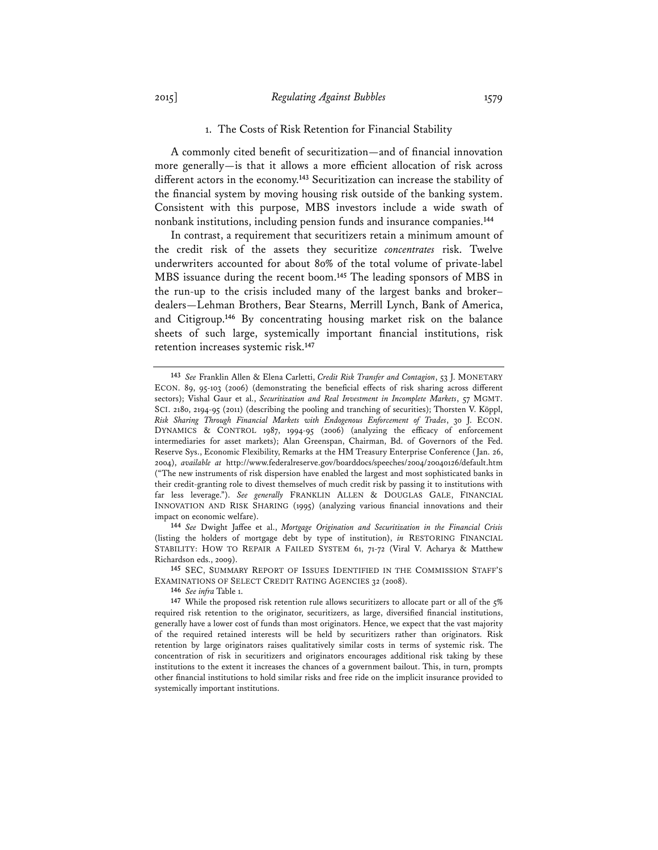#### 1. The Costs of Risk Retention for Financial Stability

A commonly cited benefit of securitization—and of financial innovation more generally—is that it allows a more efficient allocation of risk across different actors in the economy.**<sup>143</sup>** Securitization can increase the stability of the financial system by moving housing risk outside of the banking system. Consistent with this purpose, MBS investors include a wide swath of nonbank institutions, including pension funds and insurance companies.**<sup>144</sup>**

In contrast, a requirement that securitizers retain a minimum amount of the credit risk of the assets they securitize *concentrates* risk. Twelve underwriters accounted for about 80% of the total volume of private-label MBS issuance during the recent boom.**<sup>145</sup>** The leading sponsors of MBS in the run-up to the crisis included many of the largest banks and broker– dealers—Lehman Brothers, Bear Stearns, Merrill Lynch, Bank of America, and Citigroup.**<sup>146</sup>** By concentrating housing market risk on the balance sheets of such large, systemically important financial institutions, risk retention increases systemic risk.**<sup>147</sup>**

**144** *See* Dwight Jaffee et al., *Mortgage Origination and Securitization in the Financial Crisis* (listing the holders of mortgage debt by type of institution), *in* RESTORING FINANCIAL STABILITY: HOW TO REPAIR A FAILED SYSTEM 61, 71-72 (Viral V. Acharya & Matthew Richardson eds., 2009).

**145** SEC, SUMMARY REPORT OF ISSUES IDENTIFIED IN THE COMMISSION STAFF'S EXAMINATIONS OF SELECT CREDIT RATING AGENCIES 32 (2008).

**146** *See infra* Table 1.

**<sup>143</sup>** *See* Franklin Allen & Elena Carletti, *Credit Risk Transfer and Contagion*, 53 J. MONETARY ECON. 89, 95-103 (2006) (demonstrating the beneficial effects of risk sharing across different sectors); Vishal Gaur et al., *Securitization and Real Investment in Incomplete Markets*, 57 MGMT. SCI. 2180, 2194-95 (2011) (describing the pooling and tranching of securities); Thorsten V. Köppl, *Risk Sharing Through Financial Markets with Endogenous Enforcement of Trades*, 30 J. ECON. DYNAMICS & CONTROL 1987, 1994-95 (2006) (analyzing the efficacy of enforcement intermediaries for asset markets); Alan Greenspan, Chairman, Bd. of Governors of the Fed. Reserve Sys., Economic Flexibility, Remarks at the HM Treasury Enterprise Conference (Jan. 26, 2004), *available at* http://www.federalreserve.gov/boarddocs/speeches/2004/20040126/default.htm ("The new instruments of risk dispersion have enabled the largest and most sophisticated banks in their credit-granting role to divest themselves of much credit risk by passing it to institutions with far less leverage."). *See generally* FRANKLIN ALLEN & DOUGLAS GALE, FINANCIAL INNOVATION AND RISK SHARING (1995) (analyzing various financial innovations and their impact on economic welfare).

**<sup>147</sup>** While the proposed risk retention rule allows securitizers to allocate part or all of the 5% required risk retention to the originator, securitizers, as large, diversified financial institutions, generally have a lower cost of funds than most originators. Hence, we expect that the vast majority of the required retained interests will be held by securitizers rather than originators. Risk retention by large originators raises qualitatively similar costs in terms of systemic risk. The concentration of risk in securitizers and originators encourages additional risk taking by these institutions to the extent it increases the chances of a government bailout. This, in turn, prompts other financial institutions to hold similar risks and free ride on the implicit insurance provided to systemically important institutions.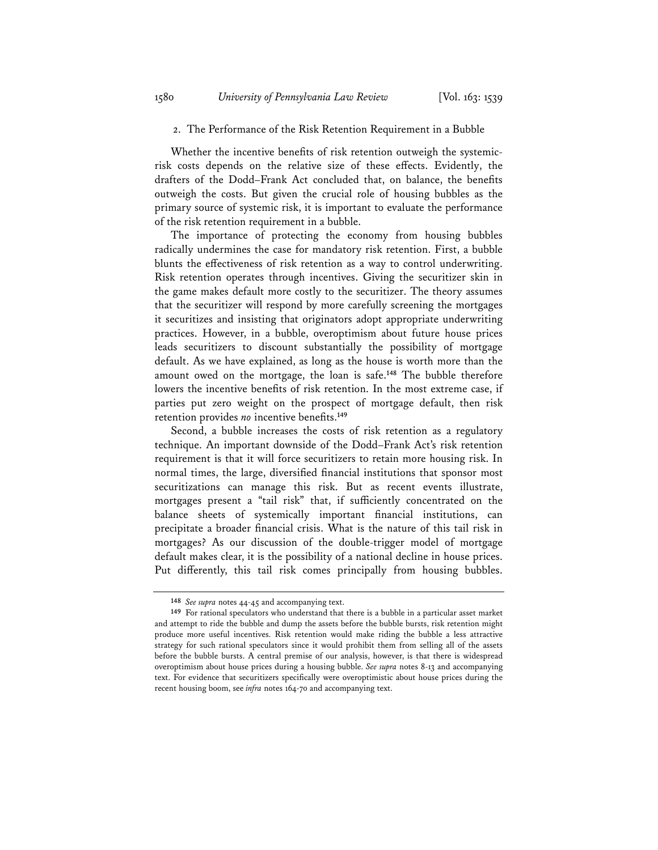### 2. The Performance of the Risk Retention Requirement in a Bubble

Whether the incentive benefits of risk retention outweigh the systemicrisk costs depends on the relative size of these effects. Evidently, the drafters of the Dodd–Frank Act concluded that, on balance, the benefits outweigh the costs. But given the crucial role of housing bubbles as the primary source of systemic risk, it is important to evaluate the performance of the risk retention requirement in a bubble.

The importance of protecting the economy from housing bubbles radically undermines the case for mandatory risk retention. First, a bubble blunts the effectiveness of risk retention as a way to control underwriting. Risk retention operates through incentives. Giving the securitizer skin in the game makes default more costly to the securitizer. The theory assumes that the securitizer will respond by more carefully screening the mortgages it securitizes and insisting that originators adopt appropriate underwriting practices. However, in a bubble, overoptimism about future house prices leads securitizers to discount substantially the possibility of mortgage default. As we have explained, as long as the house is worth more than the amount owed on the mortgage, the loan is safe.**<sup>148</sup>** The bubble therefore lowers the incentive benefits of risk retention. In the most extreme case, if parties put zero weight on the prospect of mortgage default, then risk retention provides *no* incentive benefits.**<sup>149</sup>**

Second, a bubble increases the costs of risk retention as a regulatory technique. An important downside of the Dodd–Frank Act's risk retention requirement is that it will force securitizers to retain more housing risk. In normal times, the large, diversified financial institutions that sponsor most securitizations can manage this risk. But as recent events illustrate, mortgages present a "tail risk" that, if sufficiently concentrated on the balance sheets of systemically important financial institutions, can precipitate a broader financial crisis. What is the nature of this tail risk in mortgages? As our discussion of the double-trigger model of mortgage default makes clear, it is the possibility of a national decline in house prices. Put differently, this tail risk comes principally from housing bubbles.

**<sup>148</sup>** *See supra* notes 44-45 and accompanying text.

**<sup>149</sup>** For rational speculators who understand that there is a bubble in a particular asset market and attempt to ride the bubble and dump the assets before the bubble bursts, risk retention might produce more useful incentives. Risk retention would make riding the bubble a less attractive strategy for such rational speculators since it would prohibit them from selling all of the assets before the bubble bursts. A central premise of our analysis, however, is that there is widespread overoptimism about house prices during a housing bubble. *See supra* notes 8-13 and accompanying text. For evidence that securitizers specifically were overoptimistic about house prices during the recent housing boom, see *infra* notes 164-70 and accompanying text.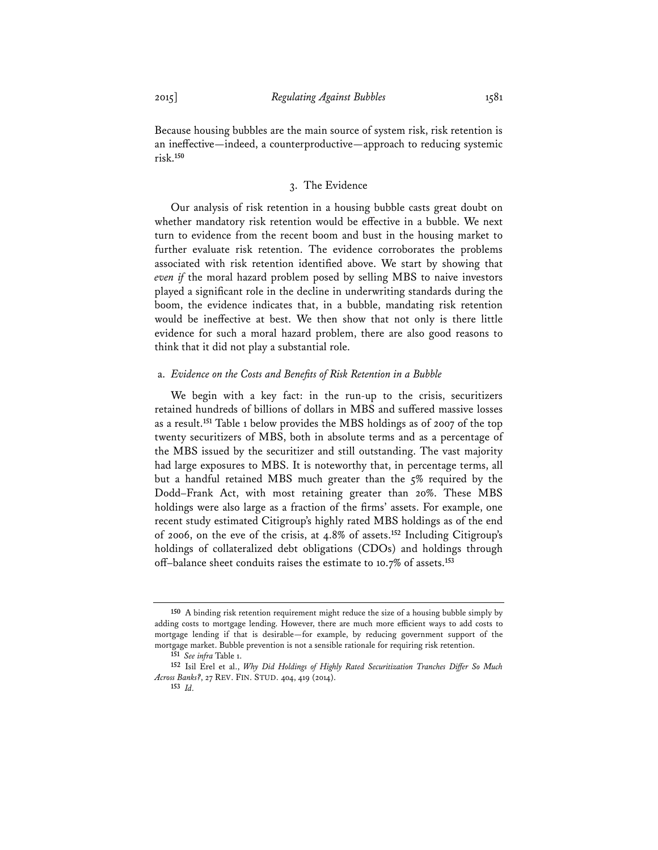Because housing bubbles are the main source of system risk, risk retention is an ineffective—indeed, a counterproductive—approach to reducing systemic risk.**<sup>150</sup>**

## 3. The Evidence

Our analysis of risk retention in a housing bubble casts great doubt on whether mandatory risk retention would be effective in a bubble. We next turn to evidence from the recent boom and bust in the housing market to further evaluate risk retention. The evidence corroborates the problems associated with risk retention identified above. We start by showing that *even if* the moral hazard problem posed by selling MBS to naive investors played a significant role in the decline in underwriting standards during the boom, the evidence indicates that, in a bubble, mandating risk retention would be ineffective at best. We then show that not only is there little evidence for such a moral hazard problem, there are also good reasons to think that it did not play a substantial role.

#### a. *Evidence on the Costs and Benefits of Risk Retention in a Bubble*

We begin with a key fact: in the run-up to the crisis, securitizers retained hundreds of billions of dollars in MBS and suffered massive losses as a result.**<sup>151</sup>** Table 1 below provides the MBS holdings as of 2007 of the top twenty securitizers of MBS, both in absolute terms and as a percentage of the MBS issued by the securitizer and still outstanding. The vast majority had large exposures to MBS. It is noteworthy that, in percentage terms, all but a handful retained MBS much greater than the 5% required by the Dodd–Frank Act, with most retaining greater than 20%. These MBS holdings were also large as a fraction of the firms' assets. For example, one recent study estimated Citigroup's highly rated MBS holdings as of the end of 2006, on the eve of the crisis, at 4.8% of assets.**<sup>152</sup>** Including Citigroup's holdings of collateralized debt obligations (CDOs) and holdings through off–balance sheet conduits raises the estimate to 10.7% of assets.**<sup>153</sup>**

**<sup>150</sup>** A binding risk retention requirement might reduce the size of a housing bubble simply by adding costs to mortgage lending. However, there are much more efficient ways to add costs to mortgage lending if that is desirable—for example, by reducing government support of the mortgage market. Bubble prevention is not a sensible rationale for requiring risk retention.

**<sup>151</sup>** *See infra* Table 1.

**<sup>152</sup>** Isil Erel et al., *Why Did Holdings of Highly Rated Securitization Tranches Differ So Much Across Banks?*, 27 REV. FIN. STUD. 404, 419 (2014).

**<sup>153</sup>** *Id.*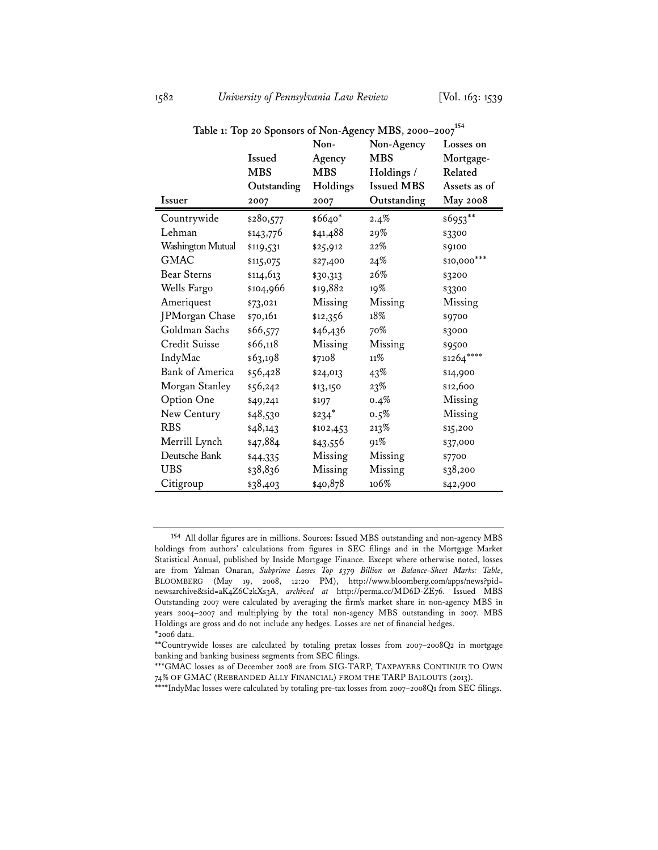| Table 1: Top 20 Sponsors of Non-Agency MBS, 2000-2007 <sup>154</sup> |             |                     |                   |                 |  |  |
|----------------------------------------------------------------------|-------------|---------------------|-------------------|-----------------|--|--|
|                                                                      |             | Non-                | Non-Agency        | Losses on       |  |  |
|                                                                      | Issued      | Agency              | <b>MBS</b>        | Mortgage-       |  |  |
|                                                                      | <b>MBS</b>  | <b>MBS</b>          | Holdings /        | Related         |  |  |
|                                                                      | Outstanding | Holdings            | <b>Issued MBS</b> | Assets as of    |  |  |
| Issuer                                                               | 2007        | 2007                | Outstanding       | <b>May 2008</b> |  |  |
| Countrywide                                                          | \$280,577   | \$6640*             | 2.4%              | \$6953**        |  |  |
| Lehman                                                               | \$143,776   | \$41,488            | 29%               | \$3300          |  |  |
| Washington Mutual                                                    | \$119,531   | \$25,912            | $22\%$            | \$9100          |  |  |
| <b>GMAC</b>                                                          | \$115,075   | \$27,400            | 24%               | \$10,000***     |  |  |
| <b>Bear Sterns</b>                                                   | \$114,613   | \$30,313            | 26%               | \$3200          |  |  |
| Wells Fargo                                                          | \$104,966   | \$19,882            | 19%               | \$3300          |  |  |
| Ameriquest                                                           | \$73,021    | Missing             | Missing           | Missing         |  |  |
| JPMorgan Chase                                                       | \$70,161    | \$12,356            | 18%               | \$9700          |  |  |
| Goldman Sachs                                                        | \$66,577    | \$46,436            | 70%               | \$3000          |  |  |
| Credit Suisse                                                        | \$66,118    | Missing             | Missing           | \$9500          |  |  |
| IndyMac                                                              | \$63,198    | \$7108              | 11%               | \$1264****      |  |  |
| <b>Bank of America</b>                                               | \$56,428    | \$24,013            | 43%               | \$14,900        |  |  |
| Morgan Stanley                                                       | \$56,242    | \$13,150            | $23\%$            | \$12,600        |  |  |
| Option One                                                           | \$49,241    | \$197               | $0.4\%$           | Missing         |  |  |
| New Century                                                          | \$48,530    | $$234$ <sup>*</sup> | 0.5%              | Missing         |  |  |
| <b>RBS</b>                                                           | \$48,143    | \$102,453           | 213%              | \$15,200        |  |  |

Merrill Lynch \$47,884 \$43,556 91% \$37,000 Deutsche Bank \$44,335 Missing Missing \$7700 UBS \$38,836 Missing Missing \$38,200 Citigroup \$38,403 \$40,878 106% \$42,900

**<sup>154</sup>** All dollar figures are in millions. Sources: Issued MBS outstanding and non-agency MBS holdings from authors' calculations from figures in SEC filings and in the Mortgage Market Statistical Annual, published by Inside Mortgage Finance. Except where otherwise noted, losses are from Yalman Onaran, *Subprime Losses Top \$379 Billion on Balance-Sheet Marks: Table*, BLOOMBERG (May 19, 2008, 12:20 PM), http://www.bloomberg.com/apps/news?pid= newsarchive&sid=aK4Z6C2kXs3A, *archived at* http://perma.cc/MD6D-ZE76. Issued MBS Outstanding 2007 were calculated by averaging the firm's market share in non-agency MBS in years 2004–2007 and multiplying by the total non-agency MBS outstanding in 2007. MBS Holdings are gross and do not include any hedges. Losses are net of financial hedges. \*2006 data.

<sup>\*\*</sup>Countrywide losses are calculated by totaling pretax losses from 2007–2008Q2 in mortgage banking and banking business segments from SEC filings.

<sup>\*\*\*</sup>GMAC losses as of December 2008 are from SIG-TARP, TAXPAYERS CONTINUE TO OWN 74% OF GMAC (REBRANDED ALLY FINANCIAL) FROM THE TARP BAILOUTS (2013).

<sup>\*\*\*\*</sup>IndyMac losses were calculated by totaling pre-tax losses from 2007–2008Q1 from SEC filings.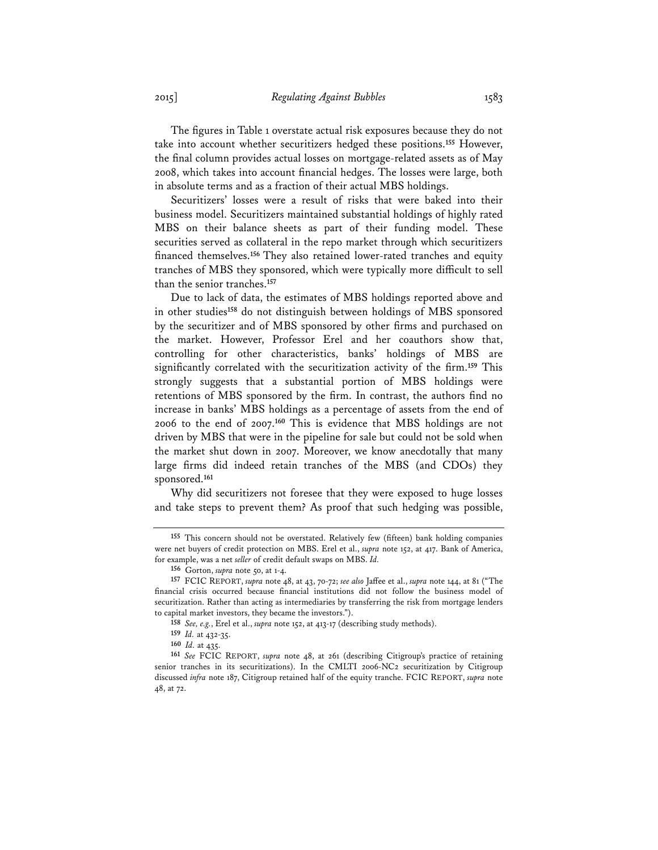The figures in Table 1 overstate actual risk exposures because they do not take into account whether securitizers hedged these positions.**<sup>155</sup>** However, the final column provides actual losses on mortgage-related assets as of May 2008, which takes into account financial hedges. The losses were large, both in absolute terms and as a fraction of their actual MBS holdings.

Securitizers' losses were a result of risks that were baked into their business model. Securitizers maintained substantial holdings of highly rated MBS on their balance sheets as part of their funding model. These securities served as collateral in the repo market through which securitizers financed themselves.**<sup>156</sup>**They also retained lower-rated tranches and equity tranches of MBS they sponsored, which were typically more difficult to sell than the senior tranches.**<sup>157</sup>**

Due to lack of data, the estimates of MBS holdings reported above and in other studies**<sup>158</sup>** do not distinguish between holdings of MBS sponsored by the securitizer and of MBS sponsored by other firms and purchased on the market. However, Professor Erel and her coauthors show that, controlling for other characteristics, banks' holdings of MBS are significantly correlated with the securitization activity of the firm.**<sup>159</sup>** This strongly suggests that a substantial portion of MBS holdings were retentions of MBS sponsored by the firm. In contrast, the authors find no increase in banks' MBS holdings as a percentage of assets from the end of 2006 to the end of 2007.**<sup>160</sup>** This is evidence that MBS holdings are not driven by MBS that were in the pipeline for sale but could not be sold when the market shut down in 2007. Moreover, we know anecdotally that many large firms did indeed retain tranches of the MBS (and CDOs) they sponsored.**<sup>161</sup>**

Why did securitizers not foresee that they were exposed to huge losses and take steps to prevent them? As proof that such hedging was possible,

**<sup>155</sup>** This concern should not be overstated. Relatively few (fifteen) bank holding companies were net buyers of credit protection on MBS. Erel et al., *supra* note 152, at 417. Bank of America, for example, was a net *seller* of credit default swaps on MBS. *Id.*

**<sup>156</sup>** Gorton, *supra* note 50, at 1-4.

**<sup>157</sup>** FCIC REPORT, *supra* note 48, at 43, 70-72; *see also* Jaffee et al., *supra* note 144, at 81 ("The financial crisis occurred because financial institutions did not follow the business model of securitization. Rather than acting as intermediaries by transferring the risk from mortgage lenders to capital market investors, they became the investors.").

**<sup>158</sup>** *See, e.g.*, Erel et al., *supra* note 152, at 413-17 (describing study methods).

**<sup>159</sup>** *Id.* at 432-35.

**<sup>160</sup>** *Id.* at 435.

**<sup>161</sup>** *See* FCIC REPORT, *supra* note 48, at 261 (describing Citigroup's practice of retaining senior tranches in its securitizations). In the CMLTI 2006-NC2 securitization by Citigroup discussed *infra* note 187, Citigroup retained half of the equity tranche. FCIC REPORT, *supra* note 48, at 72.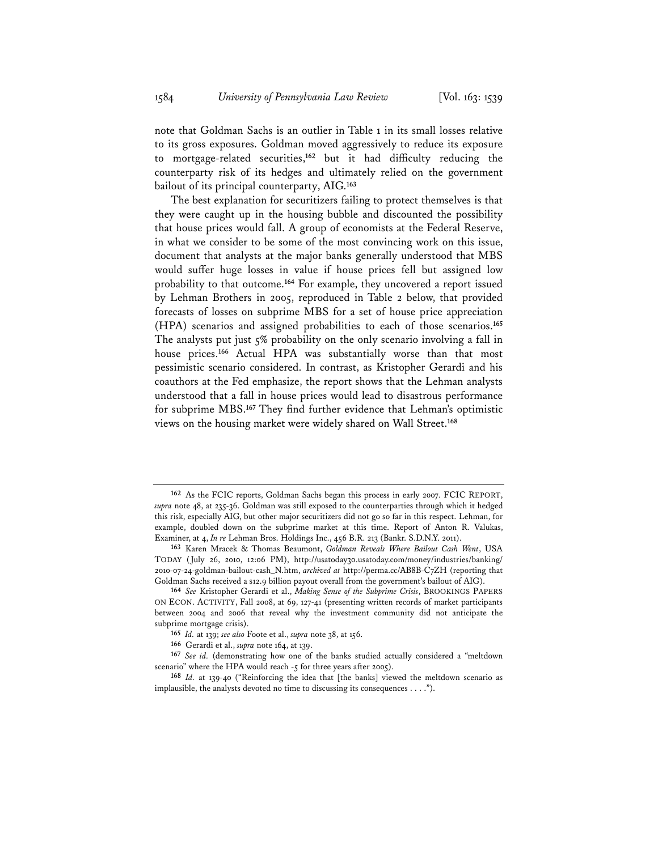note that Goldman Sachs is an outlier in Table 1 in its small losses relative to its gross exposures. Goldman moved aggressively to reduce its exposure to mortgage-related securities,**<sup>162</sup>** but it had difficulty reducing the counterparty risk of its hedges and ultimately relied on the government bailout of its principal counterparty, AIG.**<sup>163</sup>**

The best explanation for securitizers failing to protect themselves is that they were caught up in the housing bubble and discounted the possibility that house prices would fall. A group of economists at the Federal Reserve, in what we consider to be some of the most convincing work on this issue, document that analysts at the major banks generally understood that MBS would suffer huge losses in value if house prices fell but assigned low probability to that outcome.**<sup>164</sup>** For example, they uncovered a report issued by Lehman Brothers in 2005, reproduced in Table 2 below, that provided forecasts of losses on subprime MBS for a set of house price appreciation (HPA) scenarios and assigned probabilities to each of those scenarios.**<sup>165</sup>** The analysts put just 5% probability on the only scenario involving a fall in house prices.**<sup>166</sup>** Actual HPA was substantially worse than that most pessimistic scenario considered. In contrast, as Kristopher Gerardi and his coauthors at the Fed emphasize, the report shows that the Lehman analysts understood that a fall in house prices would lead to disastrous performance for subprime MBS.**<sup>167</sup>** They find further evidence that Lehman's optimistic views on the housing market were widely shared on Wall Street.**<sup>168</sup>**

**<sup>162</sup>** As the FCIC reports, Goldman Sachs began this process in early 2007. FCIC REPORT, *supra* note 48, at 235-36. Goldman was still exposed to the counterparties through which it hedged this risk, especially AIG, but other major securitizers did not go so far in this respect. Lehman, for example, doubled down on the subprime market at this time. Report of Anton R. Valukas, Examiner, at 4, *In re* Lehman Bros. Holdings Inc., 456 B.R. 213 (Bankr. S.D.N.Y. 2011).

**<sup>163</sup>** Karen Mracek & Thomas Beaumont, *Goldman Reveals Where Bailout Cash Went*, USA TODAY (July 26, 2010, 12:06 PM), http://usatoday30.usatoday.com/money/industries/banking/ 2010-07-24-goldman-bailout-cash\_N.htm, *archived at* http://perma.cc/AB8B-C7ZH (reporting that Goldman Sachs received a \$12.9 billion payout overall from the government's bailout of AIG).

**<sup>164</sup>** *See* Kristopher Gerardi et al., *Making Sense of the Subprime Crisis*, BROOKINGS PAPERS ON ECON. ACTIVITY, Fall 2008, at 69, 127-41 (presenting written records of market participants between 2004 and 2006 that reveal why the investment community did not anticipate the subprime mortgage crisis).

**<sup>165</sup>** *Id.* at 139; *see also* Foote et al., *supra* note 38, at 156.

**<sup>166</sup>** Gerardi et al., *supra* note 164, at 139.

**<sup>167</sup>** *See id.* (demonstrating how one of the banks studied actually considered a "meltdown scenario" where the HPA would reach -5 for three years after 2005).

**<sup>168</sup>** *Id.* at 139-40 ("Reinforcing the idea that [the banks] viewed the meltdown scenario as implausible, the analysts devoted no time to discussing its consequences . . . .").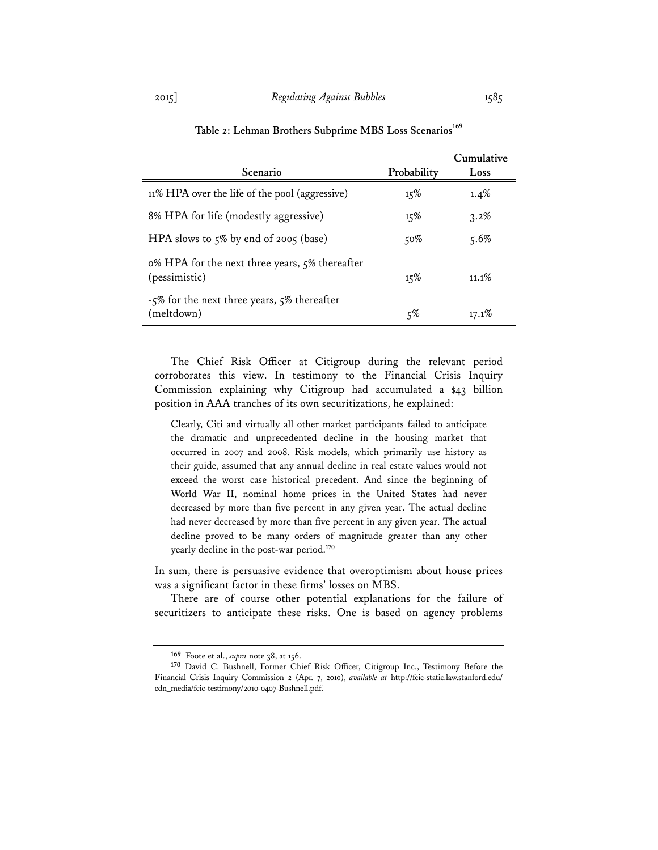| Scenario                                                        | Probability | Cumulative<br>Loss |
|-----------------------------------------------------------------|-------------|--------------------|
|                                                                 |             |                    |
| 11% HPA over the life of the pool (aggressive)                  | 15%         | $1.4\%$            |
| 8% HPA for life (modestly aggressive)                           | 15%         | 3.2%               |
| HPA slows to 5% by end of 2005 (base)                           | $50\%$      | $5.6\%$            |
| 0% HPA for the next three years, 5% thereafter<br>(pessimistic) | 15%         | $11.1\%$           |
| -5% for the next three years, 5% thereafter<br>(meltdown)       | $5\%$       | 17.1%              |

# Table 2: Lehman Brothers Subprime MBS Loss Scenarios<sup>169</sup>

The Chief Risk Officer at Citigroup during the relevant period corroborates this view. In testimony to the Financial Crisis Inquiry Commission explaining why Citigroup had accumulated a \$43 billion position in AAA tranches of its own securitizations, he explained:

Clearly, Citi and virtually all other market participants failed to anticipate the dramatic and unprecedented decline in the housing market that occurred in 2007 and 2008. Risk models, which primarily use history as their guide, assumed that any annual decline in real estate values would not exceed the worst case historical precedent. And since the beginning of World War II, nominal home prices in the United States had never decreased by more than five percent in any given year. The actual decline had never decreased by more than five percent in any given year. The actual decline proved to be many orders of magnitude greater than any other yearly decline in the post-war period.**<sup>170</sup>**

In sum, there is persuasive evidence that overoptimism about house prices was a significant factor in these firms' losses on MBS.

There are of course other potential explanations for the failure of securitizers to anticipate these risks. One is based on agency problems

**<sup>169</sup>** Foote et al., *supra* note 38, at 156.

**<sup>170</sup>** David C. Bushnell, Former Chief Risk Officer, Citigroup Inc., Testimony Before the Financial Crisis Inquiry Commission 2 (Apr. 7, 2010), *available at* http://fcic-static.law.stanford.edu/ cdn\_media/fcic-testimony/2010-0407-Bushnell.pdf.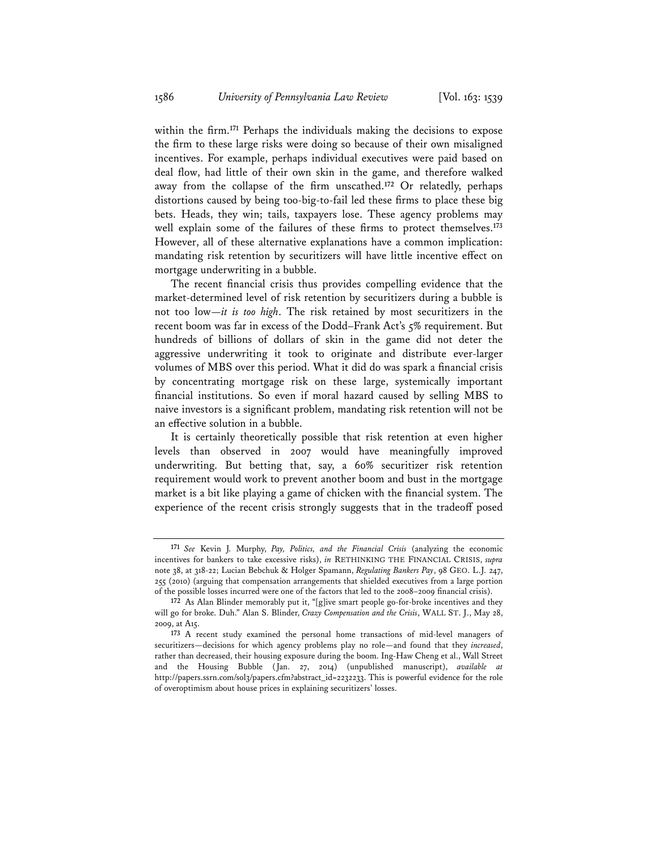within the firm.**<sup>171</sup>** Perhaps the individuals making the decisions to expose the firm to these large risks were doing so because of their own misaligned incentives. For example, perhaps individual executives were paid based on deal flow, had little of their own skin in the game, and therefore walked away from the collapse of the firm unscathed.**<sup>172</sup>** Or relatedly, perhaps distortions caused by being too-big-to-fail led these firms to place these big bets. Heads, they win; tails, taxpayers lose. These agency problems may well explain some of the failures of these firms to protect themselves.**<sup>173</sup>** However, all of these alternative explanations have a common implication: mandating risk retention by securitizers will have little incentive effect on mortgage underwriting in a bubble.

The recent financial crisis thus provides compelling evidence that the market-determined level of risk retention by securitizers during a bubble is not too low—*it is too high*. The risk retained by most securitizers in the recent boom was far in excess of the Dodd–Frank Act's 5% requirement. But hundreds of billions of dollars of skin in the game did not deter the aggressive underwriting it took to originate and distribute ever-larger volumes of MBS over this period. What it did do was spark a financial crisis by concentrating mortgage risk on these large, systemically important financial institutions. So even if moral hazard caused by selling MBS to naive investors is a significant problem, mandating risk retention will not be an effective solution in a bubble.

It is certainly theoretically possible that risk retention at even higher levels than observed in 2007 would have meaningfully improved underwriting. But betting that, say, a 60% securitizer risk retention requirement would work to prevent another boom and bust in the mortgage market is a bit like playing a game of chicken with the financial system. The experience of the recent crisis strongly suggests that in the tradeoff posed

**<sup>171</sup>** *See* Kevin J. Murphy, *Pay, Politics, and the Financial Crisis* (analyzing the economic incentives for bankers to take excessive risks), *in* RETHINKING THE FINANCIAL CRISIS, *supra* note 38, at 318-22; Lucian Bebchuk & Holger Spamann, *Regulating Bankers Pay*, 98 GEO. L.J. 247, 255 (2010) (arguing that compensation arrangements that shielded executives from a large portion of the possible losses incurred were one of the factors that led to the 2008–2009 financial crisis).

**<sup>172</sup>** As Alan Blinder memorably put it, "[g]ive smart people go-for-broke incentives and they will go for broke. Duh." Alan S. Blinder, *Crazy Compensation and the Crisis*, WALL ST. J., May 28, 2009, at A15.

**<sup>173</sup>** A recent study examined the personal home transactions of mid-level managers of securitizers—decisions for which agency problems play no role—and found that they *increased*, rather than decreased, their housing exposure during the boom. Ing-Haw Cheng et al., Wall Street and the Housing Bubble (Jan. 27, 2014) (unpublished manuscript), *available at* http://papers.ssrn.com/sol3/papers.cfm?abstract\_id=2232233. This is powerful evidence for the role of overoptimism about house prices in explaining securitizers' losses.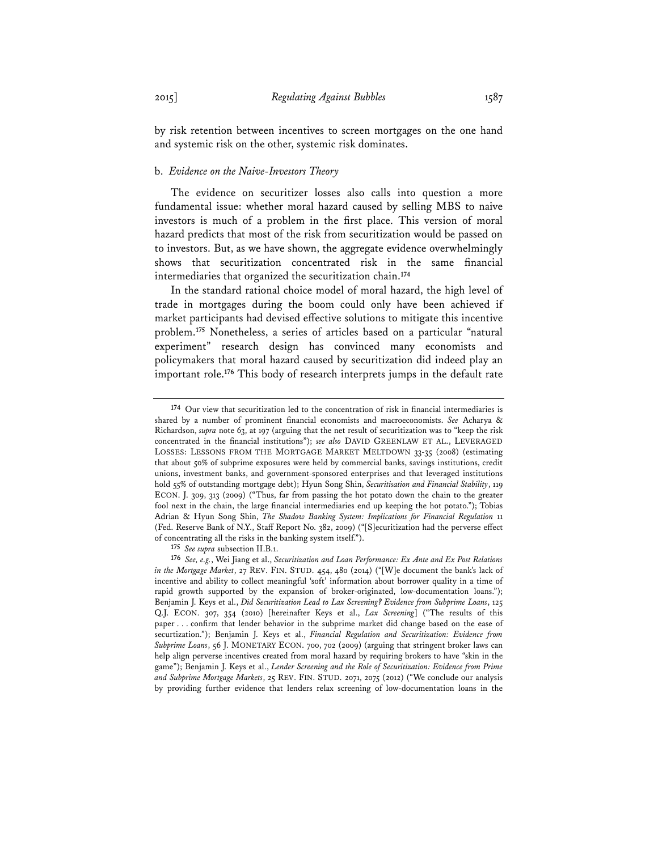by risk retention between incentives to screen mortgages on the one hand and systemic risk on the other, systemic risk dominates.

## b. *Evidence on the Naive-Investors Theory*

The evidence on securitizer losses also calls into question a more fundamental issue: whether moral hazard caused by selling MBS to naive investors is much of a problem in the first place. This version of moral hazard predicts that most of the risk from securitization would be passed on to investors. But, as we have shown, the aggregate evidence overwhelmingly shows that securitization concentrated risk in the same financial intermediaries that organized the securitization chain.**<sup>174</sup>**

In the standard rational choice model of moral hazard, the high level of trade in mortgages during the boom could only have been achieved if market participants had devised effective solutions to mitigate this incentive problem.**<sup>175</sup>** Nonetheless, a series of articles based on a particular "natural experiment" research design has convinced many economists and policymakers that moral hazard caused by securitization did indeed play an important role.**<sup>176</sup>** This body of research interprets jumps in the default rate

**175** *See supra* subsection II.B.1.

**<sup>174</sup>** Our view that securitization led to the concentration of risk in financial intermediaries is shared by a number of prominent financial economists and macroeconomists. *See* Acharya & Richardson, *supra* note 63, at 197 (arguing that the net result of securitization was to "keep the risk concentrated in the financial institutions"); *see also* DAVID GREENLAW ET AL., LEVERAGED LOSSES: LESSONS FROM THE MORTGAGE MARKET MELTDOWN 33-35 (2008) (estimating that about 50% of subprime exposures were held by commercial banks, savings institutions, credit unions, investment banks, and government-sponsored enterprises and that leveraged institutions hold 55% of outstanding mortgage debt); Hyun Song Shin, *Securitisation and Financial Stability*, 119 ECON. J. 309, 313 (2009) ("Thus, far from passing the hot potato down the chain to the greater fool next in the chain, the large financial intermediaries end up keeping the hot potato."); Tobias Adrian & Hyun Song Shin, *The Shadow Banking System: Implications for Financial Regulation* 11 (Fed. Reserve Bank of N.Y., Staff Report No. 382, 2009) ("[S]ecuritization had the perverse effect of concentrating all the risks in the banking system itself.").

**<sup>176</sup>** *See, e.g.*, Wei Jiang et al., *Securitization and Loan Performance: Ex Ante and Ex Post Relations in the Mortgage Market*, 27 REV. FIN. STUD. 454, 480 (2014) ("[W]e document the bank's lack of incentive and ability to collect meaningful 'soft' information about borrower quality in a time of rapid growth supported by the expansion of broker-originated, low-documentation loans."); Benjamin J. Keys et al., *Did Securitization Lead to Lax Screening? Evidence from Subprime Loans*, 125 Q.J. ECON. 307, 354 (2010) [hereinafter Keys et al., *Lax Screening*] ("The results of this paper . . . confirm that lender behavior in the subprime market did change based on the ease of securtization."); Benjamin J. Keys et al., *Financial Regulation and Securitization: Evidence from Subprime Loans*, 56 J. MONETARY ECON. 700, 702 (2009) (arguing that stringent broker laws can help align perverse incentives created from moral hazard by requiring brokers to have "skin in the game"); Benjamin J. Keys et al., *Lender Screening and the Role of Securitization: Evidence from Prime and Subprime Mortgage Markets*, 25 REV. FIN. STUD. 2071, 2075 (2012) ("We conclude our analysis by providing further evidence that lenders relax screening of low-documentation loans in the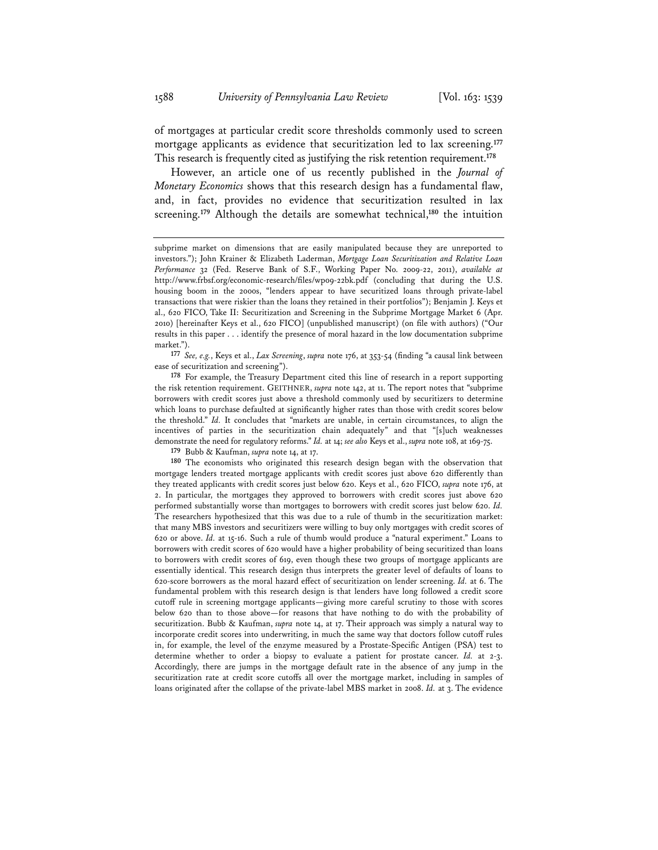of mortgages at particular credit score thresholds commonly used to screen mortgage applicants as evidence that securitization led to lax screening.**<sup>177</sup>** This research is frequently cited as justifying the risk retention requirement.**<sup>178</sup>**

However, an article one of us recently published in the *Journal of Monetary Economics* shows that this research design has a fundamental flaw, and, in fact, provides no evidence that securitization resulted in lax screening.**<sup>179</sup>** Although the details are somewhat technical,**<sup>180</sup>** the intuition

**177** *See, e.g.*, Keys et al., *Lax Screening*, *supra* note 176, at 353-54 (finding "a causal link between ease of securitization and screening").

**178** For example, the Treasury Department cited this line of research in a report supporting the risk retention requirement. GEITHNER, *supra* note 142, at 11. The report notes that "subprime borrowers with credit scores just above a threshold commonly used by securitizers to determine which loans to purchase defaulted at significantly higher rates than those with credit scores below the threshold." *Id.* It concludes that "markets are unable, in certain circumstances, to align the incentives of parties in the securitization chain adequately" and that "[s]uch weaknesses demonstrate the need for regulatory reforms." *Id.* at 14; *see also* Keys et al., *supra* note 108, at 169-75.

**179** Bubb & Kaufman, *supra* note 14, at 17.

**180** The economists who originated this research design began with the observation that mortgage lenders treated mortgage applicants with credit scores just above 620 differently than they treated applicants with credit scores just below 620. Keys et al., 620 FICO, *supra* note 176, at 2. In particular, the mortgages they approved to borrowers with credit scores just above 620 performed substantially worse than mortgages to borrowers with credit scores just below 620. *Id.* The researchers hypothesized that this was due to a rule of thumb in the securitization market: that many MBS investors and securitizers were willing to buy only mortgages with credit scores of 620 or above. *Id.* at 15-16. Such a rule of thumb would produce a "natural experiment." Loans to borrowers with credit scores of 620 would have a higher probability of being securitized than loans to borrowers with credit scores of 619, even though these two groups of mortgage applicants are essentially identical. This research design thus interprets the greater level of defaults of loans to 620-score borrowers as the moral hazard effect of securitization on lender screening. *Id.* at 6. The fundamental problem with this research design is that lenders have long followed a credit score cutoff rule in screening mortgage applicants—giving more careful scrutiny to those with scores below 620 than to those above—for reasons that have nothing to do with the probability of securitization. Bubb & Kaufman, *supra* note 14, at 17. Their approach was simply a natural way to incorporate credit scores into underwriting, in much the same way that doctors follow cutoff rules in, for example, the level of the enzyme measured by a Prostate-Specific Antigen (PSA) test to determine whether to order a biopsy to evaluate a patient for prostate cancer. *Id.* at 2-3. Accordingly, there are jumps in the mortgage default rate in the absence of any jump in the securitization rate at credit score cutoffs all over the mortgage market, including in samples of loans originated after the collapse of the private-label MBS market in 2008. *Id.* at 3. The evidence

subprime market on dimensions that are easily manipulated because they are unreported to investors."); John Krainer & Elizabeth Laderman, *Mortgage Loan Securitization and Relative Loan Performance* 32 (Fed. Reserve Bank of S.F., Working Paper No. 2009-22, 2011), *available at* http://www.frbsf.org/economic-research/files/wp09-22bk.pdf (concluding that during the U.S. housing boom in the 2000s, "lenders appear to have securitized loans through private-label transactions that were riskier than the loans they retained in their portfolios"); Benjamin J. Keys et al., 620 FICO, Take II: Securitization and Screening in the Subprime Mortgage Market 6 (Apr. 2010) [hereinafter Keys et al., 620 FICO] (unpublished manuscript) (on file with authors) ("Our results in this paper . . . identify the presence of moral hazard in the low documentation subprime market.").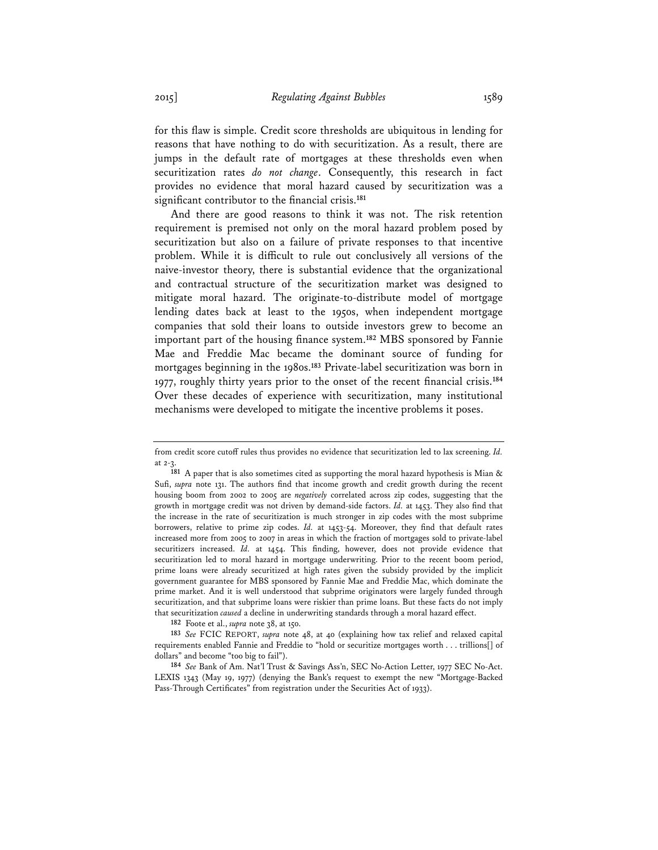for this flaw is simple. Credit score thresholds are ubiquitous in lending for reasons that have nothing to do with securitization. As a result, there are jumps in the default rate of mortgages at these thresholds even when securitization rates *do not change*. Consequently, this research in fact provides no evidence that moral hazard caused by securitization was a significant contributor to the financial crisis.**<sup>181</sup>**

And there are good reasons to think it was not. The risk retention requirement is premised not only on the moral hazard problem posed by securitization but also on a failure of private responses to that incentive problem. While it is difficult to rule out conclusively all versions of the naive-investor theory, there is substantial evidence that the organizational and contractual structure of the securitization market was designed to mitigate moral hazard. The originate-to-distribute model of mortgage lending dates back at least to the 1950s, when independent mortgage companies that sold their loans to outside investors grew to become an important part of the housing finance system.**<sup>182</sup>** MBS sponsored by Fannie Mae and Freddie Mac became the dominant source of funding for mortgages beginning in the 1980s.**<sup>183</sup>** Private-label securitization was born in 1977, roughly thirty years prior to the onset of the recent financial crisis.**<sup>184</sup>** Over these decades of experience with securitization, many institutional mechanisms were developed to mitigate the incentive problems it poses.

**182** Foote et al., *supra* note 38, at 150.

**183** *See* FCIC REPORT, *supra* note 48, at 40 (explaining how tax relief and relaxed capital requirements enabled Fannie and Freddie to "hold or securitize mortgages worth . . . trillions[] of dollars" and become "too big to fail").

**184** *See* Bank of Am. Nat'l Trust & Savings Ass'n, SEC No-Action Letter, 1977 SEC No-Act. LEXIS 1343 (May 19, 1977) (denying the Bank's request to exempt the new "Mortgage-Backed Pass-Through Certificates" from registration under the Securities Act of 1933).

from credit score cutoff rules thus provides no evidence that securitization led to lax screening. *Id.* at 2-3.

**<sup>181</sup>** A paper that is also sometimes cited as supporting the moral hazard hypothesis is Mian & Sufi, *supra* note 131. The authors find that income growth and credit growth during the recent housing boom from 2002 to 2005 are *negatively* correlated across zip codes, suggesting that the growth in mortgage credit was not driven by demand-side factors. *Id.* at 1453. They also find that the increase in the rate of securitization is much stronger in zip codes with the most subprime borrowers, relative to prime zip codes. *Id.* at 1453-54. Moreover, they find that default rates increased more from 2005 to 2007 in areas in which the fraction of mortgages sold to private-label securitizers increased. *Id.* at 1454. This finding, however, does not provide evidence that securitization led to moral hazard in mortgage underwriting. Prior to the recent boom period, prime loans were already securitized at high rates given the subsidy provided by the implicit government guarantee for MBS sponsored by Fannie Mae and Freddie Mac, which dominate the prime market. And it is well understood that subprime originators were largely funded through securitization, and that subprime loans were riskier than prime loans. But these facts do not imply that securitization *caused* a decline in underwriting standards through a moral hazard effect.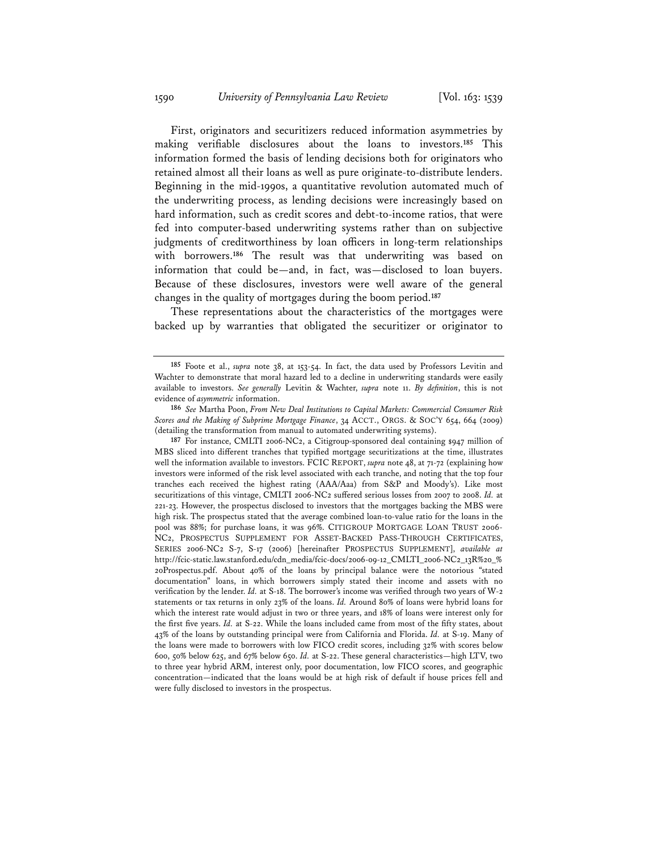First, originators and securitizers reduced information asymmetries by making verifiable disclosures about the loans to investors.**<sup>185</sup>** This information formed the basis of lending decisions both for originators who retained almost all their loans as well as pure originate-to-distribute lenders. Beginning in the mid-1990s, a quantitative revolution automated much of the underwriting process, as lending decisions were increasingly based on hard information, such as credit scores and debt-to-income ratios, that were fed into computer-based underwriting systems rather than on subjective judgments of creditworthiness by loan officers in long-term relationships with borrowers.**<sup>186</sup>** The result was that underwriting was based on information that could be—and, in fact, was—disclosed to loan buyers. Because of these disclosures, investors were well aware of the general changes in the quality of mortgages during the boom period.**<sup>187</sup>**

These representations about the characteristics of the mortgages were backed up by warranties that obligated the securitizer or originator to

**<sup>185</sup>** Foote et al., *supra* note 38, at 153-54. In fact, the data used by Professors Levitin and Wachter to demonstrate that moral hazard led to a decline in underwriting standards were easily available to investors. *See generally* Levitin & Wachter, *supra* note 11. *By definition*, this is not evidence of *asymmetric* information.

**<sup>186</sup>** *See* Martha Poon, *From New Deal Institutions to Capital Markets: Commercial Consumer Risk Scores and the Making of Subprime Mortgage Finance*, 34 ACCT., ORGS. & SOC'Y 654, 664 (2009) (detailing the transformation from manual to automated underwriting systems).

**<sup>187</sup>** For instance, CMLTI 2006-NC2, a Citigroup-sponsored deal containing \$947 million of MBS sliced into different tranches that typified mortgage securitizations at the time, illustrates well the information available to investors. FCIC REPORT, *supra* note 48, at 71-72 (explaining how investors were informed of the risk level associated with each tranche, and noting that the top four tranches each received the highest rating (AAA/Aaa) from S&P and Moody's). Like most securitizations of this vintage, CMLTI 2006-NC2 suffered serious losses from 2007 to 2008. *Id.* at 221-23. However, the prospectus disclosed to investors that the mortgages backing the MBS were high risk. The prospectus stated that the average combined loan-to-value ratio for the loans in the pool was 88%; for purchase loans, it was 96%. CITIGROUP MORTGAGE LOAN TRUST 2006- NC2, PROSPECTUS SUPPLEMENT FOR ASSET-BACKED PASS-THROUGH CERTIFICATES, SERIES 2006-NC2 S-7, S-17 (2006) [hereinafter PROSPECTUS SUPPLEMENT], *available at* http://fcic-static.law.stanford.edu/cdn\_media/fcic-docs/2006-09-12\_CMLTI\_2006-NC2\_13R%20\_% 20Prospectus.pdf. About 40% of the loans by principal balance were the notorious "stated documentation" loans, in which borrowers simply stated their income and assets with no verification by the lender. *Id.* at S-18. The borrower's income was verified through two years of W-2 statements or tax returns in only 23% of the loans. *Id.* Around 80% of loans were hybrid loans for which the interest rate would adjust in two or three years, and 18% of loans were interest only for the first five years. *Id.* at S-22. While the loans included came from most of the fifty states, about 43% of the loans by outstanding principal were from California and Florida. *Id.* at S-19. Many of the loans were made to borrowers with low FICO credit scores, including 32% with scores below 600, 50% below 625, and 67% below 650. *Id.* at S-22. These general characteristics—high LTV, two to three year hybrid ARM, interest only, poor documentation, low FICO scores, and geographic concentration—indicated that the loans would be at high risk of default if house prices fell and were fully disclosed to investors in the prospectus.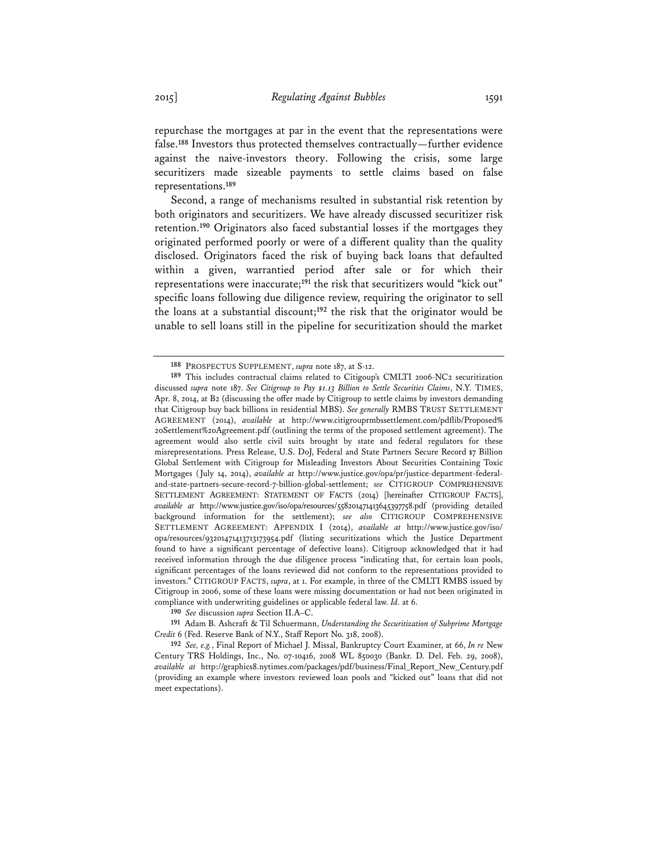repurchase the mortgages at par in the event that the representations were false.**<sup>188</sup>** Investors thus protected themselves contractually—further evidence against the naive-investors theory. Following the crisis, some large securitizers made sizeable payments to settle claims based on false representations.**<sup>189</sup>**

Second, a range of mechanisms resulted in substantial risk retention by both originators and securitizers. We have already discussed securitizer risk retention.**<sup>190</sup>** Originators also faced substantial losses if the mortgages they originated performed poorly or were of a different quality than the quality disclosed. Originators faced the risk of buying back loans that defaulted within a given, warrantied period after sale or for which their representations were inaccurate;**<sup>191</sup>** the risk that securitizers would "kick out" specific loans following due diligence review, requiring the originator to sell the loans at a substantial discount;**<sup>192</sup>** the risk that the originator would be unable to sell loans still in the pipeline for securitization should the market

**190** *See* discussion *supra* Section II.A–C.

**191** Adam B. Ashcraft & Til Schuermann, *Understanding the Securitization of Subprime Mortgage Credit* 6 (Fed. Reserve Bank of N.Y., Staff Report No. 318, 2008).

**<sup>188</sup>** PROSPECTUS SUPPLEMENT, *supra* note 187, at S-12.

**<sup>189</sup>** This includes contractual claims related to Citigoup's CMLTI 2006-NC2 securitization discussed *supra* note 187. *See Citigroup to Pay \$1.13 Billion to Settle Securities Claims*, N.Y. TIMES, Apr. 8, 2014, at B2 (discussing the offer made by Citigroup to settle claims by investors demanding that Citigroup buy back billions in residential MBS). *See generally* RMBS TRUST SETTLEMENT AGREEMENT (2014), *available* at http://www.citigrouprmbssettlement.com/pdflib/Proposed% 20Settlement%20Agreement.pdf (outlining the terms of the proposed settlement agreement). The agreement would also settle civil suits brought by state and federal regulators for these misrepresentations. Press Release, U.S. DoJ, Federal and State Partners Secure Record \$7 Billion Global Settlement with Citigroup for Misleading Investors About Securities Containing Toxic Mortgages (July 14, 2014), *available at* http://www.justice.gov/opa/pr/justice-department-federaland-state-partners-secure-record-7-billion-global-settlement; *see* CITIGROUP COMPREHENSIVE SETTLEMENT AGREEMENT: STATEMENT OF FACTS (2014) [hereinafter CITIGROUP FACTS], *available at* http://www.justice.gov/iso/opa/resources/558201471413645397758.pdf (providing detailed background information for the settlement); *see also* CITIGROUP COMPREHENSIVE SETTLEMENT AGREEMENT: APPENDIX I (2014), *available at* http://www.justice.gov/iso/ opa/resources/93201471413713173954.pdf (listing securitizations which the Justice Department found to have a significant percentage of defective loans). Citigroup acknowledged that it had received information through the due diligence process "indicating that, for certain loan pools, significant percentages of the loans reviewed did not conform to the representations provided to investors." CITIGROUP FACTS, *supra*, at 1. For example, in three of the CMLTI RMBS issued by Citigroup in 2006, some of these loans were missing documentation or had not been originated in compliance with underwriting guidelines or applicable federal law. *Id.* at 6.

**<sup>192</sup>** *See, e.g.*, Final Report of Michael J. Missal, Bankruptcy Court Examiner, at 66, *In re* New Century TRS Holdings, Inc., No. 07-10416, 2008 WL 850030 (Bankr. D. Del. Feb. 29, 2008), *available at* http://graphics8.nytimes.com/packages/pdf/business/Final\_Report\_New\_Century.pdf (providing an example where investors reviewed loan pools and "kicked out" loans that did not meet expectations).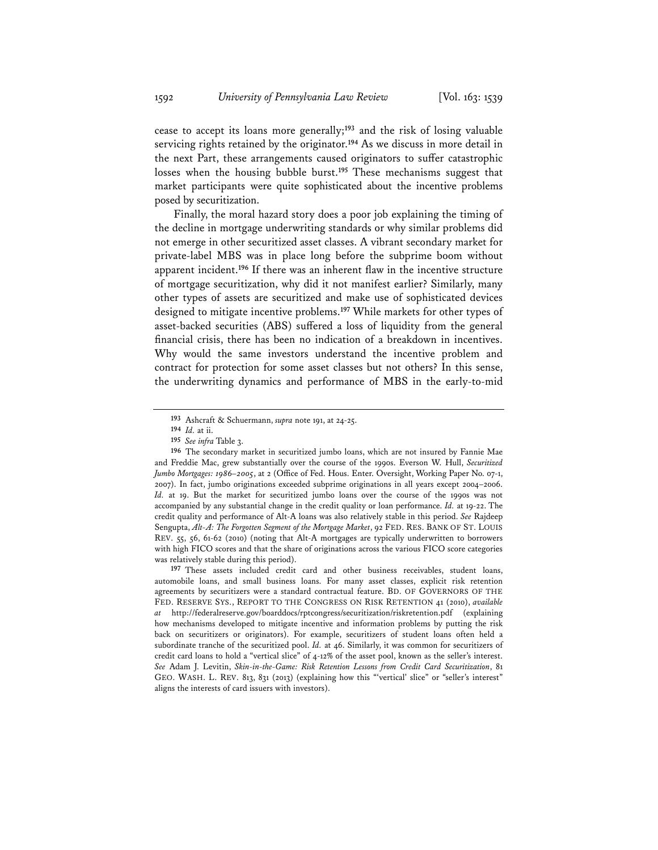cease to accept its loans more generally;**<sup>193</sup>** and the risk of losing valuable servicing rights retained by the originator.**<sup>194</sup>** As we discuss in more detail in the next Part, these arrangements caused originators to suffer catastrophic losses when the housing bubble burst.**<sup>195</sup>** These mechanisms suggest that market participants were quite sophisticated about the incentive problems posed by securitization.

 Finally, the moral hazard story does a poor job explaining the timing of the decline in mortgage underwriting standards or why similar problems did not emerge in other securitized asset classes. A vibrant secondary market for private-label MBS was in place long before the subprime boom without apparent incident.**<sup>196</sup>** If there was an inherent flaw in the incentive structure of mortgage securitization, why did it not manifest earlier? Similarly, many other types of assets are securitized and make use of sophisticated devices designed to mitigate incentive problems.**<sup>197</sup>** While markets for other types of asset-backed securities (ABS) suffered a loss of liquidity from the general financial crisis, there has been no indication of a breakdown in incentives. Why would the same investors understand the incentive problem and contract for protection for some asset classes but not others? In this sense, the underwriting dynamics and performance of MBS in the early-to-mid

**197** These assets included credit card and other business receivables, student loans, automobile loans, and small business loans. For many asset classes, explicit risk retention agreements by securitizers were a standard contractual feature. BD. OF GOVERNORS OF THE FED. RESERVE SYS., REPORT TO THE CONGRESS ON RISK RETENTION 41 (2010), *available at* http://federalreserve.gov/boarddocs/rptcongress/securitization/riskretention.pdf (explaining how mechanisms developed to mitigate incentive and information problems by putting the risk back on securitizers or originators). For example, securitizers of student loans often held a subordinate tranche of the securitized pool. *Id.* at 46. Similarly, it was common for securitizers of credit card loans to hold a "vertical slice" of 4-12% of the asset pool, known as the seller's interest. *See* Adam J. Levitin, *Skin-in-the-Game: Risk Retention Lessons from Credit Card Securitization*, 81 GEO. WASH. L. REV. 813, 831 (2013) (explaining how this "'vertical' slice" or "seller's interest" aligns the interests of card issuers with investors).

**<sup>193</sup>** Ashcraft & Schuermann, *supra* note 191, at 24-25.

**<sup>194</sup>** *Id.* at ii.

**<sup>195</sup>** *See infra* Table 3.

**<sup>196</sup>** The secondary market in securitized jumbo loans, which are not insured by Fannie Mae and Freddie Mac, grew substantially over the course of the 1990s. Everson W. Hull, *Securitized Jumbo Mortgages: 1986–2005*, at 2 (Office of Fed. Hous. Enter. Oversight, Working Paper No. 07-1, 2007). In fact, jumbo originations exceeded subprime originations in all years except 2004–2006. *Id.* at 19. But the market for securitized jumbo loans over the course of the 1990s was not accompanied by any substantial change in the credit quality or loan performance. *Id.* at 19-22. The credit quality and performance of Alt-A loans was also relatively stable in this period. *See* Rajdeep Sengupta, *Alt-A: The Forgotten Segment of the Mortgage Market*, 92 FED. RES. BANK OF ST. LOUIS REV. 55, 56, 61-62 (2010) (noting that Alt-A mortgages are typically underwritten to borrowers with high FICO scores and that the share of originations across the various FICO score categories was relatively stable during this period).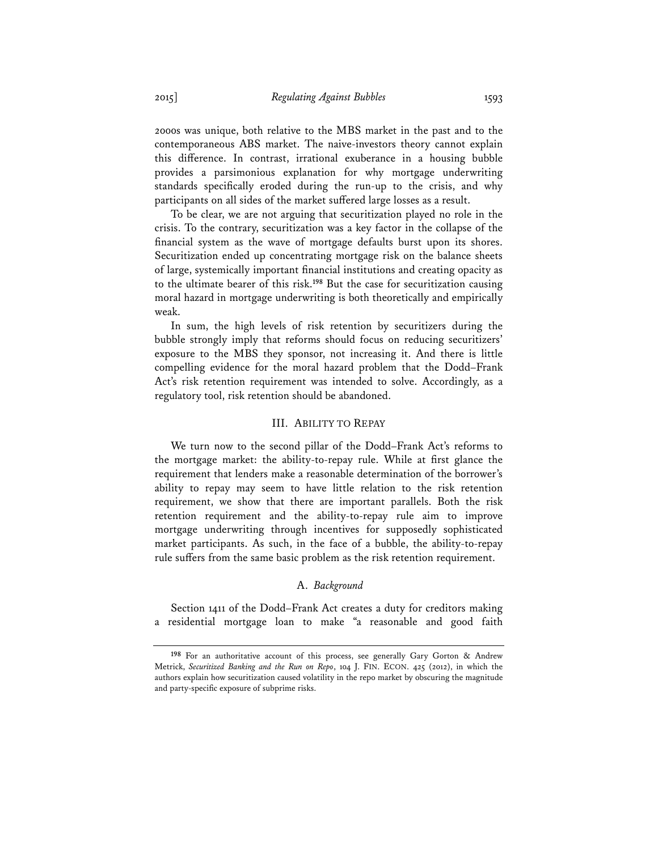2000s was unique, both relative to the MBS market in the past and to the contemporaneous ABS market. The naive-investors theory cannot explain this difference. In contrast, irrational exuberance in a housing bubble provides a parsimonious explanation for why mortgage underwriting standards specifically eroded during the run-up to the crisis, and why participants on all sides of the market suffered large losses as a result.

To be clear, we are not arguing that securitization played no role in the crisis. To the contrary, securitization was a key factor in the collapse of the financial system as the wave of mortgage defaults burst upon its shores. Securitization ended up concentrating mortgage risk on the balance sheets of large, systemically important financial institutions and creating opacity as to the ultimate bearer of this risk.**<sup>198</sup>** But the case for securitization causing moral hazard in mortgage underwriting is both theoretically and empirically weak.

In sum, the high levels of risk retention by securitizers during the bubble strongly imply that reforms should focus on reducing securitizers' exposure to the MBS they sponsor, not increasing it. And there is little compelling evidence for the moral hazard problem that the Dodd–Frank Act's risk retention requirement was intended to solve. Accordingly, as a regulatory tool, risk retention should be abandoned.

### III. ABILITY TO REPAY

We turn now to the second pillar of the Dodd–Frank Act's reforms to the mortgage market: the ability-to-repay rule. While at first glance the requirement that lenders make a reasonable determination of the borrower's ability to repay may seem to have little relation to the risk retention requirement, we show that there are important parallels. Both the risk retention requirement and the ability-to-repay rule aim to improve mortgage underwriting through incentives for supposedly sophisticated market participants. As such, in the face of a bubble, the ability-to-repay rule suffers from the same basic problem as the risk retention requirement.

#### A. *Background*

Section 1411 of the Dodd–Frank Act creates a duty for creditors making a residential mortgage loan to make "a reasonable and good faith

**<sup>198</sup>** For an authoritative account of this process, see generally Gary Gorton & Andrew Metrick, *Securitized Banking and the Run on Repo*, 104 J. FIN. ECON. 425 (2012), in which the authors explain how securitization caused volatility in the repo market by obscuring the magnitude and party-specific exposure of subprime risks.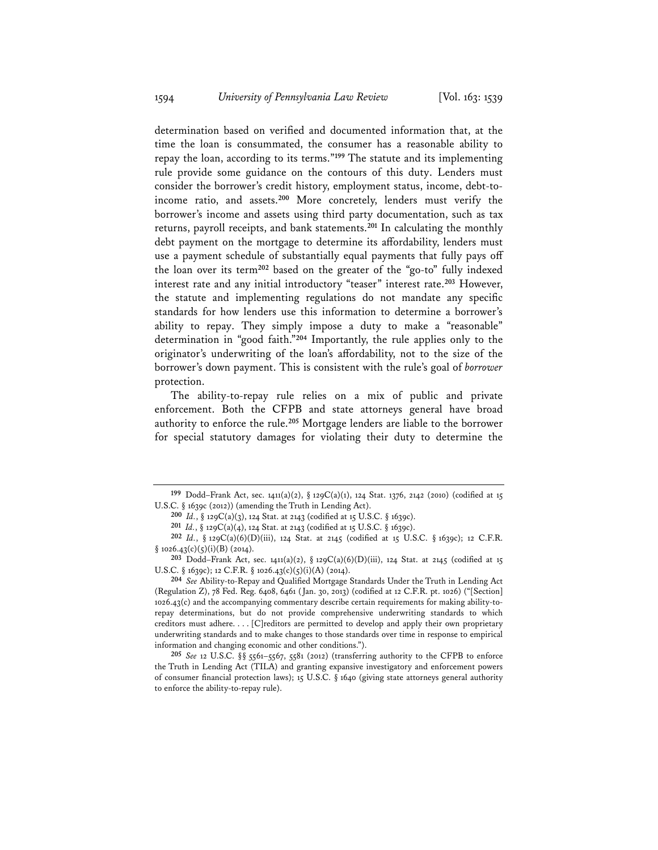determination based on verified and documented information that, at the time the loan is consummated, the consumer has a reasonable ability to repay the loan, according to its terms."**<sup>199</sup>** The statute and its implementing rule provide some guidance on the contours of this duty. Lenders must consider the borrower's credit history, employment status, income, debt-toincome ratio, and assets.**<sup>200</sup>** More concretely, lenders must verify the borrower's income and assets using third party documentation, such as tax returns, payroll receipts, and bank statements.**<sup>201</sup>** In calculating the monthly debt payment on the mortgage to determine its affordability, lenders must use a payment schedule of substantially equal payments that fully pays off the loan over its term**<sup>202</sup>** based on the greater of the "go-to" fully indexed interest rate and any initial introductory "teaser" interest rate.**<sup>203</sup>** However, the statute and implementing regulations do not mandate any specific standards for how lenders use this information to determine a borrower's ability to repay. They simply impose a duty to make a "reasonable" determination in "good faith."**<sup>204</sup>** Importantly, the rule applies only to the originator's underwriting of the loan's affordability, not to the size of the borrower's down payment. This is consistent with the rule's goal of *borrower* protection.

The ability-to-repay rule relies on a mix of public and private enforcement. Both the CFPB and state attorneys general have broad authority to enforce the rule.**<sup>205</sup>** Mortgage lenders are liable to the borrower for special statutory damages for violating their duty to determine the

**<sup>199</sup>** Dodd–Frank Act, sec. 1411(a)(2), § 129C(a)(1), 124 Stat. 1376, 2142 (2010) (codified at 15 U.S.C. § 1639c (2012)) (amending the Truth in Lending Act).

**<sup>200</sup>** *Id.*, § 129C(a)(3), 124 Stat. at 2143 (codified at 15 U.S.C. § 1639c).

**<sup>201</sup>** *Id.*, § 129C(a)(4), 124 Stat. at 2143 (codified at 15 U.S.C. § 1639c).

**<sup>202</sup>** *Id.*, § 129C(a)(6)(D)(iii), 124 Stat. at 2145 (codified at 15 U.S.C. § 1639c); 12 C.F.R.  $§ 1026.43(c)(5)(i)(B)(2014).$ 

**<sup>203</sup>** Dodd–Frank Act, sec. 1411(a)(2), § 129C(a)(6)(D)(iii), 124 Stat. at 2145 (codified at 15 U.S.C. § 1639c); 12 C.F.R. § 1026.43(c)(5)(i)(A) (2014).

**<sup>204</sup>** *See* Ability-to-Repay and Qualified Mortgage Standards Under the Truth in Lending Act (Regulation Z), 78 Fed. Reg. 6408, 6461 (Jan. 30, 2013) (codified at 12 C.F.R. pt. 1026) ("[Section] 1026.43(c) and the accompanying commentary describe certain requirements for making ability-torepay determinations, but do not provide comprehensive underwriting standards to which creditors must adhere. . . . [C]reditors are permitted to develop and apply their own proprietary underwriting standards and to make changes to those standards over time in response to empirical information and changing economic and other conditions.").

**<sup>205</sup>** *See* 12 U.S.C. §§ 5561–5567, 5581 (2012) (transferring authority to the CFPB to enforce the Truth in Lending Act (TILA) and granting expansive investigatory and enforcement powers of consumer financial protection laws); 15 U.S.C. § 1640 (giving state attorneys general authority to enforce the ability-to-repay rule).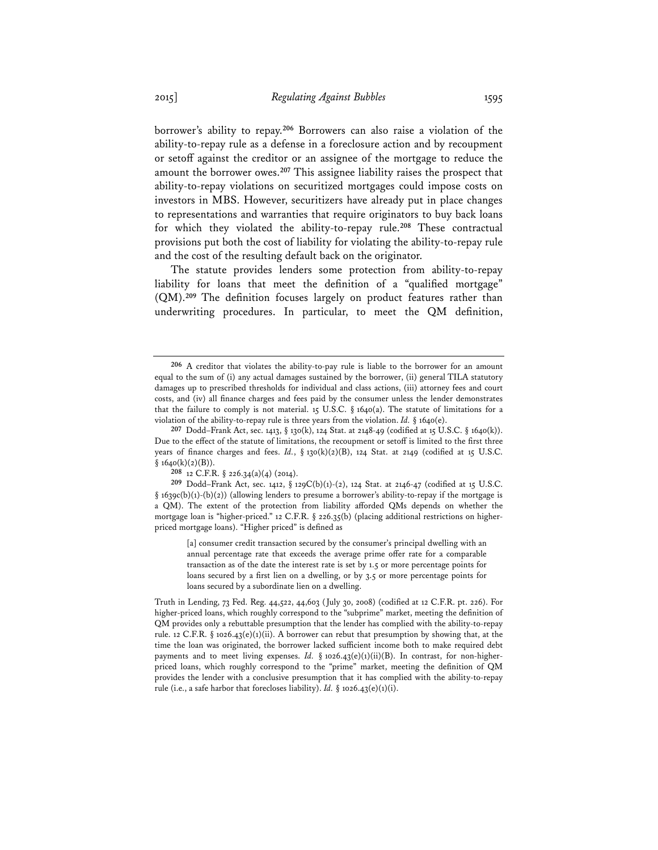borrower's ability to repay.**<sup>206</sup>** Borrowers can also raise a violation of the ability-to-repay rule as a defense in a foreclosure action and by recoupment or setoff against the creditor or an assignee of the mortgage to reduce the amount the borrower owes.**<sup>207</sup>** This assignee liability raises the prospect that ability-to-repay violations on securitized mortgages could impose costs on investors in MBS. However, securitizers have already put in place changes to representations and warranties that require originators to buy back loans for which they violated the ability-to-repay rule.**<sup>208</sup>** These contractual provisions put both the cost of liability for violating the ability-to-repay rule and the cost of the resulting default back on the originator.

The statute provides lenders some protection from ability-to-repay liability for loans that meet the definition of a "qualified mortgage" (QM).**<sup>209</sup>** The definition focuses largely on product features rather than underwriting procedures. In particular, to meet the QM definition,

[a] consumer credit transaction secured by the consumer's principal dwelling with an annual percentage rate that exceeds the average prime offer rate for a comparable transaction as of the date the interest rate is set by 1.5 or more percentage points for loans secured by a first lien on a dwelling, or by 3.5 or more percentage points for loans secured by a subordinate lien on a dwelling.

Truth in Lending, 73 Fed. Reg. 44,522, 44,603 (July 30, 2008) (codified at 12 C.F.R. pt. 226). For higher-priced loans, which roughly correspond to the "subprime" market, meeting the definition of QM provides only a rebuttable presumption that the lender has complied with the ability-to-repay rule. 12 C.F.R. § 1026.43(e)(1)(ii). A borrower can rebut that presumption by showing that, at the time the loan was originated, the borrower lacked sufficient income both to make required debt payments and to meet living expenses. *Id.* § 1026.43(e)(1)(ii)(B). In contrast, for non-higherpriced loans, which roughly correspond to the "prime" market, meeting the definition of QM provides the lender with a conclusive presumption that it has complied with the ability-to-repay rule (i.e., a safe harbor that forecloses liability). *Id.* § 1026.43(e)(1)(i).

**<sup>206</sup>** A creditor that violates the ability-to-pay rule is liable to the borrower for an amount equal to the sum of (i) any actual damages sustained by the borrower, (ii) general TILA statutory damages up to prescribed thresholds for individual and class actions, (iii) attorney fees and court costs, and (iv) all finance charges and fees paid by the consumer unless the lender demonstrates that the failure to comply is not material. 15 U.S.C.  $\S$  1640(a). The statute of limitations for a violation of the ability-to-repay rule is three years from the violation. *Id.* § 1640(e).

**<sup>207</sup>** Dodd–Frank Act, sec. 1413, § 130(k), 124 Stat. at 2148-49 (codified at 15 U.S.C. § 1640(k)). Due to the effect of the statute of limitations, the recoupment or setoff is limited to the first three years of finance charges and fees. *Id.*, § 130(k)(2)(B), 124 Stat. at 2149 (codified at 15 U.S.C.  $§ 1640(k)(2)(B)).$ 

**<sup>208</sup>** 12 C.F.R. § 226.34(a)(4) (2014).

**<sup>209</sup>** Dodd–Frank Act, sec. 1412, § 129C(b)(1)-(2), 124 Stat. at 2146-47 (codified at 15 U.S.C. § 1639c(b)(1)-(b)(2)) (allowing lenders to presume a borrower's ability-to-repay if the mortgage is a QM). The extent of the protection from liability afforded QMs depends on whether the mortgage loan is "higher-priced." 12 C.F.R. § 226.35(b) (placing additional restrictions on higherpriced mortgage loans). "Higher priced" is defined as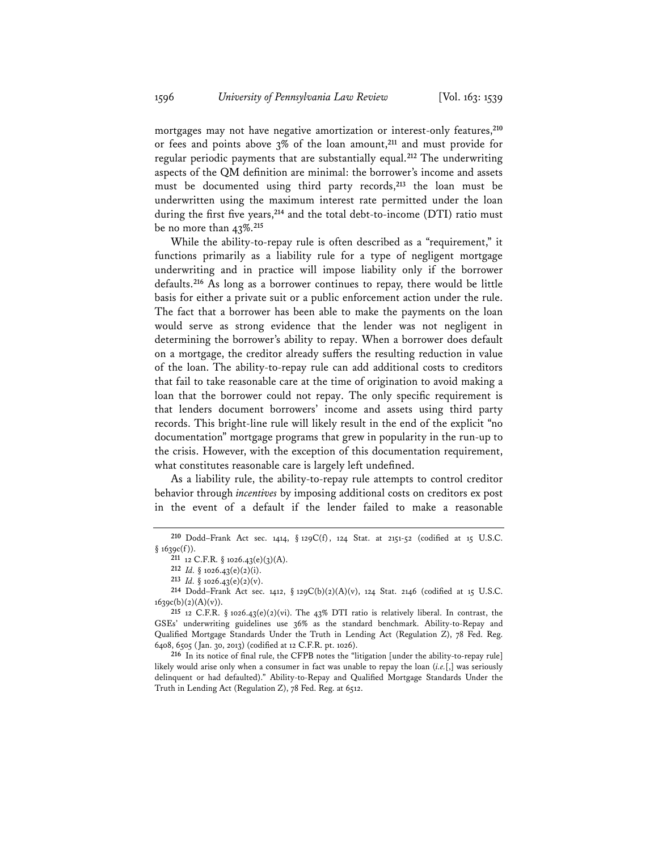mortgages may not have negative amortization or interest-only features,**<sup>210</sup>** or fees and points above 3% of the loan amount,**<sup>211</sup>** and must provide for regular periodic payments that are substantially equal.**<sup>212</sup>** The underwriting aspects of the QM definition are minimal: the borrower's income and assets must be documented using third party records,**<sup>213</sup>** the loan must be underwritten using the maximum interest rate permitted under the loan during the first five years,**<sup>214</sup>** and the total debt-to-income (DTI) ratio must be no more than 43%.**<sup>215</sup>**

While the ability-to-repay rule is often described as a "requirement," it functions primarily as a liability rule for a type of negligent mortgage underwriting and in practice will impose liability only if the borrower defaults.**<sup>216</sup>** As long as a borrower continues to repay, there would be little basis for either a private suit or a public enforcement action under the rule. The fact that a borrower has been able to make the payments on the loan would serve as strong evidence that the lender was not negligent in determining the borrower's ability to repay. When a borrower does default on a mortgage, the creditor already suffers the resulting reduction in value of the loan. The ability-to-repay rule can add additional costs to creditors that fail to take reasonable care at the time of origination to avoid making a loan that the borrower could not repay. The only specific requirement is that lenders document borrowers' income and assets using third party records. This bright-line rule will likely result in the end of the explicit "no documentation" mortgage programs that grew in popularity in the run-up to the crisis. However, with the exception of this documentation requirement, what constitutes reasonable care is largely left undefined.

As a liability rule, the ability-to-repay rule attempts to control creditor behavior through *incentives* by imposing additional costs on creditors ex post in the event of a default if the lender failed to make a reasonable

**216** In its notice of final rule, the CFPB notes the "litigation [under the ability-to-repay rule] likely would arise only when a consumer in fact was unable to repay the loan (*i.e.*[,] was seriously delinquent or had defaulted)." Ability-to-Repay and Qualified Mortgage Standards Under the Truth in Lending Act (Regulation Z), 78 Fed. Reg. at 6512.

**<sup>210</sup>** Dodd–Frank Act sec. 1414, § 129C(f), 124 Stat. at 2151-52 (codified at 15 U.S.C. § 1639c(f)).

**<sup>211</sup>** 12 C.F.R. § 1026.43(e)(3)(A).

**<sup>212</sup>** *Id.* § 1026.43(e)(2)(i).

<sup>213</sup> *Id.*  $\S$  1026.43(e)(2)(v).

**<sup>214</sup>** Dodd–Frank Act sec. 1412, § 129C(b)(2)(A)(v), 124 Stat. 2146 (codified at 15 U.S.C. 1639c(b)(2)(A)(v)).

**<sup>215</sup>** 12 C.F.R. § 1026.43(e)(2)(vi). The 43% DTI ratio is relatively liberal. In contrast, the GSEs' underwriting guidelines use 36% as the standard benchmark. Ability-to-Repay and Qualified Mortgage Standards Under the Truth in Lending Act (Regulation Z), 78 Fed. Reg. 6408, 6505 (Jan. 30, 2013) (codified at 12 C.F.R. pt. 1026).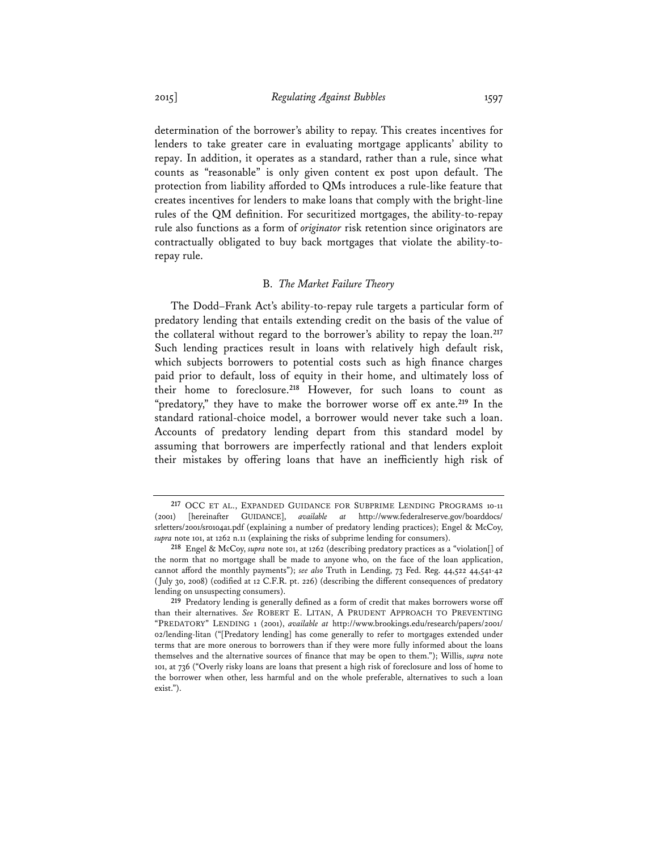determination of the borrower's ability to repay. This creates incentives for lenders to take greater care in evaluating mortgage applicants' ability to repay. In addition, it operates as a standard, rather than a rule, since what counts as "reasonable" is only given content ex post upon default. The protection from liability afforded to QMs introduces a rule-like feature that creates incentives for lenders to make loans that comply with the bright-line rules of the QM definition. For securitized mortgages, the ability-to-repay rule also functions as a form of *originator* risk retention since originators are contractually obligated to buy back mortgages that violate the ability-torepay rule.

### B. *The Market Failure Theory*

The Dodd–Frank Act's ability-to-repay rule targets a particular form of predatory lending that entails extending credit on the basis of the value of the collateral without regard to the borrower's ability to repay the loan.**<sup>217</sup>** Such lending practices result in loans with relatively high default risk, which subjects borrowers to potential costs such as high finance charges paid prior to default, loss of equity in their home, and ultimately loss of their home to foreclosure.**<sup>218</sup>** However, for such loans to count as "predatory," they have to make the borrower worse off ex ante.**<sup>219</sup>** In the standard rational-choice model, a borrower would never take such a loan. Accounts of predatory lending depart from this standard model by assuming that borrowers are imperfectly rational and that lenders exploit their mistakes by offering loans that have an inefficiently high risk of

<sup>&</sup>lt;sup>217</sup> OCC ET AL., EXPANDED GUIDANCE FOR SUBPRIME LENDING PROGRAMS 10-11 (2001) [hereinafter GUIDANCE], *available at* http://www.federalreserve.gov/boarddocs/ (2001) [hereinafter GUIDANCE], *available at* http://www.federalreserve.gov/boarddocs/ srletters/2001/sr0104a1.pdf (explaining a number of predatory lending practices); Engel & McCoy, *supra* note 101, at 1262 n.11 (explaining the risks of subprime lending for consumers).

**<sup>218</sup>** Engel & McCoy, *supra* note 101, at 1262 (describing predatory practices as a "violation[] of the norm that no mortgage shall be made to anyone who, on the face of the loan application, cannot afford the monthly payments"); *see also* Truth in Lending, 73 Fed. Reg. 44,522 44,541-42 (July 30, 2008) (codified at 12 C.F.R. pt. 226) (describing the different consequences of predatory lending on unsuspecting consumers).

**<sup>219</sup>** Predatory lending is generally defined as a form of credit that makes borrowers worse off than their alternatives. *See* ROBERT E. LITAN, A PRUDENT APPROACH TO PREVENTING "PREDATORY" LENDING 1 (2001), *available at* http://www.brookings.edu/research/papers/2001/ 02/lending-litan ("[Predatory lending] has come generally to refer to mortgages extended under terms that are more onerous to borrowers than if they were more fully informed about the loans themselves and the alternative sources of finance that may be open to them."); Willis, *supra* note 101, at 736 ("Overly risky loans are loans that present a high risk of foreclosure and loss of home to the borrower when other, less harmful and on the whole preferable, alternatives to such a loan exist.").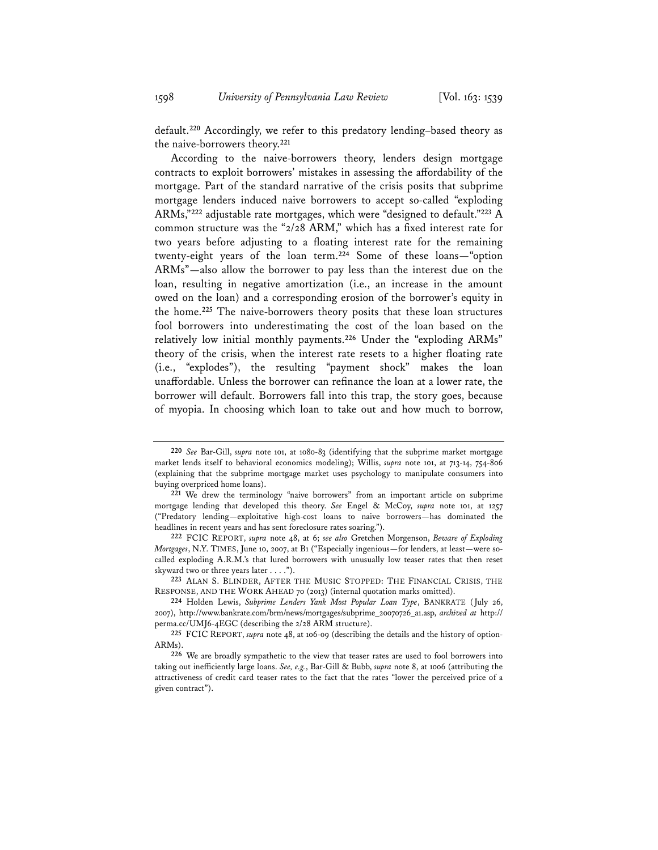default.**<sup>220</sup>** Accordingly, we refer to this predatory lending–based theory as the naive-borrowers theory.**<sup>221</sup>**

According to the naive-borrowers theory, lenders design mortgage contracts to exploit borrowers' mistakes in assessing the affordability of the mortgage. Part of the standard narrative of the crisis posits that subprime mortgage lenders induced naive borrowers to accept so-called "exploding ARMs,"**<sup>222</sup>** adjustable rate mortgages, which were "designed to default."**<sup>223</sup>** A common structure was the "2/28 ARM," which has a fixed interest rate for two years before adjusting to a floating interest rate for the remaining twenty-eight years of the loan term.**<sup>224</sup>** Some of these loans—"option ARMs"—also allow the borrower to pay less than the interest due on the loan, resulting in negative amortization (i.e., an increase in the amount owed on the loan) and a corresponding erosion of the borrower's equity in the home.**<sup>225</sup>** The naive-borrowers theory posits that these loan structures fool borrowers into underestimating the cost of the loan based on the relatively low initial monthly payments.**<sup>226</sup>** Under the "exploding ARMs" theory of the crisis, when the interest rate resets to a higher floating rate (i.e., "explodes"), the resulting "payment shock" makes the loan unaffordable. Unless the borrower can refinance the loan at a lower rate, the borrower will default. Borrowers fall into this trap, the story goes, because of myopia. In choosing which loan to take out and how much to borrow,

**223** ALAN S. BLINDER, AFTER THE MUSIC STOPPED: THE FINANCIAL CRISIS, THE RESPONSE, AND THE WORK AHEAD 70 (2013) (internal quotation marks omitted).

**<sup>220</sup>** *See* Bar-Gill, *supra* note 101, at 1080-83 (identifying that the subprime market mortgage market lends itself to behavioral economics modeling); Willis, *supra* note 101, at 713-14, 754-806 (explaining that the subprime mortgage market uses psychology to manipulate consumers into buying overpriced home loans).

**<sup>221</sup>** We drew the terminology "naive borrowers" from an important article on subprime mortgage lending that developed this theory. *See* Engel & McCoy, *supra* note 101, at 1257 ("Predatory lending—exploitative high-cost loans to naive borrowers—has dominated the headlines in recent years and has sent foreclosure rates soaring.").

**<sup>222</sup>** FCIC REPORT, *supra* note 48, at 6; *see also* Gretchen Morgenson, *Beware of Exploding Mortgages*, N.Y. TIMES, June 10, 2007, at B1 ("Especially ingenious—for lenders, at least—were socalled exploding A.R.M.'s that lured borrowers with unusually low teaser rates that then reset skyward two or three years later . . . .").

**<sup>224</sup>** Holden Lewis, *Subprime Lenders Yank Most Popular Loan Type*, BANKRATE (July 26, 2007), http://www.bankrate.com/brm/news/mortgages/subprime\_20070726\_a1.asp, *archived at* http:// perma.cc/UMJ6-4EGC (describing the 2/28 ARM structure).

**<sup>225</sup>** FCIC REPORT, *supra* note 48, at 106-09 (describing the details and the history of option-ARMs).

**<sup>226</sup>** We are broadly sympathetic to the view that teaser rates are used to fool borrowers into taking out inefficiently large loans. *See, e.g.*, Bar-Gill & Bubb, *supra* note 8, at 1006 (attributing the attractiveness of credit card teaser rates to the fact that the rates "lower the perceived price of a given contract").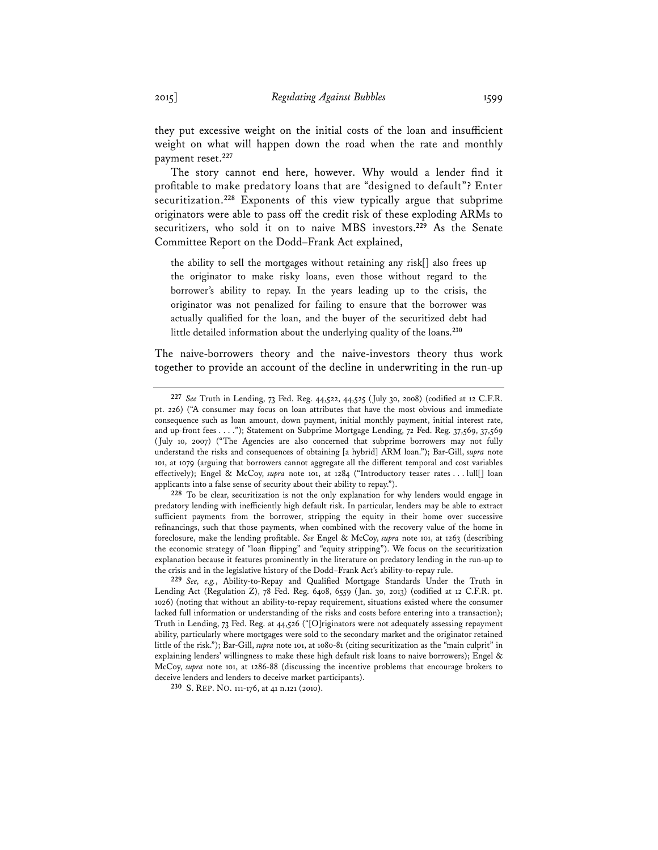they put excessive weight on the initial costs of the loan and insufficient weight on what will happen down the road when the rate and monthly payment reset.**<sup>227</sup>**

The story cannot end here, however. Why would a lender find it profitable to make predatory loans that are "designed to default"? Enter securitization.**<sup>228</sup>** Exponents of this view typically argue that subprime originators were able to pass off the credit risk of these exploding ARMs to securitizers, who sold it on to naive MBS investors.**<sup>229</sup>** As the Senate Committee Report on the Dodd–Frank Act explained,

the ability to sell the mortgages without retaining any risk[] also frees up the originator to make risky loans, even those without regard to the borrower's ability to repay. In the years leading up to the crisis, the originator was not penalized for failing to ensure that the borrower was actually qualified for the loan, and the buyer of the securitized debt had little detailed information about the underlying quality of the loans.**<sup>230</sup>**

The naive-borrowers theory and the naive-investors theory thus work together to provide an account of the decline in underwriting in the run-up

**<sup>227</sup>** *See* Truth in Lending, 73 Fed. Reg. 44,522, 44,525 (July 30, 2008) (codified at 12 C.F.R. pt. 226) ("A consumer may focus on loan attributes that have the most obvious and immediate consequence such as loan amount, down payment, initial monthly payment, initial interest rate, and up-front fees . . . ."); Statement on Subprime Mortgage Lending, 72 Fed. Reg. 37,569, 37,569 (July 10, 2007) ("The Agencies are also concerned that subprime borrowers may not fully understand the risks and consequences of obtaining [a hybrid] ARM loan."); Bar-Gill, *supra* note 101, at 1079 (arguing that borrowers cannot aggregate all the different temporal and cost variables effectively); Engel & McCoy, *supra* note 101, at 1284 ("Introductory teaser rates . . . lull[] loan applicants into a false sense of security about their ability to repay.").

**<sup>228</sup>** To be clear, securitization is not the only explanation for why lenders would engage in predatory lending with inefficiently high default risk. In particular, lenders may be able to extract sufficient payments from the borrower, stripping the equity in their home over successive refinancings, such that those payments, when combined with the recovery value of the home in foreclosure, make the lending profitable. *See* Engel & McCoy, *supra* note 101, at 1263 (describing the economic strategy of "loan flipping" and "equity stripping"). We focus on the securitization explanation because it features prominently in the literature on predatory lending in the run-up to the crisis and in the legislative history of the Dodd–Frank Act's ability-to-repay rule.

**<sup>229</sup>** *See, e.g.*, Ability-to-Repay and Qualified Mortgage Standards Under the Truth in Lending Act (Regulation Z), 78 Fed. Reg. 6408, 6559 (Jan. 30, 2013) (codified at 12 C.F.R. pt. 1026) (noting that without an ability-to-repay requirement, situations existed where the consumer lacked full information or understanding of the risks and costs before entering into a transaction); Truth in Lending, 73 Fed. Reg. at 44,526 ("[O]riginators were not adequately assessing repayment ability, particularly where mortgages were sold to the secondary market and the originator retained little of the risk."); Bar-Gill, *supra* note 101, at 1080-81 (citing securitization as the "main culprit" in explaining lenders' willingness to make these high default risk loans to naive borrowers); Engel & McCoy, *supra* note 101, at 1286-88 (discussing the incentive problems that encourage brokers to deceive lenders and lenders to deceive market participants).

**<sup>230</sup>** S. REP. NO. 111-176, at 41 n.121 (2010).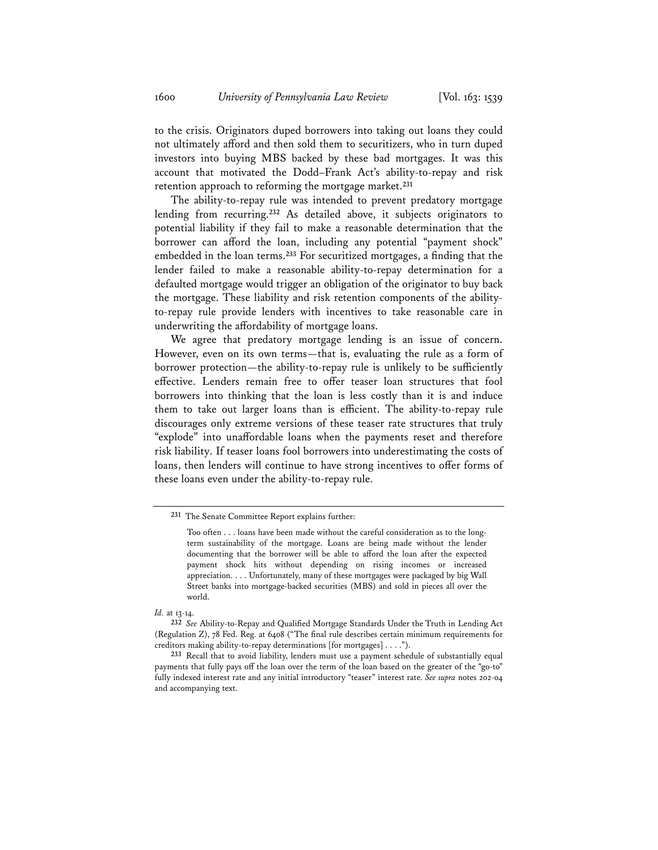to the crisis. Originators duped borrowers into taking out loans they could not ultimately afford and then sold them to securitizers, who in turn duped investors into buying MBS backed by these bad mortgages. It was this account that motivated the Dodd–Frank Act's ability-to-repay and risk retention approach to reforming the mortgage market.**<sup>231</sup>**

The ability-to-repay rule was intended to prevent predatory mortgage lending from recurring.**<sup>232</sup>** As detailed above, it subjects originators to potential liability if they fail to make a reasonable determination that the borrower can afford the loan, including any potential "payment shock" embedded in the loan terms.**<sup>233</sup>** For securitized mortgages, a finding that the lender failed to make a reasonable ability-to-repay determination for a defaulted mortgage would trigger an obligation of the originator to buy back the mortgage. These liability and risk retention components of the abilityto-repay rule provide lenders with incentives to take reasonable care in underwriting the affordability of mortgage loans.

We agree that predatory mortgage lending is an issue of concern. However, even on its own terms—that is, evaluating the rule as a form of borrower protection—the ability-to-repay rule is unlikely to be sufficiently effective. Lenders remain free to offer teaser loan structures that fool borrowers into thinking that the loan is less costly than it is and induce them to take out larger loans than is efficient. The ability-to-repay rule discourages only extreme versions of these teaser rate structures that truly "explode" into unaffordable loans when the payments reset and therefore risk liability. If teaser loans fool borrowers into underestimating the costs of loans, then lenders will continue to have strong incentives to offer forms of these loans even under the ability-to-repay rule.

**<sup>231</sup>** The Senate Committee Report explains further:

Too often . . . loans have been made without the careful consideration as to the longterm sustainability of the mortgage. Loans are being made without the lender documenting that the borrower will be able to afford the loan after the expected payment shock hits without depending on rising incomes or increased appreciation. . . . Unfortunately, many of these mortgages were packaged by big Wall Street banks into mortgage-backed securities (MBS) and sold in pieces all over the world.

*Id.* at 13-14.

**<sup>232</sup>** *See* Ability-to-Repay and Qualified Mortgage Standards Under the Truth in Lending Act (Regulation Z), 78 Fed. Reg. at 6408 ("The final rule describes certain minimum requirements for creditors making ability-to-repay determinations [for mortgages] . . . .").

**<sup>233</sup>** Recall that to avoid liability, lenders must use a payment schedule of substantially equal payments that fully pays off the loan over the term of the loan based on the greater of the "go-to" fully indexed interest rate and any initial introductory "teaser" interest rate. *See supra* notes 202-04 and accompanying text.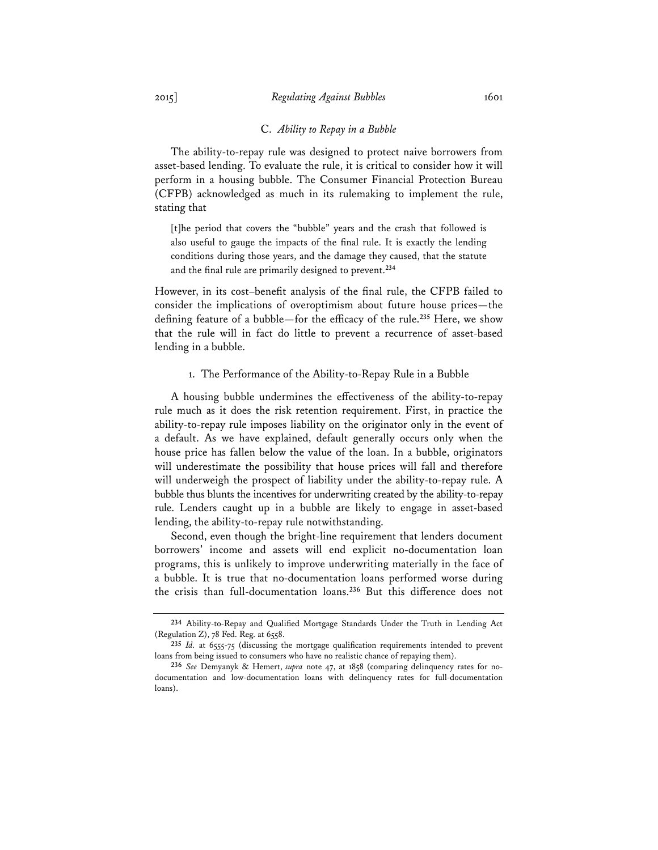The ability-to-repay rule was designed to protect naive borrowers from asset-based lending. To evaluate the rule, it is critical to consider how it will perform in a housing bubble. The Consumer Financial Protection Bureau (CFPB) acknowledged as much in its rulemaking to implement the rule, stating that

[t]he period that covers the "bubble" years and the crash that followed is also useful to gauge the impacts of the final rule. It is exactly the lending conditions during those years, and the damage they caused, that the statute and the final rule are primarily designed to prevent.**<sup>234</sup>**

However, in its cost–benefit analysis of the final rule, the CFPB failed to consider the implications of overoptimism about future house prices—the defining feature of a bubble—for the efficacy of the rule.**<sup>235</sup>** Here, we show that the rule will in fact do little to prevent a recurrence of asset-based lending in a bubble.

#### 1. The Performance of the Ability-to-Repay Rule in a Bubble

A housing bubble undermines the effectiveness of the ability-to-repay rule much as it does the risk retention requirement. First, in practice the ability-to-repay rule imposes liability on the originator only in the event of a default. As we have explained, default generally occurs only when the house price has fallen below the value of the loan. In a bubble, originators will underestimate the possibility that house prices will fall and therefore will underweigh the prospect of liability under the ability-to-repay rule. A bubble thus blunts the incentives for underwriting created by the ability-to-repay rule. Lenders caught up in a bubble are likely to engage in asset-based lending, the ability-to-repay rule notwithstanding.

Second, even though the bright-line requirement that lenders document borrowers' income and assets will end explicit no-documentation loan programs, this is unlikely to improve underwriting materially in the face of a bubble. It is true that no-documentation loans performed worse during the crisis than full-documentation loans.**<sup>236</sup>** But this difference does not

**<sup>234</sup>** Ability-to-Repay and Qualified Mortgage Standards Under the Truth in Lending Act (Regulation Z),  $78$  Fed. Reg. at  $6558$ .

**<sup>235</sup>** *Id.* at 6555-75 (discussing the mortgage qualification requirements intended to prevent loans from being issued to consumers who have no realistic chance of repaying them).

**<sup>236</sup>** *See* Demyanyk & Hemert, *supra* note 47, at 1858 (comparing delinquency rates for nodocumentation and low-documentation loans with delinquency rates for full-documentation loans).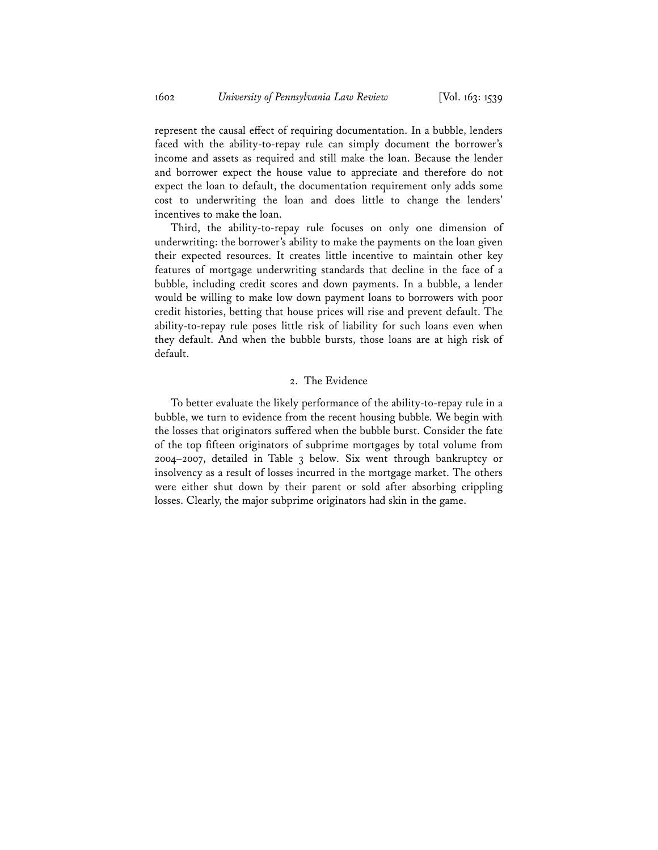represent the causal effect of requiring documentation. In a bubble, lenders faced with the ability-to-repay rule can simply document the borrower's income and assets as required and still make the loan. Because the lender and borrower expect the house value to appreciate and therefore do not expect the loan to default, the documentation requirement only adds some cost to underwriting the loan and does little to change the lenders' incentives to make the loan.

Third, the ability-to-repay rule focuses on only one dimension of underwriting: the borrower's ability to make the payments on the loan given their expected resources. It creates little incentive to maintain other key features of mortgage underwriting standards that decline in the face of a bubble, including credit scores and down payments. In a bubble, a lender would be willing to make low down payment loans to borrowers with poor credit histories, betting that house prices will rise and prevent default. The ability-to-repay rule poses little risk of liability for such loans even when they default. And when the bubble bursts, those loans are at high risk of default.

### 2. The Evidence

To better evaluate the likely performance of the ability-to-repay rule in a bubble, we turn to evidence from the recent housing bubble. We begin with the losses that originators suffered when the bubble burst. Consider the fate of the top fifteen originators of subprime mortgages by total volume from 2004–2007, detailed in Table 3 below. Six went through bankruptcy or insolvency as a result of losses incurred in the mortgage market. The others were either shut down by their parent or sold after absorbing crippling losses. Clearly, the major subprime originators had skin in the game.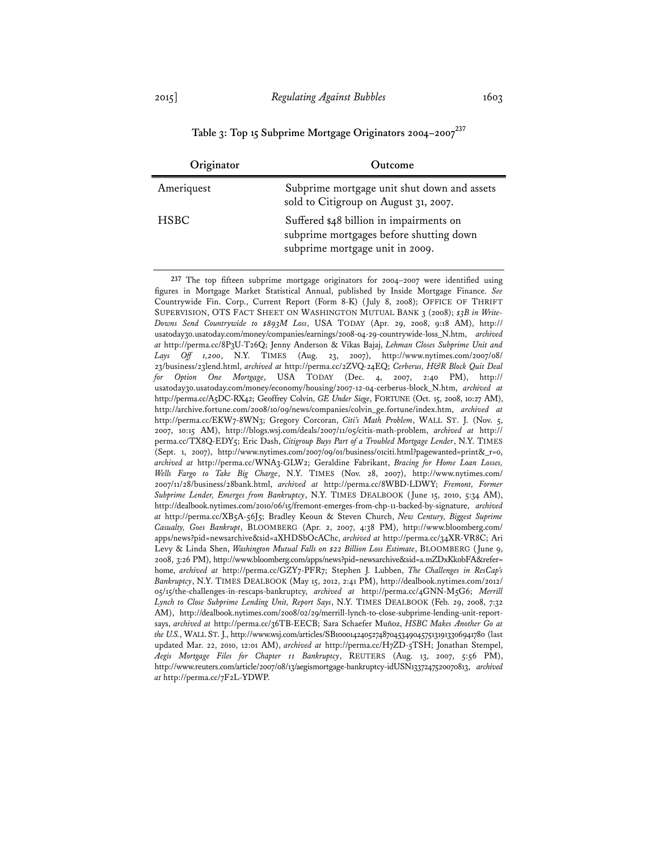**Table 3: Top 15 Subprime Mortgage Originators 2004–2007<sup>237</sup>**

| Originator  | Outcome                                                                                                               |
|-------------|-----------------------------------------------------------------------------------------------------------------------|
| Ameriquest  | Subprime mortgage unit shut down and assets<br>sold to Citigroup on August 31, 2007.                                  |
| <b>HSBC</b> | Suffered \$48 billion in impairments on<br>subprime mortgages before shutting down<br>subprime mortgage unit in 2009. |

**237** The top fifteen subprime mortgage originators for 2004–2007 were identified using figures in Mortgage Market Statistical Annual, published by Inside Mortgage Finance. *See* Countrywide Fin. Corp., Current Report (Form 8-K) (July 8, 2008); OFFICE OF THRIFT SUPERVISION, OTS FACT SHEET ON WASHINGTON MUTUAL BANK 3 (2008); *\$3B in Write-Downs Send Countrywide to \$893M Loss*, USA TODAY (Apr. 29, 2008, 9:18 AM), http:// usatoday30.usatoday.com/money/companies/earnings/2008-04-29-countrywide-loss\_N.htm, *archived at* http://perma.cc/8P3U-T26Q; Jenny Anderson & Vikas Bajaj, *Lehman Closes Subprime Unit and Lays Off 1,200*, N.Y. TIMES (Aug. 23, 2007), http://www.nytimes.com/2007/08/ 23/business/23lend.html, *archived at* http://perma.cc/2ZVQ-24EQ; *Cerberus, H&R Block Quit Deal for Option One Mortgage*, USA TODAY (Dec. 4, 2007, 2:40 PM), http:// usatoday30.usatoday.com/money/economy/housing/2007-12-04-cerberus-block\_N.htm, *archived at* http://perma.cc/A5DC-RX42; Geoffrey Colvin, *GE Under Siege*, FORTUNE (Oct. 15, 2008, 10:27 AM), http://archive.fortune.com/2008/10/09/news/companies/colvin\_ge.fortune/index.htm, *archived at* http://perma.cc/EKW7-8WN3; Gregory Corcoran, *Citi's Math Problem*, WALL ST. J. (Nov. 5, 2007, 10:15 AM), http://blogs.wsj.com/deals/2007/11/05/citis-math-problem, *archived at* http:// perma.cc/TX8Q-EDY5; Eric Dash, *Citigroup Buys Part of a Troubled Mortgage Lender*, N.Y. TIMES (Sept. 1, 2007), http://www.nytimes.com/2007/09/01/business/01citi.html?pagewanted=print&\_r=0, *archived at* http://perma.cc/WNA3-GLW2; Geraldine Fabrikant, *Bracing for Home Loan Losses, Wells Fargo to Take Big Charge*, N.Y. TIMES (Nov. 28, 2007), http://www.nytimes.com/ 2007/11/28/business/28bank.html, *archived at* http://perma.cc/8WBD-LDWY; *Fremont, Former Subprime Lender, Emerges from Bankruptcy*, N.Y. TIMES DEALBOOK (June 15, 2010, 5:34 AM), http://dealbook.nytimes.com/2010/06/15/fremont-emerges-from-chp-11-backed-by-signature, *archived at* http://perma.cc/XB5A-56J5; Bradley Keoun & Steven Church, *New Century, Biggest Suprime Casualty, Goes Bankrupt*, BLOOMBERG (Apr. 2, 2007, 4:38 PM), http://www.bloomberg.com/ apps/news?pid=newsarchive&sid=aXHDSbOcAChc, *archived at* http://perma.cc/34XR-VR8C; Ari Levy & Linda Shen, *Washington Mutual Falls on \$22 Billion Loss Estimate*, BLOOMBERG (June 9, 2008, 3:26 PM), http://www.bloomberg.com/apps/news?pid=newsarchive&sid=a.mZDxKk0bFA&refer= home, *archived at* http://perma.cc/GZY7-PFR7; Stephen J. Lubben, *The Challenges in ResCap's Bankruptcy*, N.Y. TIMES DEALBOOK (May 15, 2012, 2:41 PM), http://dealbook.nytimes.com/2012/ 05/15/the-challenges-in-rescaps-bankruptcy, *archived at* http://perma.cc/4GNN-M5G6; *Merrill Lynch to Close Subprime Lending Unit, Report Says*, N.Y. TIMES DEALBOOK (Feb. 29, 2008, 7:32 AM), http://dealbook.nytimes.com/2008/02/29/merrill-lynch-to-close-subprime-lending-unit-reportsays, *archived at* http://perma.cc/36TB-EECB; Sara Schaefer Muñoz, *HSBC Makes Another Go at the U.S.*, WALL ST. J., http://www.wsj.com/articles/SB10001424052748704534904575131913306941780 (last updated Mar. 22, 2010, 12:01 AM), *archived at* http://perma.cc/H7ZD-5TSH; Jonathan Stempel, *Aegis Mortgage Files for Chapter 11 Bankruptcy*, REUTERS (Aug. 13, 2007, 5:56 PM), http://www.reuters.com/article/2007/08/13/aegismortgage-bankruptcy-idUSN1337247520070813, *archived at* http://perma.cc/7F2L-YDWP.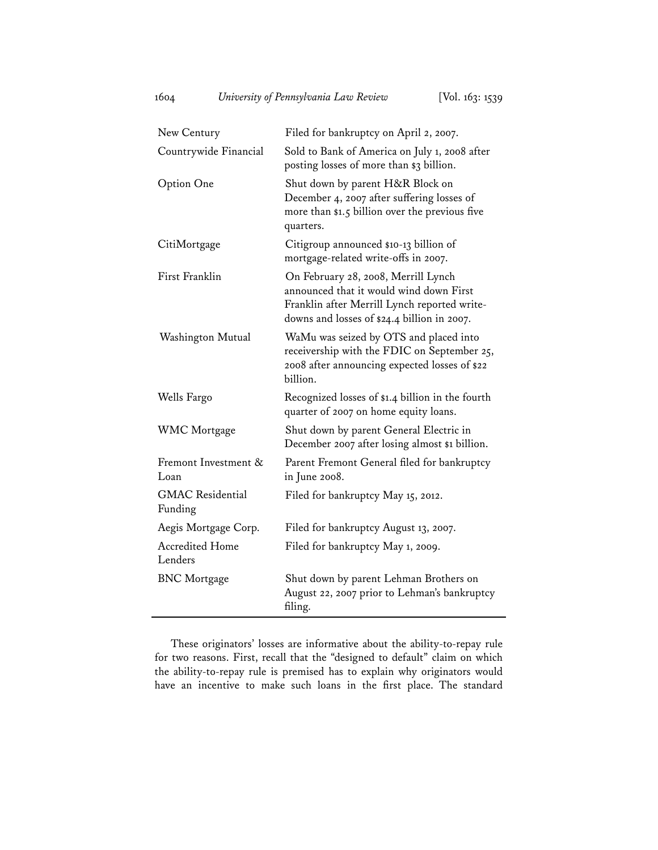| New Century                        | Filed for bankruptcy on April 2, 2007.                                                                                                                                        |
|------------------------------------|-------------------------------------------------------------------------------------------------------------------------------------------------------------------------------|
| Countrywide Financial              | Sold to Bank of America on July 1, 2008 after<br>posting losses of more than \$3 billion.                                                                                     |
| Option One                         | Shut down by parent H&R Block on<br>December 4, 2007 after suffering losses of<br>more than \$1.5 billion over the previous five<br>quarters.                                 |
| CitiMortgage                       | Citigroup announced \$10-13 billion of<br>mortgage-related write-offs in 2007.                                                                                                |
| First Franklin                     | On February 28, 2008, Merrill Lynch<br>announced that it would wind down First<br>Franklin after Merrill Lynch reported write-<br>downs and losses of \$24.4 billion in 2007. |
| Washington Mutual                  | WaMu was seized by OTS and placed into<br>receivership with the FDIC on September 25,<br>2008 after announcing expected losses of \$22<br>billion.                            |
| Wells Fargo                        | Recognized losses of \$1.4 billion in the fourth<br>quarter of 2007 on home equity loans.                                                                                     |
| <b>WMC</b> Mortgage                | Shut down by parent General Electric in<br>December 2007 after losing almost \$1 billion.                                                                                     |
| Fremont Investment &<br>Loan       | Parent Fremont General filed for bankruptcy<br>in June 2008.                                                                                                                  |
| <b>GMAC</b> Residential<br>Funding | Filed for bankruptcy May 15, 2012.                                                                                                                                            |
| Aegis Mortgage Corp.               | Filed for bankruptcy August 13, 2007.                                                                                                                                         |
| <b>Accredited Home</b><br>Lenders  | Filed for bankruptcy May 1, 2009.                                                                                                                                             |
| <b>BNC</b> Mortgage                | Shut down by parent Lehman Brothers on<br>August 22, 2007 prior to Lehman's bankruptcy<br>filing.                                                                             |

These originators' losses are informative about the ability-to-repay rule for two reasons. First, recall that the "designed to default" claim on which the ability-to-repay rule is premised has to explain why originators would have an incentive to make such loans in the first place. The standard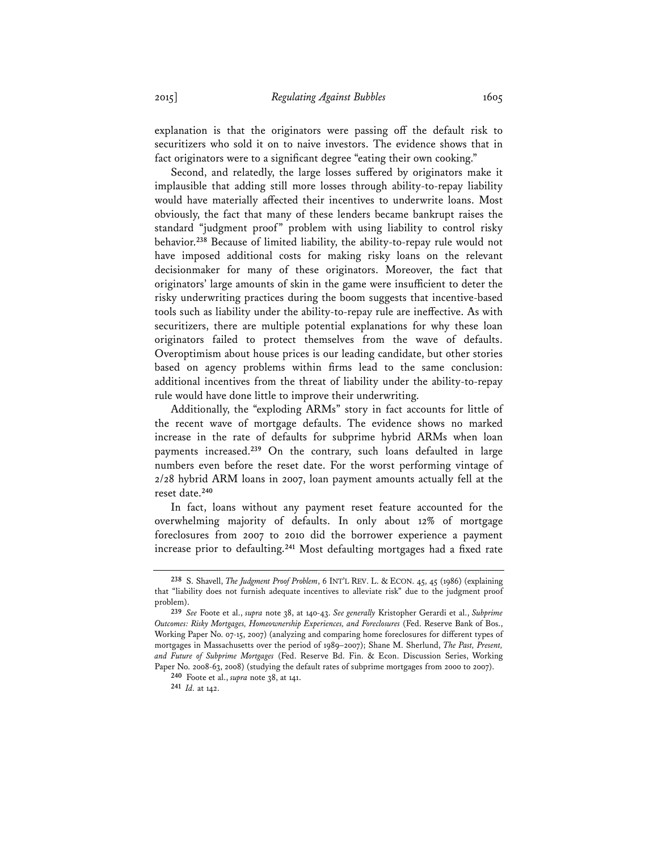explanation is that the originators were passing off the default risk to securitizers who sold it on to naive investors. The evidence shows that in fact originators were to a significant degree "eating their own cooking."

Second, and relatedly, the large losses suffered by originators make it implausible that adding still more losses through ability-to-repay liability would have materially affected their incentives to underwrite loans. Most obviously, the fact that many of these lenders became bankrupt raises the standard "judgment proof" problem with using liability to control risky behavior.**<sup>238</sup>** Because of limited liability, the ability-to-repay rule would not have imposed additional costs for making risky loans on the relevant decisionmaker for many of these originators. Moreover, the fact that originators' large amounts of skin in the game were insufficient to deter the risky underwriting practices during the boom suggests that incentive-based tools such as liability under the ability-to-repay rule are ineffective. As with securitizers, there are multiple potential explanations for why these loan originators failed to protect themselves from the wave of defaults. Overoptimism about house prices is our leading candidate, but other stories based on agency problems within firms lead to the same conclusion: additional incentives from the threat of liability under the ability-to-repay rule would have done little to improve their underwriting.

Additionally, the "exploding ARMs" story in fact accounts for little of the recent wave of mortgage defaults. The evidence shows no marked increase in the rate of defaults for subprime hybrid ARMs when loan payments increased.**<sup>239</sup>** On the contrary, such loans defaulted in large numbers even before the reset date. For the worst performing vintage of 2/28 hybrid ARM loans in 2007, loan payment amounts actually fell at the reset date.**<sup>240</sup>**

In fact, loans without any payment reset feature accounted for the overwhelming majority of defaults. In only about 12% of mortgage foreclosures from 2007 to 2010 did the borrower experience a payment increase prior to defaulting.**<sup>241</sup>** Most defaulting mortgages had a fixed rate

**<sup>238</sup>** S. Shavell, *The Judgment Proof Problem*, 6 INT'L REV. L. & ECON. 45, 45 (1986) (explaining that "liability does not furnish adequate incentives to alleviate risk" due to the judgment proof problem).

**<sup>239</sup>** *See* Foote et al., *supra* note 38, at 140-43. *See generally* Kristopher Gerardi et al., *Subprime Outcomes: Risky Mortgages, Homeownership Experiences, and Foreclosures* (Fed. Reserve Bank of Bos., Working Paper No. 07-15, 2007) (analyzing and comparing home foreclosures for different types of mortgages in Massachusetts over the period of 1989–2007); Shane M. Sherlund, *The Past, Present, and Future of Subprime Mortgages* (Fed. Reserve Bd. Fin. & Econ. Discussion Series, Working Paper No. 2008-63, 2008) (studying the default rates of subprime mortgages from 2000 to 2007).

**<sup>240</sup>** Foote et al., *supra* note 38, at 141.

**<sup>241</sup>** *Id.* at 142.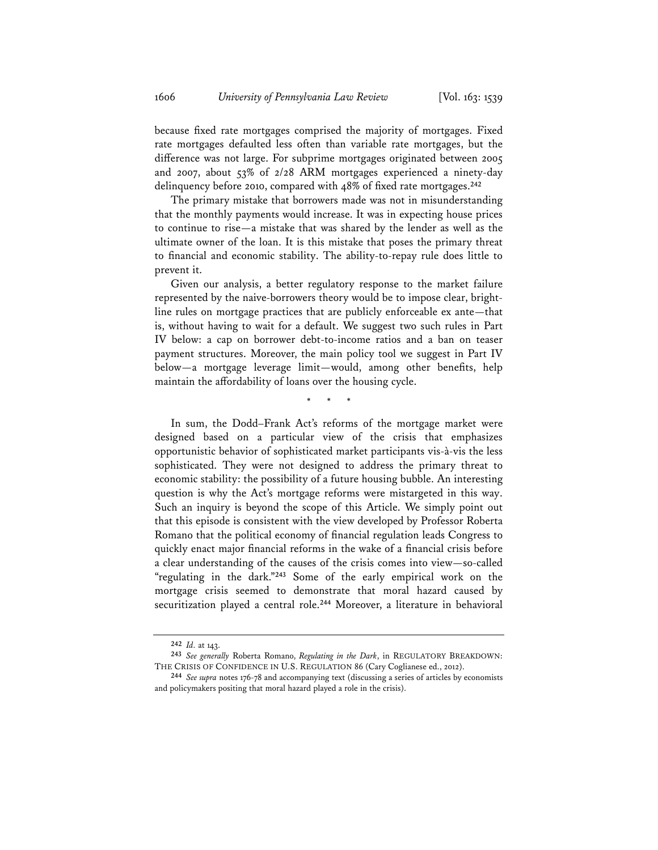because fixed rate mortgages comprised the majority of mortgages. Fixed rate mortgages defaulted less often than variable rate mortgages, but the difference was not large. For subprime mortgages originated between 2005 and 2007, about 53% of 2/28 ARM mortgages experienced a ninety-day delinquency before 2010, compared with 48% of fixed rate mortgages.**<sup>242</sup>**

The primary mistake that borrowers made was not in misunderstanding that the monthly payments would increase. It was in expecting house prices to continue to rise—a mistake that was shared by the lender as well as the ultimate owner of the loan. It is this mistake that poses the primary threat to financial and economic stability. The ability-to-repay rule does little to prevent it.

Given our analysis, a better regulatory response to the market failure represented by the naive-borrowers theory would be to impose clear, brightline rules on mortgage practices that are publicly enforceable ex ante—that is, without having to wait for a default. We suggest two such rules in Part IV below: a cap on borrower debt-to-income ratios and a ban on teaser payment structures. Moreover, the main policy tool we suggest in Part IV below—a mortgage leverage limit—would, among other benefits, help maintain the affordability of loans over the housing cycle.

\* \* \*

In sum, the Dodd–Frank Act's reforms of the mortgage market were designed based on a particular view of the crisis that emphasizes opportunistic behavior of sophisticated market participants vis-à-vis the less sophisticated. They were not designed to address the primary threat to economic stability: the possibility of a future housing bubble. An interesting question is why the Act's mortgage reforms were mistargeted in this way. Such an inquiry is beyond the scope of this Article. We simply point out that this episode is consistent with the view developed by Professor Roberta Romano that the political economy of financial regulation leads Congress to quickly enact major financial reforms in the wake of a financial crisis before a clear understanding of the causes of the crisis comes into view—so-called "regulating in the dark."**<sup>243</sup>** Some of the early empirical work on the mortgage crisis seemed to demonstrate that moral hazard caused by securitization played a central role.**<sup>244</sup>** Moreover, a literature in behavioral

**<sup>242</sup>** *Id.* at 143.

**<sup>243</sup>** *See generally* Roberta Romano, *Regulating in the Dark*, in REGULATORY BREAKDOWN: THE CRISIS OF CONFIDENCE IN U.S. REGULATION 86 (Cary Coglianese ed., 2012).

**<sup>244</sup>** *See supra* notes 176-78 and accompanying text (discussing a series of articles by economists and policymakers positing that moral hazard played a role in the crisis).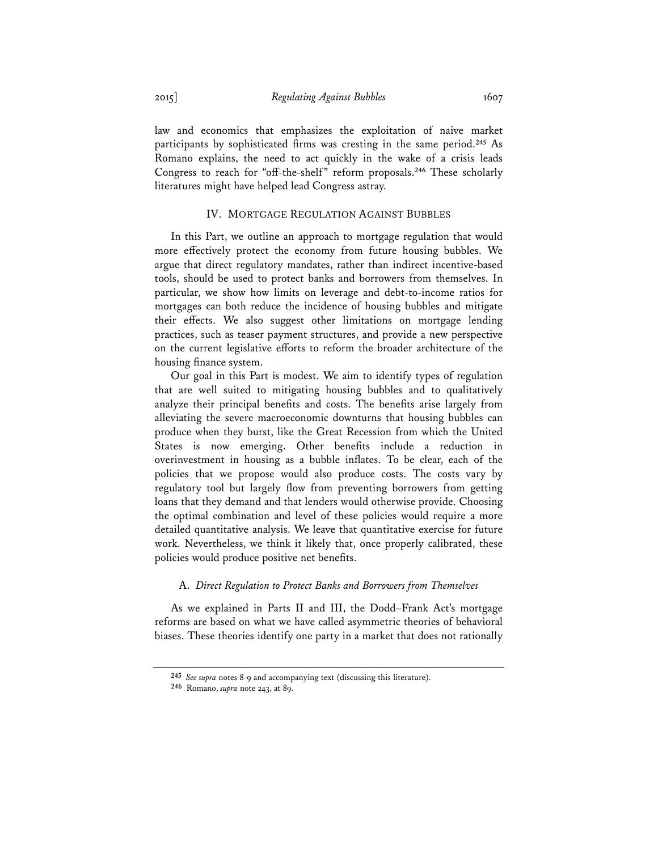law and economics that emphasizes the exploitation of naive market participants by sophisticated firms was cresting in the same period.**<sup>245</sup>** As Romano explains, the need to act quickly in the wake of a crisis leads Congress to reach for "off-the-shelf" reform proposals.**<sup>246</sup>** These scholarly literatures might have helped lead Congress astray.

#### IV. MORTGAGE REGULATION AGAINST BUBBLES

In this Part, we outline an approach to mortgage regulation that would more effectively protect the economy from future housing bubbles. We argue that direct regulatory mandates, rather than indirect incentive-based tools, should be used to protect banks and borrowers from themselves. In particular, we show how limits on leverage and debt-to-income ratios for mortgages can both reduce the incidence of housing bubbles and mitigate their effects. We also suggest other limitations on mortgage lending practices, such as teaser payment structures, and provide a new perspective on the current legislative efforts to reform the broader architecture of the housing finance system.

Our goal in this Part is modest. We aim to identify types of regulation that are well suited to mitigating housing bubbles and to qualitatively analyze their principal benefits and costs. The benefits arise largely from alleviating the severe macroeconomic downturns that housing bubbles can produce when they burst, like the Great Recession from which the United States is now emerging. Other benefits include a reduction in overinvestment in housing as a bubble inflates. To be clear, each of the policies that we propose would also produce costs. The costs vary by regulatory tool but largely flow from preventing borrowers from getting loans that they demand and that lenders would otherwise provide. Choosing the optimal combination and level of these policies would require a more detailed quantitative analysis. We leave that quantitative exercise for future work. Nevertheless, we think it likely that, once properly calibrated, these policies would produce positive net benefits.

#### A. *Direct Regulation to Protect Banks and Borrowers from Themselves*

As we explained in Parts II and III, the Dodd–Frank Act's mortgage reforms are based on what we have called asymmetric theories of behavioral biases. These theories identify one party in a market that does not rationally

**<sup>245</sup>** *See supra* notes 8-9 and accompanying text (discussing this literature).

**<sup>246</sup>** Romano, *supra* note 243, at 89.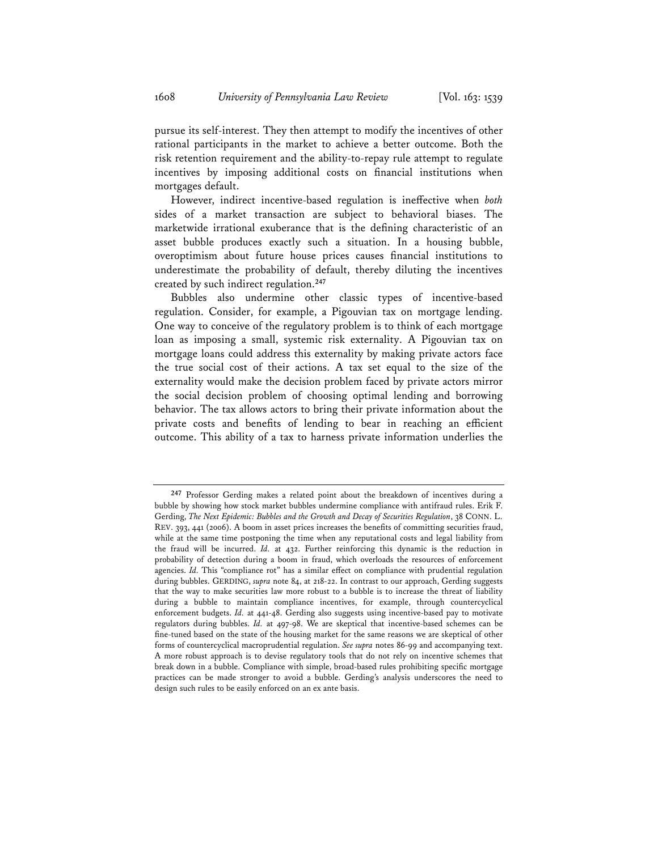pursue its self-interest. They then attempt to modify the incentives of other rational participants in the market to achieve a better outcome. Both the risk retention requirement and the ability-to-repay rule attempt to regulate incentives by imposing additional costs on financial institutions when mortgages default.

However, indirect incentive-based regulation is ineffective when *both* sides of a market transaction are subject to behavioral biases. The marketwide irrational exuberance that is the defining characteristic of an asset bubble produces exactly such a situation. In a housing bubble, overoptimism about future house prices causes financial institutions to underestimate the probability of default, thereby diluting the incentives created by such indirect regulation.**<sup>247</sup>**

Bubbles also undermine other classic types of incentive-based regulation. Consider, for example, a Pigouvian tax on mortgage lending. One way to conceive of the regulatory problem is to think of each mortgage loan as imposing a small, systemic risk externality. A Pigouvian tax on mortgage loans could address this externality by making private actors face the true social cost of their actions. A tax set equal to the size of the externality would make the decision problem faced by private actors mirror the social decision problem of choosing optimal lending and borrowing behavior. The tax allows actors to bring their private information about the private costs and benefits of lending to bear in reaching an efficient outcome. This ability of a tax to harness private information underlies the

**<sup>247</sup>** Professor Gerding makes a related point about the breakdown of incentives during a bubble by showing how stock market bubbles undermine compliance with antifraud rules. Erik F. Gerding, *The Next Epidemic: Bubbles and the Growth and Decay of Securities Regulation*, 38 CONN. L. REV. 393, 441 (2006). A boom in asset prices increases the benefits of committing securities fraud, while at the same time postponing the time when any reputational costs and legal liability from the fraud will be incurred. *Id.* at 432. Further reinforcing this dynamic is the reduction in probability of detection during a boom in fraud, which overloads the resources of enforcement agencies. *Id.* This "compliance rot" has a similar effect on compliance with prudential regulation during bubbles. GERDING, *supra* note 84, at 218-22. In contrast to our approach, Gerding suggests that the way to make securities law more robust to a bubble is to increase the threat of liability during a bubble to maintain compliance incentives, for example, through countercyclical enforcement budgets. *Id.* at 441-48. Gerding also suggests using incentive-based pay to motivate regulators during bubbles. *Id.* at 497-98. We are skeptical that incentive-based schemes can be fine-tuned based on the state of the housing market for the same reasons we are skeptical of other forms of countercyclical macroprudential regulation. *See supra* notes 86-99 and accompanying text. A more robust approach is to devise regulatory tools that do not rely on incentive schemes that break down in a bubble. Compliance with simple, broad-based rules prohibiting specific mortgage practices can be made stronger to avoid a bubble. Gerding's analysis underscores the need to design such rules to be easily enforced on an ex ante basis.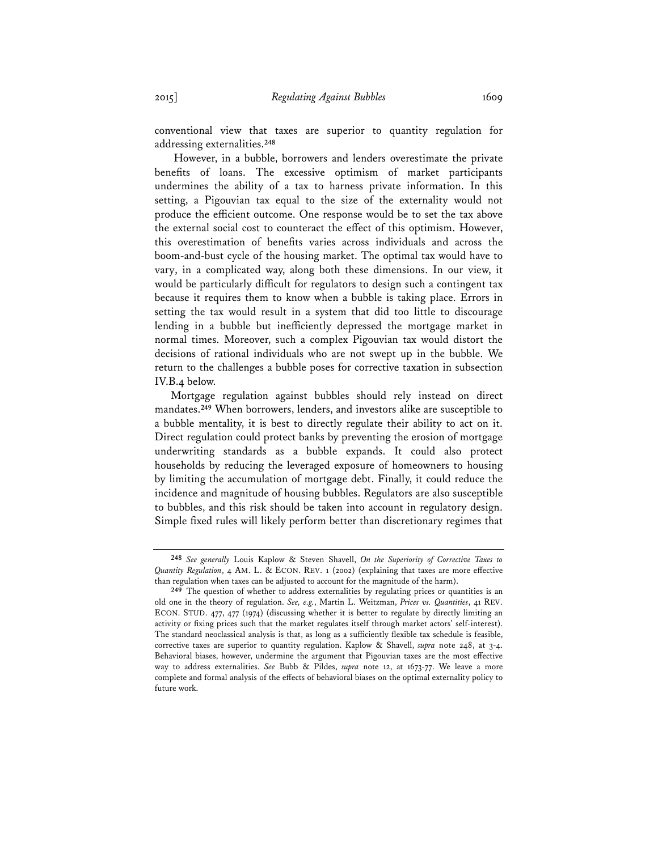conventional view that taxes are superior to quantity regulation for addressing externalities.**<sup>248</sup>**

 However, in a bubble, borrowers and lenders overestimate the private benefits of loans. The excessive optimism of market participants undermines the ability of a tax to harness private information. In this setting, a Pigouvian tax equal to the size of the externality would not produce the efficient outcome. One response would be to set the tax above the external social cost to counteract the effect of this optimism. However, this overestimation of benefits varies across individuals and across the boom-and-bust cycle of the housing market. The optimal tax would have to vary, in a complicated way, along both these dimensions. In our view, it would be particularly difficult for regulators to design such a contingent tax because it requires them to know when a bubble is taking place. Errors in setting the tax would result in a system that did too little to discourage lending in a bubble but inefficiently depressed the mortgage market in normal times. Moreover, such a complex Pigouvian tax would distort the decisions of rational individuals who are not swept up in the bubble. We return to the challenges a bubble poses for corrective taxation in subsection IV.B.4 below.

Mortgage regulation against bubbles should rely instead on direct mandates.**<sup>249</sup>** When borrowers, lenders, and investors alike are susceptible to a bubble mentality, it is best to directly regulate their ability to act on it. Direct regulation could protect banks by preventing the erosion of mortgage underwriting standards as a bubble expands. It could also protect households by reducing the leveraged exposure of homeowners to housing by limiting the accumulation of mortgage debt. Finally, it could reduce the incidence and magnitude of housing bubbles. Regulators are also susceptible to bubbles, and this risk should be taken into account in regulatory design. Simple fixed rules will likely perform better than discretionary regimes that

**<sup>248</sup>** *See generally* Louis Kaplow & Steven Shavell, *On the Superiority of Corrective Taxes to Quantity Regulation*, 4 AM. L. & ECON. REV. 1 (2002) (explaining that taxes are more effective than regulation when taxes can be adjusted to account for the magnitude of the harm).

**<sup>249</sup>** The question of whether to address externalities by regulating prices or quantities is an old one in the theory of regulation. *See, e.g.*, Martin L. Weitzman, *Prices vs. Quantities*, 41 REV. ECON. STUD. 477, 477 (1974) (discussing whether it is better to regulate by directly limiting an activity or fixing prices such that the market regulates itself through market actors' self-interest). The standard neoclassical analysis is that, as long as a sufficiently flexible tax schedule is feasible, corrective taxes are superior to quantity regulation. Kaplow & Shavell, *supra* note 248, at 3-4. Behavioral biases, however, undermine the argument that Pigouvian taxes are the most effective way to address externalities. *See* Bubb & Pildes, *supra* note 12, at 1673-77. We leave a more complete and formal analysis of the effects of behavioral biases on the optimal externality policy to future work.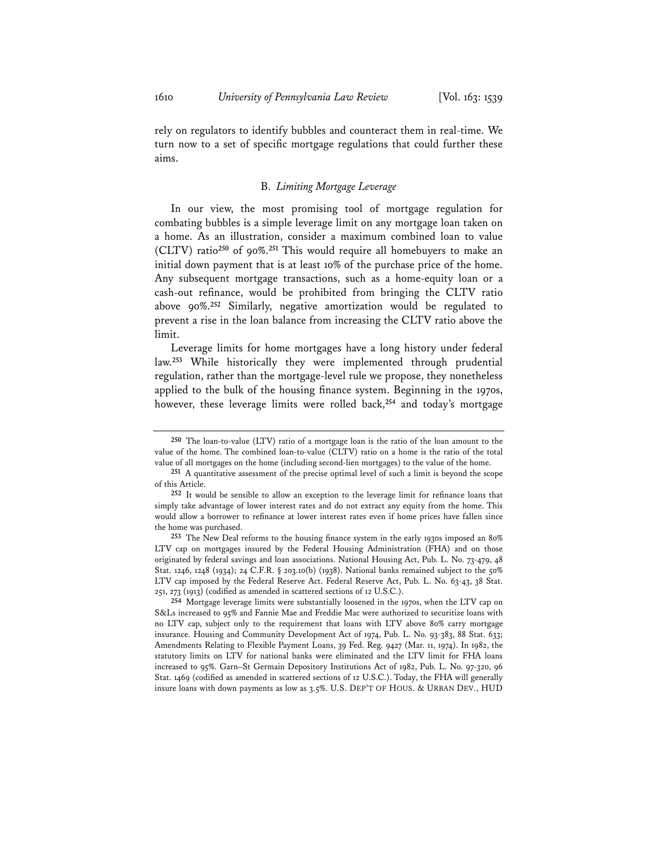rely on regulators to identify bubbles and counteract them in real-time. We turn now to a set of specific mortgage regulations that could further these aims.

### B. *Limiting Mortgage Leverage*

In our view, the most promising tool of mortgage regulation for combating bubbles is a simple leverage limit on any mortgage loan taken on a home. As an illustration, consider a maximum combined loan to value (CLTV) ratio**<sup>250</sup>** of 90%.**<sup>251</sup>** This would require all homebuyers to make an initial down payment that is at least 10% of the purchase price of the home. Any subsequent mortgage transactions, such as a home-equity loan or a cash-out refinance, would be prohibited from bringing the CLTV ratio above 90%.**<sup>252</sup>** Similarly, negative amortization would be regulated to prevent a rise in the loan balance from increasing the CLTV ratio above the limit.

Leverage limits for home mortgages have a long history under federal law.**<sup>253</sup>** While historically they were implemented through prudential regulation, rather than the mortgage-level rule we propose, they nonetheless applied to the bulk of the housing finance system. Beginning in the 1970s, however, these leverage limits were rolled back,**<sup>254</sup>** and today's mortgage

**254** Mortgage leverage limits were substantially loosened in the 1970s, when the LTV cap on S&Ls increased to 95% and Fannie Mae and Freddie Mac were authorized to securitize loans with no LTV cap, subject only to the requirement that loans with LTV above 80% carry mortgage insurance. Housing and Community Development Act of 1974, Pub. L. No. 93-383, 88 Stat. 633; Amendments Relating to Flexible Payment Loans, 39 Fed. Reg. 9427 (Mar. 11, 1974). In 1982, the statutory limits on LTV for national banks were eliminated and the LTV limit for FHA loans increased to 95%. Garn–St Germain Depository Institutions Act of 1982, Pub. L. No. 97-320, 96 Stat. 1469 (codified as amended in scattered sections of 12 U.S.C.). Today, the FHA will generally insure loans with down payments as low as 3.5%. U.S. DEP'T OF HOUS. & URBAN DEV., HUD

**<sup>250</sup>** The loan-to-value (LTV) ratio of a mortgage loan is the ratio of the loan amount to the value of the home. The combined loan-to-value (CLTV) ratio on a home is the ratio of the total value of all mortgages on the home (including second-lien mortgages) to the value of the home.

**<sup>251</sup>** A quantitative assessment of the precise optimal level of such a limit is beyond the scope of this Article.

**<sup>252</sup>** It would be sensible to allow an exception to the leverage limit for refinance loans that simply take advantage of lower interest rates and do not extract any equity from the home. This would allow a borrower to refinance at lower interest rates even if home prices have fallen since the home was purchased.

**<sup>253</sup>** The New Deal reforms to the housing finance system in the early 1930s imposed an 80% LTV cap on mortgages insured by the Federal Housing Administration (FHA) and on those originated by federal savings and loan associations. National Housing Act, Pub. L. No. 73-479, 48 Stat. 1246, 1248 (1934); 24 C.F.R. § 203.10(b) (1938). National banks remained subject to the 50% LTV cap imposed by the Federal Reserve Act. Federal Reserve Act, Pub. L. No. 63-43, 38 Stat. 251, 273 (1913) (codified as amended in scattered sections of 12 U.S.C.).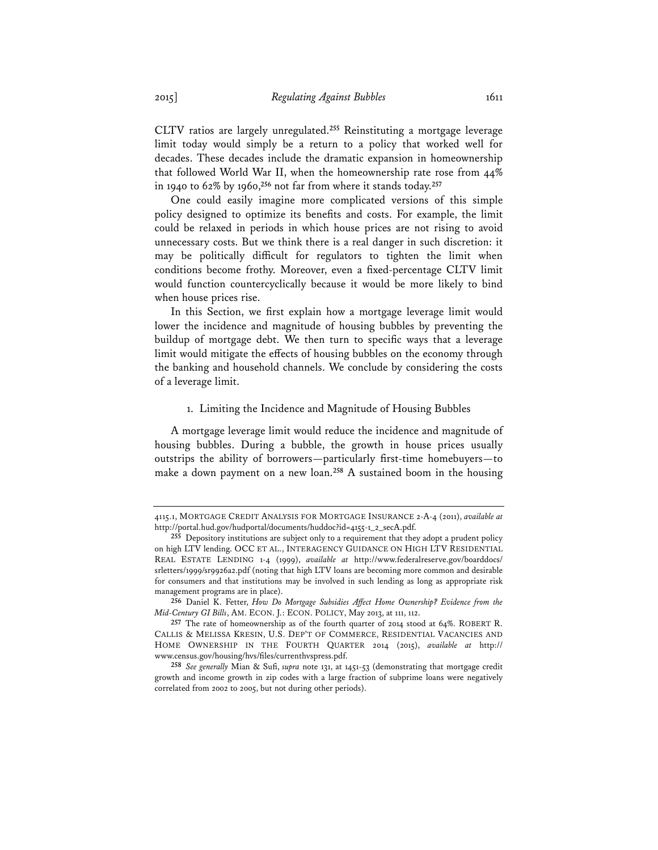CLTV ratios are largely unregulated.**<sup>255</sup>** Reinstituting a mortgage leverage limit today would simply be a return to a policy that worked well for decades. These decades include the dramatic expansion in homeownership that followed World War II, when the homeownership rate rose from 44% in 1940 to 62% by 1960,**<sup>256</sup>** not far from where it stands today.**<sup>257</sup>**

One could easily imagine more complicated versions of this simple policy designed to optimize its benefits and costs. For example, the limit could be relaxed in periods in which house prices are not rising to avoid unnecessary costs. But we think there is a real danger in such discretion: it may be politically difficult for regulators to tighten the limit when conditions become frothy. Moreover, even a fixed-percentage CLTV limit would function countercyclically because it would be more likely to bind when house prices rise.

In this Section, we first explain how a mortgage leverage limit would lower the incidence and magnitude of housing bubbles by preventing the buildup of mortgage debt. We then turn to specific ways that a leverage limit would mitigate the effects of housing bubbles on the economy through the banking and household channels. We conclude by considering the costs of a leverage limit.

#### 1. Limiting the Incidence and Magnitude of Housing Bubbles

A mortgage leverage limit would reduce the incidence and magnitude of housing bubbles. During a bubble, the growth in house prices usually outstrips the ability of borrowers—particularly first-time homebuyers—to make a down payment on a new loan.**<sup>258</sup>** A sustained boom in the housing

<sup>4115.1,</sup> MORTGAGE CREDIT ANALYSIS FOR MORTGAGE INSURANCE 2-A-4 (2011), *available at* http://portal.hud.gov/hudportal/documents/huddoc?id=4155-1\_2\_secA.pdf.

**<sup>255</sup>** Depository institutions are subject only to a requirement that they adopt a prudent policy on high LTV lending. OCC ET AL., INTERAGENCY GUIDANCE ON HIGH LTV RESIDENTIAL REAL ESTATE LENDING 1-4 (1999), *available at* http://www.federalreserve.gov/boarddocs/ srletters/1999/sr9926a2.pdf (noting that high LTV loans are becoming more common and desirable for consumers and that institutions may be involved in such lending as long as appropriate risk management programs are in place).

**<sup>256</sup>** Daniel K. Fetter, *How Do Mortgage Subsidies Affect Home Ownership? Evidence from the Mid-Century GI Bills*, AM. ECON. J.: ECON. POLICY, May 2013, at 111, 112.

**<sup>257</sup>** The rate of homeownership as of the fourth quarter of 2014 stood at 64%. ROBERT R. CALLIS & MELISSA KRESIN, U.S. DEP'T OF COMMERCE, RESIDENTIAL VACANCIES AND HOME OWNERSHIP IN THE FOURTH QUARTER 2014 (2015), *available at* http:// www.census.gov/housing/hvs/files/currenthvspress.pdf.

**<sup>258</sup>** *See generally* Mian & Sufi, *supra* note 131, at 1451-53 (demonstrating that mortgage credit growth and income growth in zip codes with a large fraction of subprime loans were negatively correlated from 2002 to 2005, but not during other periods).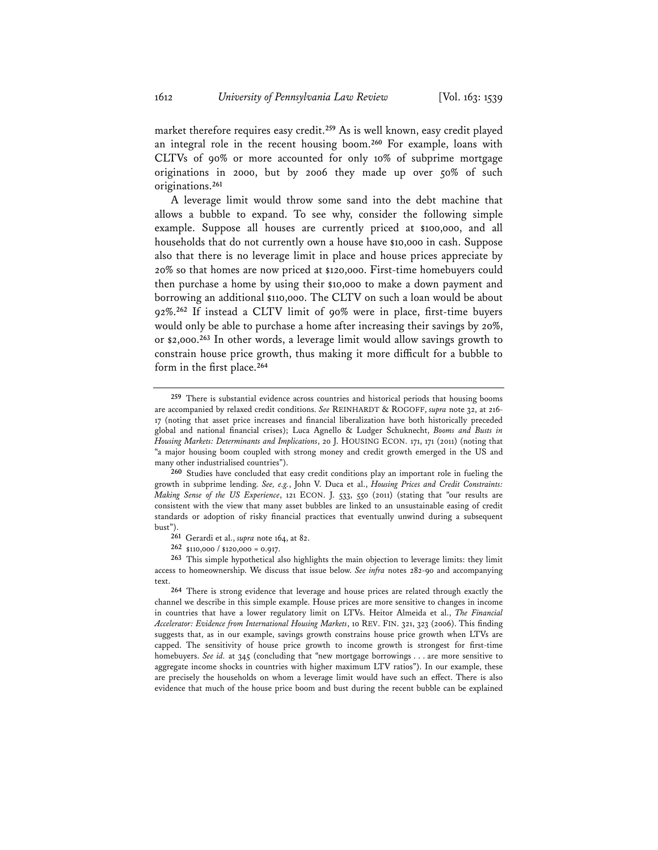market therefore requires easy credit.**<sup>259</sup>** As is well known, easy credit played an integral role in the recent housing boom.**<sup>260</sup>** For example, loans with CLTVs of 90% or more accounted for only 10% of subprime mortgage originations in 2000, but by 2006 they made up over 50% of such originations.**<sup>261</sup>**

A leverage limit would throw some sand into the debt machine that allows a bubble to expand. To see why, consider the following simple example. Suppose all houses are currently priced at \$100,000, and all households that do not currently own a house have \$10,000 in cash. Suppose also that there is no leverage limit in place and house prices appreciate by 20% so that homes are now priced at \$120,000. First-time homebuyers could then purchase a home by using their \$10,000 to make a down payment and borrowing an additional \$110,000. The CLTV on such a loan would be about 92%.**<sup>262</sup>** If instead a CLTV limit of 90% were in place, first-time buyers would only be able to purchase a home after increasing their savings by 20%, or \$2,000.**<sup>263</sup>** In other words, a leverage limit would allow savings growth to constrain house price growth, thus making it more difficult for a bubble to form in the first place.**<sup>264</sup>**

**260** Studies have concluded that easy credit conditions play an important role in fueling the growth in subprime lending. *See, e.g.*, John V. Duca et al., *Housing Prices and Credit Constraints: Making Sense of the US Experience*, 121 ECON. J. 533, 550 (2011) (stating that "our results are consistent with the view that many asset bubbles are linked to an unsustainable easing of credit standards or adoption of risky financial practices that eventually unwind during a subsequent bust").

- **261** Gerardi et al., *supra* note 164, at 82.
- **262** \$110,000 / \$120,000 = 0.917.

**263** This simple hypothetical also highlights the main objection to leverage limits: they limit access to homeownership. We discuss that issue below. *See infra* notes 282-90 and accompanying text.

**264** There is strong evidence that leverage and house prices are related through exactly the channel we describe in this simple example. House prices are more sensitive to changes in income in countries that have a lower regulatory limit on LTVs. Heitor Almeida et al., *The Financial Accelerator: Evidence from International Housing Markets*, 10 REV. FIN. 321, 323 (2006). This finding suggests that, as in our example, savings growth constrains house price growth when LTVs are capped. The sensitivity of house price growth to income growth is strongest for first-time homebuyers. *See id.* at 345 (concluding that "new mortgage borrowings . . . are more sensitive to aggregate income shocks in countries with higher maximum LTV ratios"). In our example, these are precisely the households on whom a leverage limit would have such an effect. There is also evidence that much of the house price boom and bust during the recent bubble can be explained

**<sup>259</sup>** There is substantial evidence across countries and historical periods that housing booms are accompanied by relaxed credit conditions. *See* REINHARDT & ROGOFF, *supra* note 32, at 216- 17 (noting that asset price increases and financial liberalization have both historically preceded global and national financial crises); Luca Agnello & Ludger Schuknecht, *Booms and Busts in Housing Markets: Determinants and Implications*, 20 J. HOUSING ECON. 171, 171 (2011) (noting that "a major housing boom coupled with strong money and credit growth emerged in the US and many other industrialised countries").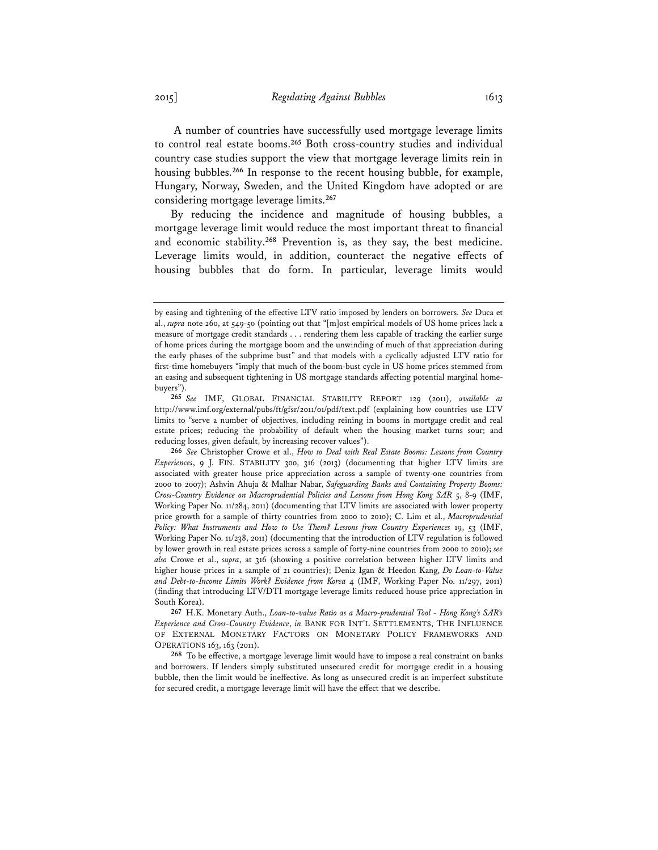A number of countries have successfully used mortgage leverage limits to control real estate booms.**<sup>265</sup>** Both cross-country studies and individual country case studies support the view that mortgage leverage limits rein in housing bubbles.**<sup>266</sup>** In response to the recent housing bubble, for example, Hungary, Norway, Sweden, and the United Kingdom have adopted or are considering mortgage leverage limits.**<sup>267</sup>**

By reducing the incidence and magnitude of housing bubbles, a mortgage leverage limit would reduce the most important threat to financial and economic stability.**<sup>268</sup>** Prevention is, as they say, the best medicine. Leverage limits would, in addition, counteract the negative effects of housing bubbles that do form. In particular, leverage limits would

by easing and tightening of the effective LTV ratio imposed by lenders on borrowers. *See* Duca et al., *supra* note 260, at 549-50 (pointing out that "[m]ost empirical models of US home prices lack a measure of mortgage credit standards . . . rendering them less capable of tracking the earlier surge of home prices during the mortgage boom and the unwinding of much of that appreciation during the early phases of the subprime bust" and that models with a cyclically adjusted LTV ratio for first-time homebuyers "imply that much of the boom-bust cycle in US home prices stemmed from an easing and subsequent tightening in US mortgage standards affecting potential marginal homebuyers").

**<sup>265</sup>** *See* IMF, GLOBAL FINANCIAL STABILITY REPORT 129 (2011), *available at* http://www.imf.org/external/pubs/ft/gfsr/2011/01/pdf/text.pdf (explaining how countries use LTV limits to "serve a number of objectives, including reining in booms in mortgage credit and real estate prices; reducing the probability of default when the housing market turns sour; and reducing losses, given default, by increasing recover values").

**<sup>266</sup>** *See* Christopher Crowe et al., *How to Deal with Real Estate Booms: Lessons from Country Experiences*, 9 J. FIN. STABILITY 300, 316 (2013) (documenting that higher LTV limits are associated with greater house price appreciation across a sample of twenty-one countries from 2000 to 2007); Ashvin Ahuja & Malhar Nabar, *Safeguarding Banks and Containing Property Booms: Cross-Country Evidence on Macroprudential Policies and Lessons from Hong Kong SAR* 5, 8-9 (IMF, Working Paper No. 11/284, 2011) (documenting that LTV limits are associated with lower property price growth for a sample of thirty countries from 2000 to 2010); C. Lim et al., *Macroprudential*  Policy: What Instruments and How to Use Them? Lessons from Country Experiences 19, 53 (IMF, Working Paper No. 11/238, 2011) (documenting that the introduction of LTV regulation is followed by lower growth in real estate prices across a sample of forty-nine countries from 2000 to 2010); *see also* Crowe et al., *supra*, at 316 (showing a positive correlation between higher LTV limits and higher house prices in a sample of 21 countries); Deniz Igan & Heedon Kang, *Do Loan-to-Value and Debt-to-Income Limits Work? Evidence from Korea* 4 (IMF, Working Paper No. 11/297, 2011) (finding that introducing LTV/DTI mortgage leverage limits reduced house price appreciation in South Korea).

**<sup>267</sup>** H.K. Monetary Auth., *Loan-to-value Ratio as a Macro-prudential Tool - Hong Kong's SAR's Experience and Cross-Country Evidence*, *in* BANK FOR INT'L SETTLEMENTS, THE INFLUENCE OF EXTERNAL MONETARY FACTORS ON MONETARY POLICY FRAMEWORKS AND OPERATIONS 163, 163 (2011).

**<sup>268</sup>** To be effective, a mortgage leverage limit would have to impose a real constraint on banks and borrowers. If lenders simply substituted unsecured credit for mortgage credit in a housing bubble, then the limit would be ineffective. As long as unsecured credit is an imperfect substitute for secured credit, a mortgage leverage limit will have the effect that we describe.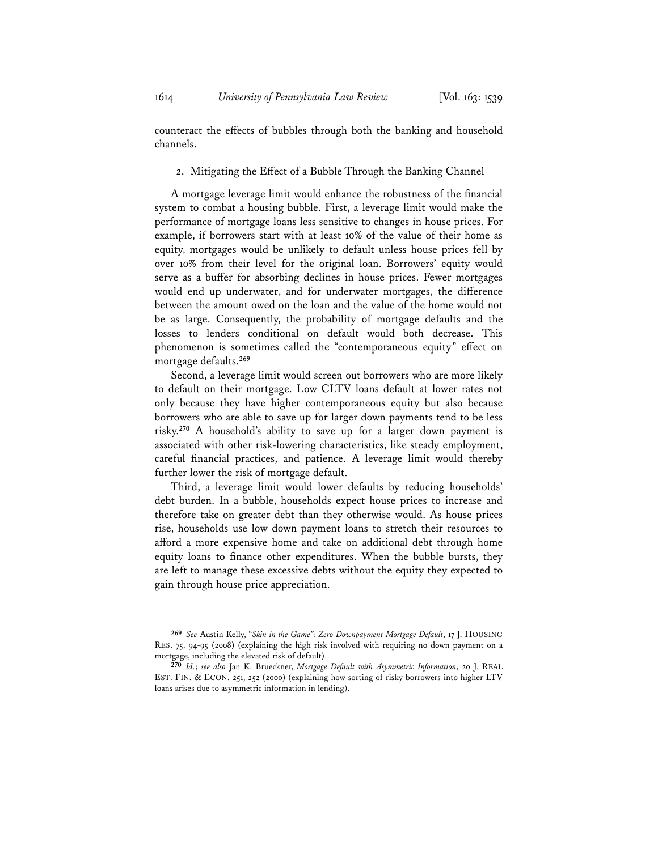counteract the effects of bubbles through both the banking and household channels.

2. Mitigating the Effect of a Bubble Through the Banking Channel

A mortgage leverage limit would enhance the robustness of the financial system to combat a housing bubble. First, a leverage limit would make the performance of mortgage loans less sensitive to changes in house prices. For example, if borrowers start with at least 10% of the value of their home as equity, mortgages would be unlikely to default unless house prices fell by over 10% from their level for the original loan. Borrowers' equity would serve as a buffer for absorbing declines in house prices. Fewer mortgages would end up underwater, and for underwater mortgages, the difference between the amount owed on the loan and the value of the home would not be as large. Consequently, the probability of mortgage defaults and the losses to lenders conditional on default would both decrease. This phenomenon is sometimes called the "contemporaneous equity" effect on mortgage defaults.**<sup>269</sup>**

Second, a leverage limit would screen out borrowers who are more likely to default on their mortgage. Low CLTV loans default at lower rates not only because they have higher contemporaneous equity but also because borrowers who are able to save up for larger down payments tend to be less risky.**<sup>270</sup>** A household's ability to save up for a larger down payment is associated with other risk-lowering characteristics, like steady employment, careful financial practices, and patience. A leverage limit would thereby further lower the risk of mortgage default.

Third, a leverage limit would lower defaults by reducing households' debt burden. In a bubble, households expect house prices to increase and therefore take on greater debt than they otherwise would. As house prices rise, households use low down payment loans to stretch their resources to afford a more expensive home and take on additional debt through home equity loans to finance other expenditures. When the bubble bursts, they are left to manage these excessive debts without the equity they expected to gain through house price appreciation.

**<sup>269</sup>** *See* Austin Kelly, "*Skin in the Game": Zero Downpayment Mortgage Default*, 17 J. HOUSING RES. 75, 94-95 (2008) (explaining the high risk involved with requiring no down payment on a mortgage, including the elevated risk of default).

**<sup>270</sup>** *Id.*; *see also* Jan K. Brueckner, *Mortgage Default with Asymmetric Information*, 20 J. REAL EST. FIN. & ECON. 251, 252 (2000) (explaining how sorting of risky borrowers into higher LTV loans arises due to asymmetric information in lending).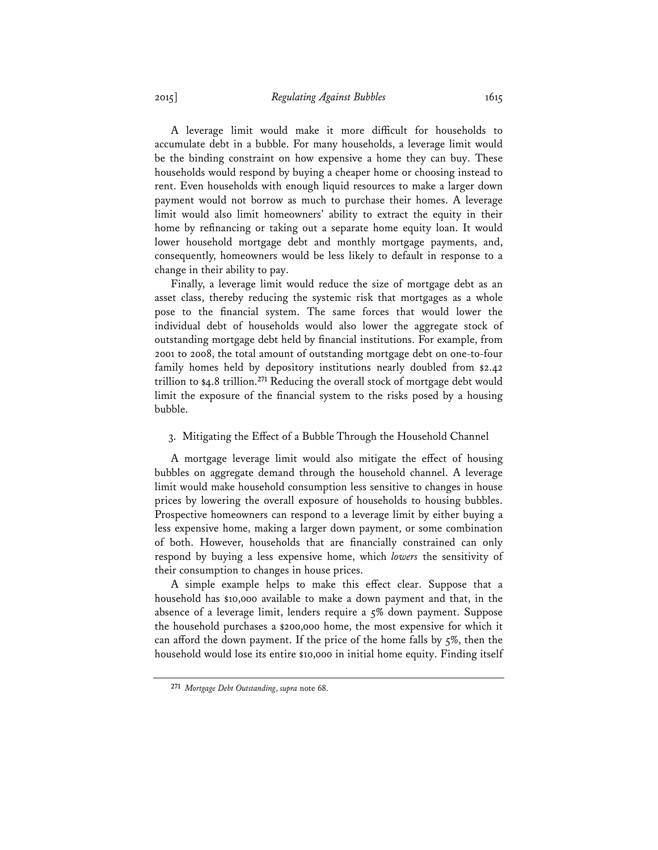A leverage limit would make it more difficult for households to accumulate debt in a bubble. For many households, a leverage limit would be the binding constraint on how expensive a home they can buy. These households would respond by buying a cheaper home or choosing instead to rent. Even households with enough liquid resources to make a larger down payment would not borrow as much to purchase their homes. A leverage limit would also limit homeowners' ability to extract the equity in their home by refinancing or taking out a separate home equity loan. It would lower household mortgage debt and monthly mortgage payments, and, consequently, homeowners would be less likely to default in response to a change in their ability to pay.

Finally, a leverage limit would reduce the size of mortgage debt as an asset class, thereby reducing the systemic risk that mortgages as a whole pose to the financial system. The same forces that would lower the individual debt of households would also lower the aggregate stock of outstanding mortgage debt held by financial institutions. For example, from 2001 to 2008, the total amount of outstanding mortgage debt on one-to-four family homes held by depository institutions nearly doubled from \$2.42 trillion to \$4.8 trillion.**<sup>271</sup>** Reducing the overall stock of mortgage debt would limit the exposure of the financial system to the risks posed by a housing bubble.

# 3. Mitigating the Effect of a Bubble Through the Household Channel

A mortgage leverage limit would also mitigate the effect of housing bubbles on aggregate demand through the household channel. A leverage limit would make household consumption less sensitive to changes in house prices by lowering the overall exposure of households to housing bubbles. Prospective homeowners can respond to a leverage limit by either buying a less expensive home, making a larger down payment, or some combination of both. However, households that are financially constrained can only respond by buying a less expensive home, which *lowers* the sensitivity of their consumption to changes in house prices.

A simple example helps to make this effect clear. Suppose that a household has \$10,000 available to make a down payment and that, in the absence of a leverage limit, lenders require a 5% down payment. Suppose the household purchases a \$200,000 home, the most expensive for which it can afford the down payment. If the price of the home falls by 5%, then the household would lose its entire \$10,000 in initial home equity. Finding itself

**<sup>271</sup>** *Mortgage Debt Outstanding*, *supra* note 68.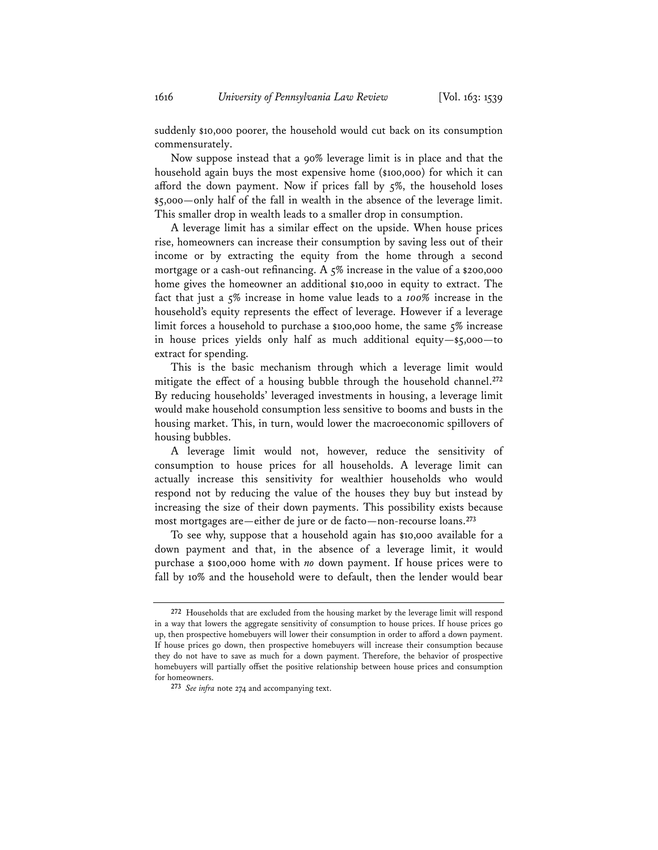suddenly \$10,000 poorer, the household would cut back on its consumption commensurately.

Now suppose instead that a 90% leverage limit is in place and that the household again buys the most expensive home (\$100,000) for which it can afford the down payment. Now if prices fall by 5%, the household loses \$5,000—only half of the fall in wealth in the absence of the leverage limit. This smaller drop in wealth leads to a smaller drop in consumption.

A leverage limit has a similar effect on the upside. When house prices rise, homeowners can increase their consumption by saving less out of their income or by extracting the equity from the home through a second mortgage or a cash-out refinancing. A 5% increase in the value of a \$200,000 home gives the homeowner an additional \$10,000 in equity to extract. The fact that just a 5% increase in home value leads to a *100%* increase in the household's equity represents the effect of leverage. However if a leverage limit forces a household to purchase a \$100,000 home, the same 5% increase in house prices yields only half as much additional equity—\$5,000—to extract for spending.

This is the basic mechanism through which a leverage limit would mitigate the effect of a housing bubble through the household channel.**<sup>272</sup>** By reducing households' leveraged investments in housing, a leverage limit would make household consumption less sensitive to booms and busts in the housing market. This, in turn, would lower the macroeconomic spillovers of housing bubbles.

A leverage limit would not, however, reduce the sensitivity of consumption to house prices for all households. A leverage limit can actually increase this sensitivity for wealthier households who would respond not by reducing the value of the houses they buy but instead by increasing the size of their down payments. This possibility exists because most mortgages are—either de jure or de facto—non-recourse loans.**<sup>273</sup>**

To see why, suppose that a household again has \$10,000 available for a down payment and that, in the absence of a leverage limit, it would purchase a \$100,000 home with *no* down payment. If house prices were to fall by 10% and the household were to default, then the lender would bear

**<sup>272</sup>** Households that are excluded from the housing market by the leverage limit will respond in a way that lowers the aggregate sensitivity of consumption to house prices. If house prices go up, then prospective homebuyers will lower their consumption in order to afford a down payment. If house prices go down, then prospective homebuyers will increase their consumption because they do not have to save as much for a down payment. Therefore, the behavior of prospective homebuyers will partially offset the positive relationship between house prices and consumption for homeowners.

**<sup>273</sup>** *See infra* note 274 and accompanying text.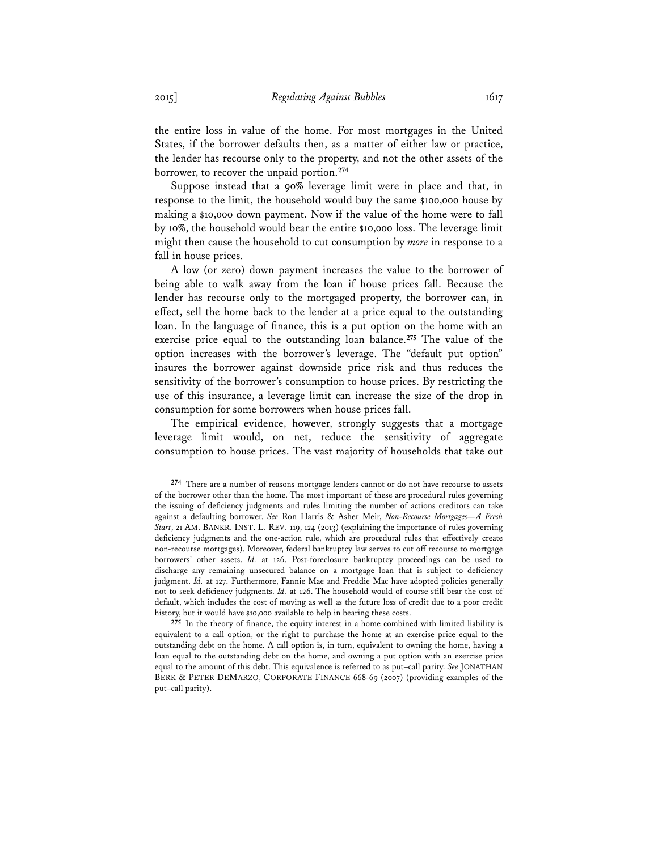the entire loss in value of the home. For most mortgages in the United States, if the borrower defaults then, as a matter of either law or practice, the lender has recourse only to the property, and not the other assets of the borrower, to recover the unpaid portion.**<sup>274</sup>**

Suppose instead that a 90% leverage limit were in place and that, in response to the limit, the household would buy the same \$100,000 house by making a \$10,000 down payment. Now if the value of the home were to fall by 10%, the household would bear the entire \$10,000 loss. The leverage limit might then cause the household to cut consumption by *more* in response to a fall in house prices.

A low (or zero) down payment increases the value to the borrower of being able to walk away from the loan if house prices fall. Because the lender has recourse only to the mortgaged property, the borrower can, in effect, sell the home back to the lender at a price equal to the outstanding loan. In the language of finance, this is a put option on the home with an exercise price equal to the outstanding loan balance.**<sup>275</sup>** The value of the option increases with the borrower's leverage. The "default put option" insures the borrower against downside price risk and thus reduces the sensitivity of the borrower's consumption to house prices. By restricting the use of this insurance, a leverage limit can increase the size of the drop in consumption for some borrowers when house prices fall.

The empirical evidence, however, strongly suggests that a mortgage leverage limit would, on net, reduce the sensitivity of aggregate consumption to house prices. The vast majority of households that take out

**<sup>274</sup>** There are a number of reasons mortgage lenders cannot or do not have recourse to assets of the borrower other than the home. The most important of these are procedural rules governing the issuing of deficiency judgments and rules limiting the number of actions creditors can take against a defaulting borrower. *See* Ron Harris & Asher Meir, *Non-Recourse Mortgages—A Fresh Start*, 21 AM. BANKR. INST. L. REV. 119, 124 (2013) (explaining the importance of rules governing deficiency judgments and the one-action rule, which are procedural rules that effectively create non-recourse mortgages). Moreover, federal bankruptcy law serves to cut off recourse to mortgage borrowers' other assets. *Id.* at 126. Post-foreclosure bankruptcy proceedings can be used to discharge any remaining unsecured balance on a mortgage loan that is subject to deficiency judgment. *Id.* at 127. Furthermore, Fannie Mae and Freddie Mac have adopted policies generally not to seek deficiency judgments. *Id.* at 126. The household would of course still bear the cost of default, which includes the cost of moving as well as the future loss of credit due to a poor credit history, but it would have \$10,000 available to help in bearing these costs.

**<sup>275</sup>** In the theory of finance, the equity interest in a home combined with limited liability is equivalent to a call option, or the right to purchase the home at an exercise price equal to the outstanding debt on the home. A call option is, in turn, equivalent to owning the home, having a loan equal to the outstanding debt on the home, and owning a put option with an exercise price equal to the amount of this debt. This equivalence is referred to as put–call parity. *See* JONATHAN BERK & PETER DEMARZO, CORPORATE FINANCE 668-69 (2007) (providing examples of the put–call parity).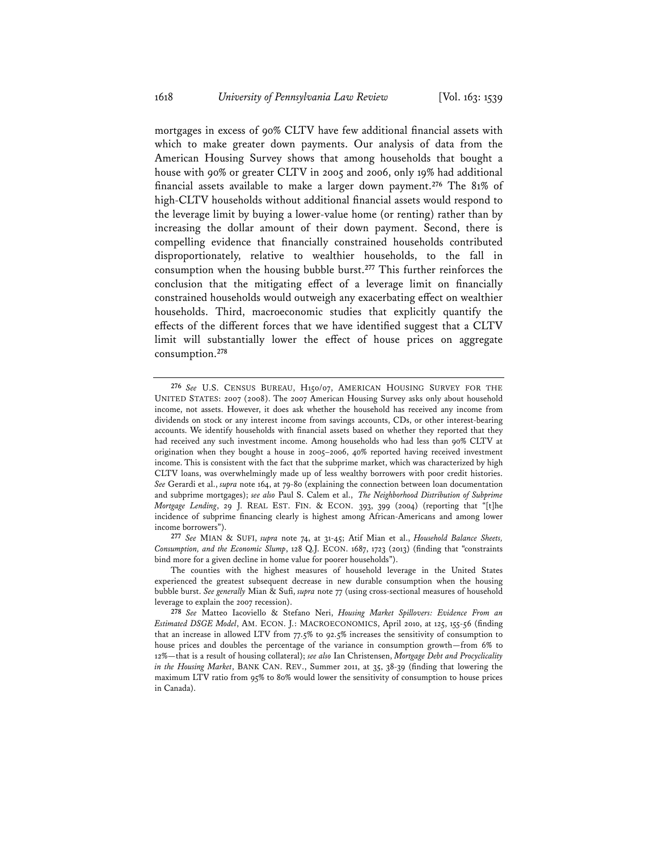mortgages in excess of 90% CLTV have few additional financial assets with which to make greater down payments. Our analysis of data from the American Housing Survey shows that among households that bought a house with 90% or greater CLTV in 2005 and 2006, only 19% had additional financial assets available to make a larger down payment.**<sup>276</sup>** The 81% of high-CLTV households without additional financial assets would respond to the leverage limit by buying a lower-value home (or renting) rather than by increasing the dollar amount of their down payment. Second, there is compelling evidence that financially constrained households contributed disproportionately, relative to wealthier households, to the fall in consumption when the housing bubble burst.**<sup>277</sup>** This further reinforces the conclusion that the mitigating effect of a leverage limit on financially constrained households would outweigh any exacerbating effect on wealthier households. Third, macroeconomic studies that explicitly quantify the effects of the different forces that we have identified suggest that a CLTV limit will substantially lower the effect of house prices on aggregate consumption.**<sup>278</sup>**

**277** *See* MIAN & SUFI, *supra* note 74, at 31-45; Atif Mian et al., *Household Balance Sheets, Consumption, and the Economic Slump*, 128 Q.J. ECON. 1687, 1723 (2013) (finding that "constraints bind more for a given decline in home value for poorer households").

**<sup>276</sup>** *See* U.S. CENSUS BUREAU, H150/07, AMERICAN HOUSING SURVEY FOR THE UNITED STATES: 2007 (2008). The 2007 American Housing Survey asks only about household income, not assets. However, it does ask whether the household has received any income from dividends on stock or any interest income from savings accounts, CDs, or other interest-bearing accounts. We identify households with financial assets based on whether they reported that they had received any such investment income. Among households who had less than 90% CLTV at origination when they bought a house in 2005–2006, 40% reported having received investment income. This is consistent with the fact that the subprime market, which was characterized by high CLTV loans, was overwhelmingly made up of less wealthy borrowers with poor credit histories. *See* Gerardi et al., *supra* note 164, at 79-80 (explaining the connection between loan documentation and subprime mortgages); *see also* Paul S. Calem et al., *The Neighborhood Distribution of Subprime Mortgage Lending*, 29 J. REAL EST. FIN. & ECON. 393, 399 (2004) (reporting that "[t]he incidence of subprime financing clearly is highest among African-Americans and among lower income borrowers").

The counties with the highest measures of household leverage in the United States experienced the greatest subsequent decrease in new durable consumption when the housing bubble burst. *See generally* Mian & Sufi, *supra* note 77 (using cross-sectional measures of household leverage to explain the 2007 recession).

**<sup>278</sup>** *See* Matteo Iacoviello & Stefano Neri, *Housing Market Spillovers: Evidence From an Estimated DSGE Model*, AM. ECON. J.: MACROECONOMICS, April 2010, at 125, 155-56 (finding that an increase in allowed LTV from 77.5% to 92.5% increases the sensitivity of consumption to house prices and doubles the percentage of the variance in consumption growth—from 6% to 12%—that is a result of housing collateral); *see also* Ian Christensen, *Mortgage Debt and Procyclicality in the Housing Market*, BANK CAN. REV., Summer 2011, at 35, 38-39 (finding that lowering the maximum LTV ratio from 95% to 80% would lower the sensitivity of consumption to house prices in Canada).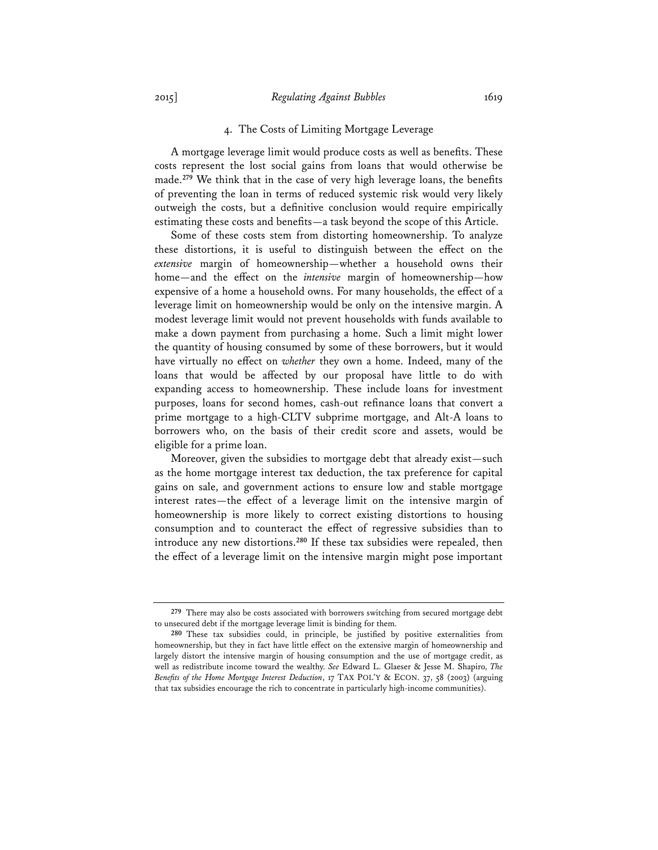## 4. The Costs of Limiting Mortgage Leverage

A mortgage leverage limit would produce costs as well as benefits. These costs represent the lost social gains from loans that would otherwise be made.**<sup>279</sup>** We think that in the case of very high leverage loans, the benefits of preventing the loan in terms of reduced systemic risk would very likely outweigh the costs, but a definitive conclusion would require empirically estimating these costs and benefits—a task beyond the scope of this Article.

Some of these costs stem from distorting homeownership. To analyze these distortions, it is useful to distinguish between the effect on the *extensive* margin of homeownership—whether a household owns their home—and the effect on the *intensive* margin of homeownership—how expensive of a home a household owns. For many households, the effect of a leverage limit on homeownership would be only on the intensive margin. A modest leverage limit would not prevent households with funds available to make a down payment from purchasing a home. Such a limit might lower the quantity of housing consumed by some of these borrowers, but it would have virtually no effect on *whether* they own a home. Indeed, many of the loans that would be affected by our proposal have little to do with expanding access to homeownership. These include loans for investment purposes, loans for second homes, cash-out refinance loans that convert a prime mortgage to a high-CLTV subprime mortgage, and Alt-A loans to borrowers who, on the basis of their credit score and assets, would be eligible for a prime loan.

Moreover, given the subsidies to mortgage debt that already exist—such as the home mortgage interest tax deduction, the tax preference for capital gains on sale, and government actions to ensure low and stable mortgage interest rates—the effect of a leverage limit on the intensive margin of homeownership is more likely to correct existing distortions to housing consumption and to counteract the effect of regressive subsidies than to introduce any new distortions.**<sup>280</sup>** If these tax subsidies were repealed, then the effect of a leverage limit on the intensive margin might pose important

**<sup>279</sup>** There may also be costs associated with borrowers switching from secured mortgage debt to unsecured debt if the mortgage leverage limit is binding for them.

**<sup>280</sup>** These tax subsidies could, in principle, be justified by positive externalities from homeownership, but they in fact have little effect on the extensive margin of homeownership and largely distort the intensive margin of housing consumption and the use of mortgage credit, as well as redistribute income toward the wealthy. *See* Edward L. Glaeser & Jesse M. Shapiro, *The Benefits of the Home Mortgage Interest Deduction*, 17 TAX POL'Y & ECON. 37, 58 (2003) (arguing that tax subsidies encourage the rich to concentrate in particularly high-income communities).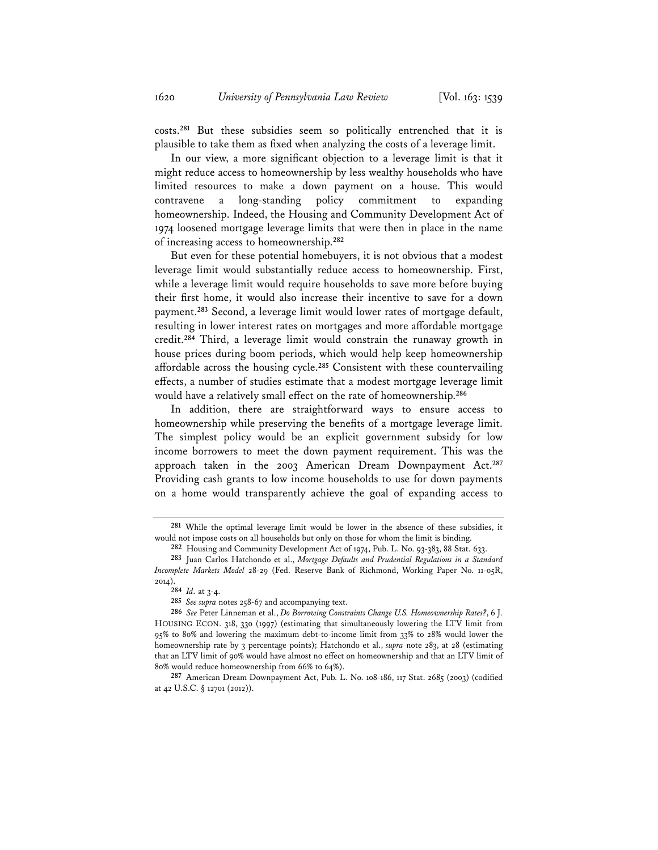costs.**<sup>281</sup>** But these subsidies seem so politically entrenched that it is plausible to take them as fixed when analyzing the costs of a leverage limit.

In our view, a more significant objection to a leverage limit is that it might reduce access to homeownership by less wealthy households who have limited resources to make a down payment on a house. This would contravene a long-standing policy commitment to expanding homeownership. Indeed, the Housing and Community Development Act of 1974 loosened mortgage leverage limits that were then in place in the name of increasing access to homeownership.**<sup>282</sup>**

But even for these potential homebuyers, it is not obvious that a modest leverage limit would substantially reduce access to homeownership. First, while a leverage limit would require households to save more before buying their first home, it would also increase their incentive to save for a down payment.**<sup>283</sup>** Second, a leverage limit would lower rates of mortgage default, resulting in lower interest rates on mortgages and more affordable mortgage credit.**<sup>284</sup>** Third, a leverage limit would constrain the runaway growth in house prices during boom periods, which would help keep homeownership affordable across the housing cycle.**<sup>285</sup>** Consistent with these countervailing effects, a number of studies estimate that a modest mortgage leverage limit would have a relatively small effect on the rate of homeownership.**<sup>286</sup>**

In addition, there are straightforward ways to ensure access to homeownership while preserving the benefits of a mortgage leverage limit. The simplest policy would be an explicit government subsidy for low income borrowers to meet the down payment requirement. This was the approach taken in the 2003 American Dream Downpayment Act.**<sup>287</sup>** Providing cash grants to low income households to use for down payments on a home would transparently achieve the goal of expanding access to

**<sup>281</sup>** While the optimal leverage limit would be lower in the absence of these subsidies, it would not impose costs on all households but only on those for whom the limit is binding.

**<sup>282</sup>** Housing and Community Development Act of 1974, Pub. L. No. 93-383, 88 Stat. 633.

**<sup>283</sup>** Juan Carlos Hatchondo et al., *Mortgage Defaults and Prudential Regulations in a Standard Incomplete Markets Model* 28-29 (Fed. Reserve Bank of Richmond, Working Paper No. 11-05R, 2014).

**<sup>284</sup>** *Id.* at 3-4.

**<sup>285</sup>** *See supra* notes 258-67 and accompanying text.

**<sup>286</sup>** *See* Peter Linneman et al., *Do Borrowing Constraints Change U.S. Homeownership Rates?*, 6 J. HOUSING ECON. 318, 330 (1997) (estimating that simultaneously lowering the LTV limit from 95% to 80% and lowering the maximum debt-to-income limit from 33% to 28% would lower the homeownership rate by 3 percentage points); Hatchondo et al., *supra* note 283, at 28 (estimating that an LTV limit of 90% would have almost no effect on homeownership and that an LTV limit of 80% would reduce homeownership from 66% to 64%).

**<sup>287</sup>** American Dream Downpayment Act, Pub. L. No. 108-186, 117 Stat. 2685 (2003) (codified at 42 U.S.C. § 12701 (2012)).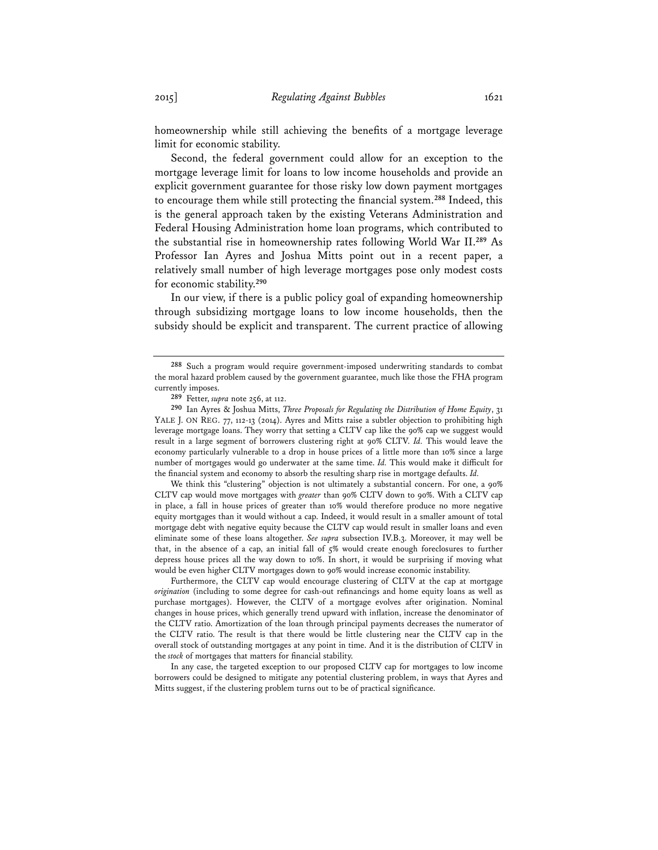homeownership while still achieving the benefits of a mortgage leverage limit for economic stability.

Second, the federal government could allow for an exception to the mortgage leverage limit for loans to low income households and provide an explicit government guarantee for those risky low down payment mortgages to encourage them while still protecting the financial system.**<sup>288</sup>** Indeed, this is the general approach taken by the existing Veterans Administration and Federal Housing Administration home loan programs, which contributed to the substantial rise in homeownership rates following World War II.**<sup>289</sup>** As Professor Ian Ayres and Joshua Mitts point out in a recent paper, a relatively small number of high leverage mortgages pose only modest costs for economic stability.**<sup>290</sup>**

In our view, if there is a public policy goal of expanding homeownership through subsidizing mortgage loans to low income households, then the subsidy should be explicit and transparent. The current practice of allowing

We think this "clustering" objection is not ultimately a substantial concern. For one, a 90% CLTV cap would move mortgages with *greater* than 90% CLTV down to 90%. With a CLTV cap in place, a fall in house prices of greater than 10% would therefore produce no more negative equity mortgages than it would without a cap. Indeed, it would result in a smaller amount of total mortgage debt with negative equity because the CLTV cap would result in smaller loans and even eliminate some of these loans altogether. *See supra* subsection IV.B.3. Moreover, it may well be that, in the absence of a cap, an initial fall of 5% would create enough foreclosures to further depress house prices all the way down to 10%. In short, it would be surprising if moving what would be even higher CLTV mortgages down to 90% would increase economic instability.

Furthermore, the CLTV cap would encourage clustering of CLTV at the cap at mortgage *origination* (including to some degree for cash-out refinancings and home equity loans as well as purchase mortgages). However, the CLTV of a mortgage evolves after origination. Nominal changes in house prices, which generally trend upward with inflation, increase the denominator of the CLTV ratio. Amortization of the loan through principal payments decreases the numerator of the CLTV ratio. The result is that there would be little clustering near the CLTV cap in the overall stock of outstanding mortgages at any point in time. And it is the distribution of CLTV in the *stock* of mortgages that matters for financial stability.

In any case, the targeted exception to our proposed CLTV cap for mortgages to low income borrowers could be designed to mitigate any potential clustering problem, in ways that Ayres and Mitts suggest, if the clustering problem turns out to be of practical significance.

**<sup>288</sup>** Such a program would require government-imposed underwriting standards to combat the moral hazard problem caused by the government guarantee, much like those the FHA program currently imposes.

**<sup>289</sup>** Fetter, *supra* note 256, at 112.

**<sup>290</sup>** Ian Ayres & Joshua Mitts, *Three Proposals for Regulating the Distribution of Home Equity*, 31 YALE J. ON REG. 77, 112-13 (2014). Ayres and Mitts raise a subtler objection to prohibiting high leverage mortgage loans. They worry that setting a CLTV cap like the 90% cap we suggest would result in a large segment of borrowers clustering right at 90% CLTV. *Id.* This would leave the economy particularly vulnerable to a drop in house prices of a little more than 10% since a large number of mortgages would go underwater at the same time. *Id.* This would make it difficult for the financial system and economy to absorb the resulting sharp rise in mortgage defaults. *Id.*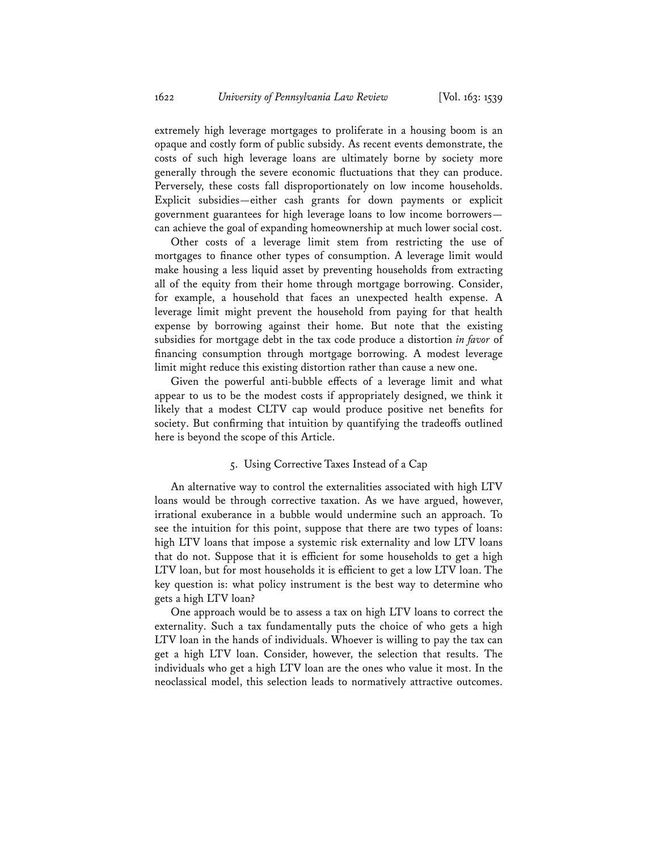extremely high leverage mortgages to proliferate in a housing boom is an opaque and costly form of public subsidy. As recent events demonstrate, the costs of such high leverage loans are ultimately borne by society more generally through the severe economic fluctuations that they can produce. Perversely, these costs fall disproportionately on low income households. Explicit subsidies—either cash grants for down payments or explicit government guarantees for high leverage loans to low income borrowers can achieve the goal of expanding homeownership at much lower social cost.

Other costs of a leverage limit stem from restricting the use of mortgages to finance other types of consumption. A leverage limit would make housing a less liquid asset by preventing households from extracting all of the equity from their home through mortgage borrowing. Consider, for example, a household that faces an unexpected health expense. A leverage limit might prevent the household from paying for that health expense by borrowing against their home. But note that the existing subsidies for mortgage debt in the tax code produce a distortion *in favor* of financing consumption through mortgage borrowing. A modest leverage limit might reduce this existing distortion rather than cause a new one.

Given the powerful anti-bubble effects of a leverage limit and what appear to us to be the modest costs if appropriately designed, we think it likely that a modest CLTV cap would produce positive net benefits for society. But confirming that intuition by quantifying the tradeoffs outlined here is beyond the scope of this Article.

# 5. Using Corrective Taxes Instead of a Cap

An alternative way to control the externalities associated with high LTV loans would be through corrective taxation. As we have argued, however, irrational exuberance in a bubble would undermine such an approach. To see the intuition for this point, suppose that there are two types of loans: high LTV loans that impose a systemic risk externality and low LTV loans that do not. Suppose that it is efficient for some households to get a high LTV loan, but for most households it is efficient to get a low LTV loan. The key question is: what policy instrument is the best way to determine who gets a high LTV loan?

One approach would be to assess a tax on high LTV loans to correct the externality. Such a tax fundamentally puts the choice of who gets a high LTV loan in the hands of individuals. Whoever is willing to pay the tax can get a high LTV loan. Consider, however, the selection that results. The individuals who get a high LTV loan are the ones who value it most. In the neoclassical model, this selection leads to normatively attractive outcomes.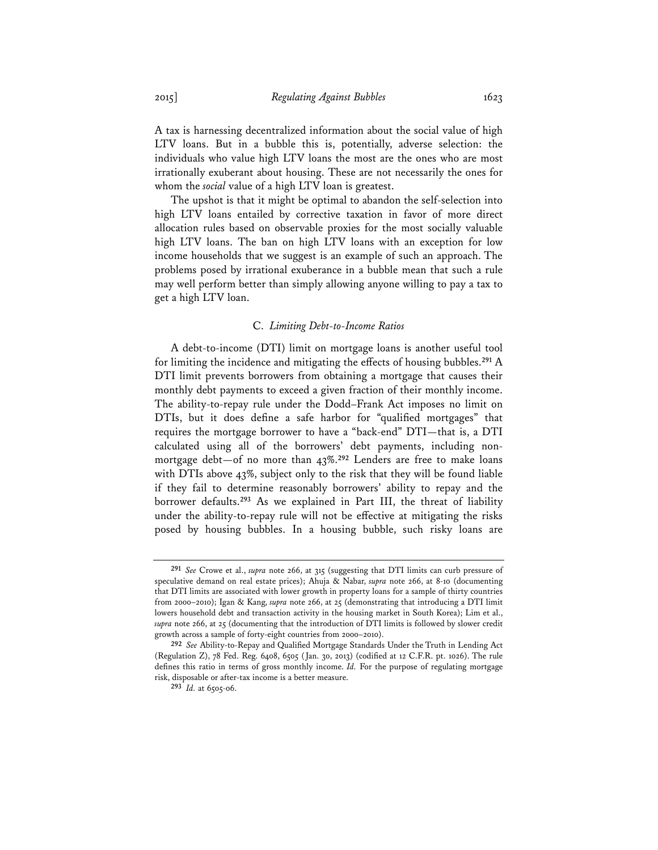A tax is harnessing decentralized information about the social value of high LTV loans. But in a bubble this is, potentially, adverse selection: the individuals who value high LTV loans the most are the ones who are most irrationally exuberant about housing. These are not necessarily the ones for whom the *social* value of a high LTV loan is greatest.

The upshot is that it might be optimal to abandon the self-selection into high LTV loans entailed by corrective taxation in favor of more direct allocation rules based on observable proxies for the most socially valuable high LTV loans. The ban on high LTV loans with an exception for low income households that we suggest is an example of such an approach. The problems posed by irrational exuberance in a bubble mean that such a rule may well perform better than simply allowing anyone willing to pay a tax to get a high LTV loan.

#### C. *Limiting Debt-to-Income Ratios*

A debt-to-income (DTI) limit on mortgage loans is another useful tool for limiting the incidence and mitigating the effects of housing bubbles.**<sup>291</sup>** A DTI limit prevents borrowers from obtaining a mortgage that causes their monthly debt payments to exceed a given fraction of their monthly income. The ability-to-repay rule under the Dodd–Frank Act imposes no limit on DTIs, but it does define a safe harbor for "qualified mortgages" that requires the mortgage borrower to have a "back-end" DTI—that is, a DTI calculated using all of the borrowers' debt payments, including nonmortgage debt—of no more than 43%.**<sup>292</sup>** Lenders are free to make loans with DTIs above 43%, subject only to the risk that they will be found liable if they fail to determine reasonably borrowers' ability to repay and the borrower defaults.**<sup>293</sup>** As we explained in Part III, the threat of liability under the ability-to-repay rule will not be effective at mitigating the risks posed by housing bubbles. In a housing bubble, such risky loans are

**<sup>291</sup>** *See* Crowe et al., *supra* note 266, at 315 (suggesting that DTI limits can curb pressure of speculative demand on real estate prices); Ahuja & Nabar, *supra* note 266, at 8-10 (documenting that DTI limits are associated with lower growth in property loans for a sample of thirty countries from 2000–2010); Igan & Kang, *supra* note 266, at 25 (demonstrating that introducing a DTI limit lowers household debt and transaction activity in the housing market in South Korea); Lim et al., *supra* note 266, at 25 (documenting that the introduction of DTI limits is followed by slower credit growth across a sample of forty-eight countries from 2000–2010).

**<sup>292</sup>** *See* Ability-to-Repay and Qualified Mortgage Standards Under the Truth in Lending Act (Regulation Z), 78 Fed. Reg. 6408, 6505 (Jan. 30, 2013) (codified at 12 C.F.R. pt. 1026). The rule defines this ratio in terms of gross monthly income. *Id.* For the purpose of regulating mortgage risk, disposable or after-tax income is a better measure.

**<sup>293</sup>** *Id.* at 6505-06.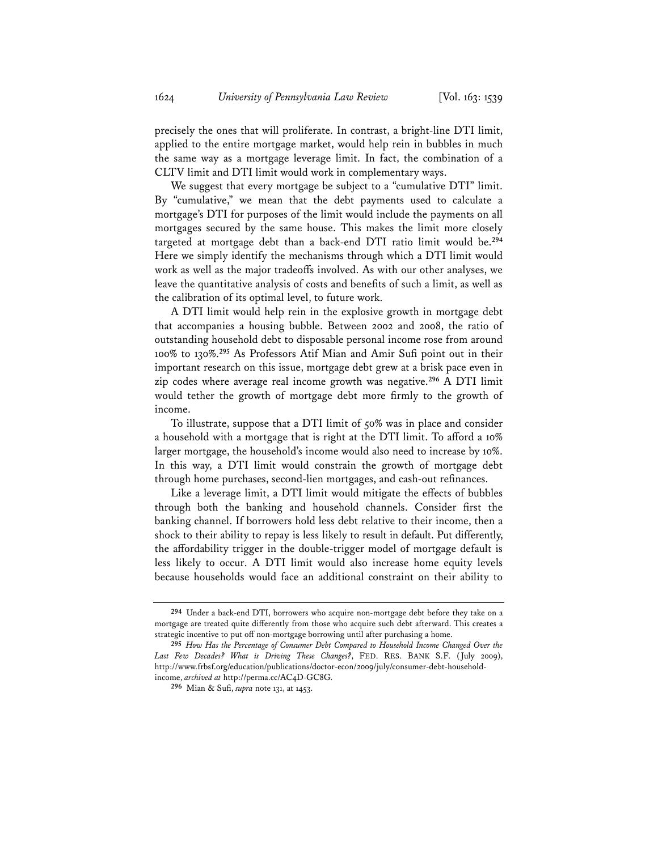precisely the ones that will proliferate. In contrast, a bright-line DTI limit, applied to the entire mortgage market, would help rein in bubbles in much the same way as a mortgage leverage limit. In fact, the combination of a CLTV limit and DTI limit would work in complementary ways.

We suggest that every mortgage be subject to a "cumulative DTI" limit. By "cumulative," we mean that the debt payments used to calculate a mortgage's DTI for purposes of the limit would include the payments on all mortgages secured by the same house. This makes the limit more closely targeted at mortgage debt than a back-end DTI ratio limit would be.**<sup>294</sup>** Here we simply identify the mechanisms through which a DTI limit would work as well as the major tradeoffs involved. As with our other analyses, we leave the quantitative analysis of costs and benefits of such a limit, as well as the calibration of its optimal level, to future work.

A DTI limit would help rein in the explosive growth in mortgage debt that accompanies a housing bubble. Between 2002 and 2008, the ratio of outstanding household debt to disposable personal income rose from around 100% to 130%.**<sup>295</sup>** As Professors Atif Mian and Amir Sufi point out in their important research on this issue, mortgage debt grew at a brisk pace even in zip codes where average real income growth was negative.**<sup>296</sup>** A DTI limit would tether the growth of mortgage debt more firmly to the growth of income.

To illustrate, suppose that a DTI limit of 50% was in place and consider a household with a mortgage that is right at the DTI limit. To afford a 10% larger mortgage, the household's income would also need to increase by 10%. In this way, a DTI limit would constrain the growth of mortgage debt through home purchases, second-lien mortgages, and cash-out refinances.

Like a leverage limit, a DTI limit would mitigate the effects of bubbles through both the banking and household channels. Consider first the banking channel. If borrowers hold less debt relative to their income, then a shock to their ability to repay is less likely to result in default. Put differently, the affordability trigger in the double-trigger model of mortgage default is less likely to occur. A DTI limit would also increase home equity levels because households would face an additional constraint on their ability to

**<sup>294</sup>** Under a back-end DTI, borrowers who acquire non-mortgage debt before they take on a mortgage are treated quite differently from those who acquire such debt afterward. This creates a strategic incentive to put off non-mortgage borrowing until after purchasing a home.

**<sup>295</sup>** *How Has the Percentage of Consumer Debt Compared to Household Income Changed Over the Last Few Decades? What is Driving These Changes?*, FED. RES. BANK S.F. (July 2009), http://www.frbsf.org/education/publications/doctor-econ/2009/july/consumer-debt-householdincome, *archived at* http://perma.cc/AC4D-GC8G.

**<sup>296</sup>** Mian & Sufi, *supra* note 131, at 1453.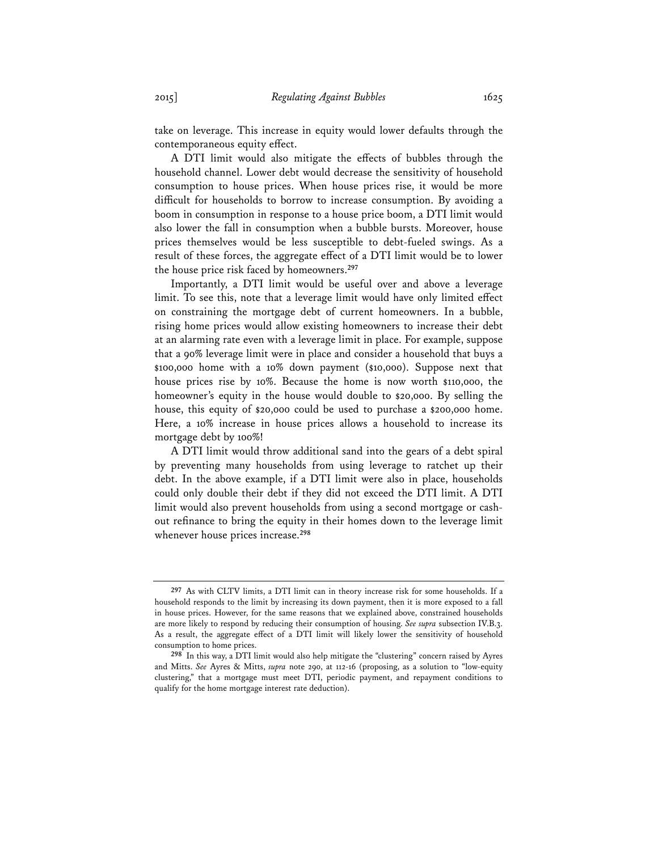take on leverage. This increase in equity would lower defaults through the contemporaneous equity effect.

A DTI limit would also mitigate the effects of bubbles through the household channel. Lower debt would decrease the sensitivity of household consumption to house prices. When house prices rise, it would be more difficult for households to borrow to increase consumption. By avoiding a boom in consumption in response to a house price boom, a DTI limit would also lower the fall in consumption when a bubble bursts. Moreover, house prices themselves would be less susceptible to debt-fueled swings. As a result of these forces, the aggregate effect of a DTI limit would be to lower the house price risk faced by homeowners.**<sup>297</sup>**

Importantly, a DTI limit would be useful over and above a leverage limit. To see this, note that a leverage limit would have only limited effect on constraining the mortgage debt of current homeowners. In a bubble, rising home prices would allow existing homeowners to increase their debt at an alarming rate even with a leverage limit in place. For example, suppose that a 90% leverage limit were in place and consider a household that buys a \$100,000 home with a 10% down payment (\$10,000). Suppose next that house prices rise by 10%. Because the home is now worth \$110,000, the homeowner's equity in the house would double to \$20,000. By selling the house, this equity of \$20,000 could be used to purchase a \$200,000 home. Here, a 10% increase in house prices allows a household to increase its mortgage debt by 100%!

A DTI limit would throw additional sand into the gears of a debt spiral by preventing many households from using leverage to ratchet up their debt. In the above example, if a DTI limit were also in place, households could only double their debt if they did not exceed the DTI limit. A DTI limit would also prevent households from using a second mortgage or cashout refinance to bring the equity in their homes down to the leverage limit whenever house prices increase.**<sup>298</sup>**

**<sup>297</sup>** As with CLTV limits, a DTI limit can in theory increase risk for some households. If a household responds to the limit by increasing its down payment, then it is more exposed to a fall in house prices. However, for the same reasons that we explained above, constrained households are more likely to respond by reducing their consumption of housing. *See supra* subsection IV.B.3. As a result, the aggregate effect of a DTI limit will likely lower the sensitivity of household consumption to home prices.

**<sup>298</sup>** In this way, a DTI limit would also help mitigate the "clustering" concern raised by Ayres and Mitts. *See* Ayres & Mitts, *supra* note 290, at 112-16 (proposing, as a solution to "low-equity clustering," that a mortgage must meet DTI, periodic payment, and repayment conditions to qualify for the home mortgage interest rate deduction).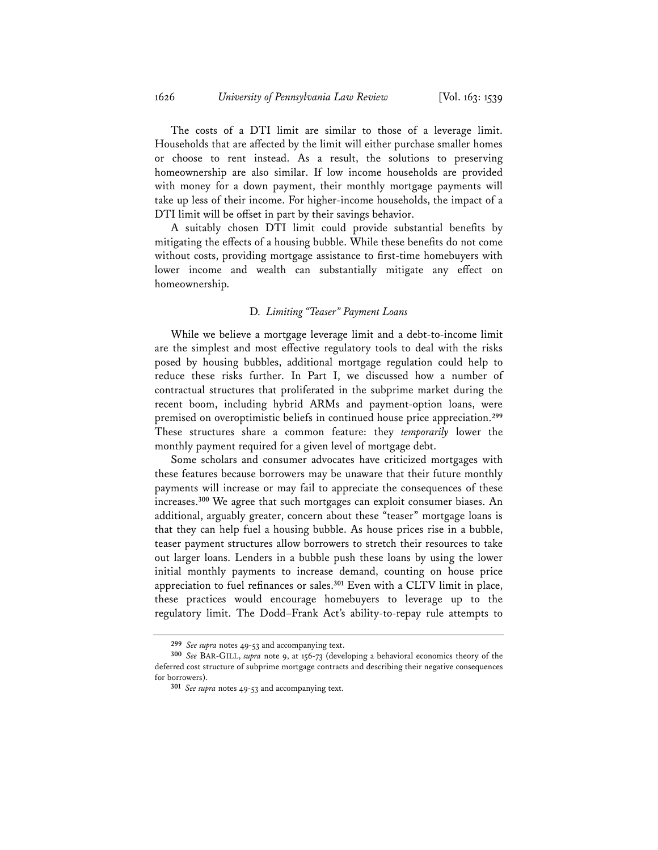The costs of a DTI limit are similar to those of a leverage limit. Households that are affected by the limit will either purchase smaller homes or choose to rent instead. As a result, the solutions to preserving homeownership are also similar. If low income households are provided with money for a down payment, their monthly mortgage payments will take up less of their income. For higher-income households, the impact of a DTI limit will be offset in part by their savings behavior.

A suitably chosen DTI limit could provide substantial benefits by mitigating the effects of a housing bubble. While these benefits do not come without costs, providing mortgage assistance to first-time homebuyers with lower income and wealth can substantially mitigate any effect on homeownership.

# D. *Limiting "Teaser" Payment Loans*

While we believe a mortgage leverage limit and a debt-to-income limit are the simplest and most effective regulatory tools to deal with the risks posed by housing bubbles, additional mortgage regulation could help to reduce these risks further. In Part I, we discussed how a number of contractual structures that proliferated in the subprime market during the recent boom, including hybrid ARMs and payment-option loans, were premised on overoptimistic beliefs in continued house price appreciation.**<sup>299</sup>** These structures share a common feature: they *temporarily* lower the monthly payment required for a given level of mortgage debt.

Some scholars and consumer advocates have criticized mortgages with these features because borrowers may be unaware that their future monthly payments will increase or may fail to appreciate the consequences of these increases.**<sup>300</sup>** We agree that such mortgages can exploit consumer biases. An additional, arguably greater, concern about these "teaser" mortgage loans is that they can help fuel a housing bubble. As house prices rise in a bubble, teaser payment structures allow borrowers to stretch their resources to take out larger loans. Lenders in a bubble push these loans by using the lower initial monthly payments to increase demand, counting on house price appreciation to fuel refinances or sales.**<sup>301</sup>** Even with a CLTV limit in place, these practices would encourage homebuyers to leverage up to the regulatory limit. The Dodd–Frank Act's ability-to-repay rule attempts to

**<sup>299</sup>** *See supra* notes 49-53 and accompanying text.

**<sup>300</sup>** *See* BAR-GILL, *supra* note 9, at 156-73 (developing a behavioral economics theory of the deferred cost structure of subprime mortgage contracts and describing their negative consequences for borrowers).

**<sup>301</sup>** *See supra* notes 49-53 and accompanying text.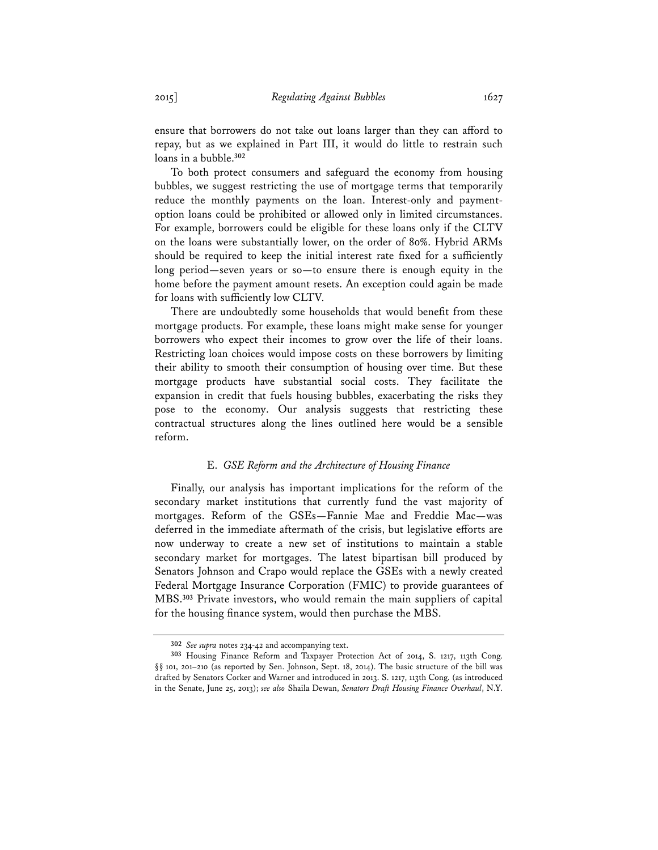ensure that borrowers do not take out loans larger than they can afford to repay, but as we explained in Part III, it would do little to restrain such loans in a bubble.**<sup>302</sup>**

To both protect consumers and safeguard the economy from housing bubbles, we suggest restricting the use of mortgage terms that temporarily reduce the monthly payments on the loan. Interest-only and paymentoption loans could be prohibited or allowed only in limited circumstances. For example, borrowers could be eligible for these loans only if the CLTV on the loans were substantially lower, on the order of 80%. Hybrid ARMs should be required to keep the initial interest rate fixed for a sufficiently long period—seven years or so—to ensure there is enough equity in the home before the payment amount resets. An exception could again be made for loans with sufficiently low CLTV.

There are undoubtedly some households that would benefit from these mortgage products. For example, these loans might make sense for younger borrowers who expect their incomes to grow over the life of their loans. Restricting loan choices would impose costs on these borrowers by limiting their ability to smooth their consumption of housing over time. But these mortgage products have substantial social costs. They facilitate the expansion in credit that fuels housing bubbles, exacerbating the risks they pose to the economy. Our analysis suggests that restricting these contractual structures along the lines outlined here would be a sensible reform.

## E. *GSE Reform and the Architecture of Housing Finance*

Finally, our analysis has important implications for the reform of the secondary market institutions that currently fund the vast majority of mortgages. Reform of the GSEs—Fannie Mae and Freddie Mac—was deferred in the immediate aftermath of the crisis, but legislative efforts are now underway to create a new set of institutions to maintain a stable secondary market for mortgages. The latest bipartisan bill produced by Senators Johnson and Crapo would replace the GSEs with a newly created Federal Mortgage Insurance Corporation (FMIC) to provide guarantees of MBS.**<sup>303</sup>** Private investors, who would remain the main suppliers of capital for the housing finance system, would then purchase the MBS.

**<sup>302</sup>** *See supra* notes 234-42 and accompanying text.

**<sup>303</sup>** Housing Finance Reform and Taxpayer Protection Act of 2014, S. 1217, 113th Cong. §§ 101, 201–210 (as reported by Sen. Johnson, Sept. 18, 2014). The basic structure of the bill was drafted by Senators Corker and Warner and introduced in 2013. S. 1217, 113th Cong. (as introduced in the Senate, June 25, 2013); *see also* Shaila Dewan, *Senators Draft Housing Finance Overhaul*, N.Y.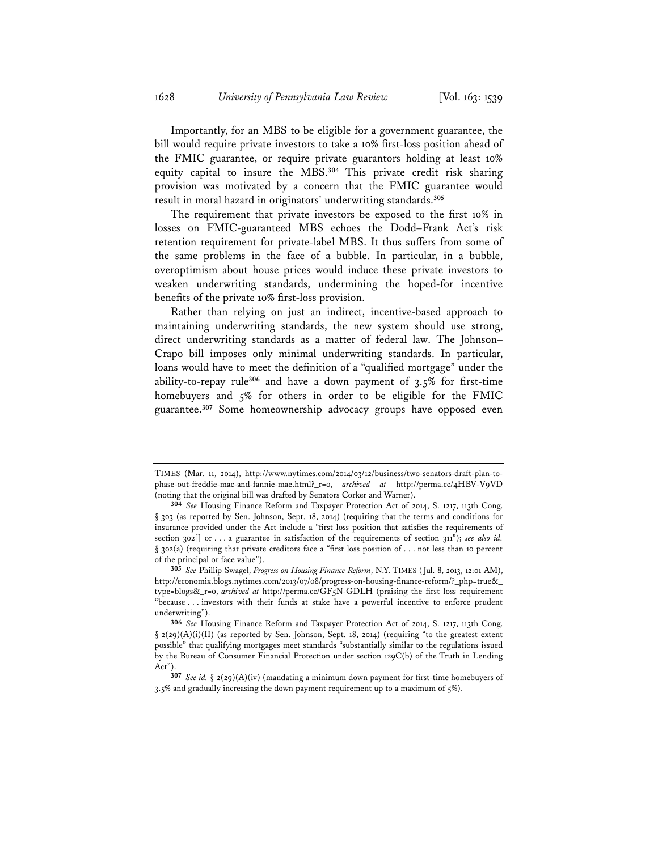Importantly, for an MBS to be eligible for a government guarantee, the bill would require private investors to take a 10% first-loss position ahead of the FMIC guarantee, or require private guarantors holding at least 10% equity capital to insure the MBS.**<sup>304</sup>** This private credit risk sharing provision was motivated by a concern that the FMIC guarantee would result in moral hazard in originators' underwriting standards.**<sup>305</sup>**

The requirement that private investors be exposed to the first 10% in losses on FMIC-guaranteed MBS echoes the Dodd–Frank Act's risk retention requirement for private-label MBS. It thus suffers from some of the same problems in the face of a bubble. In particular, in a bubble, overoptimism about house prices would induce these private investors to weaken underwriting standards, undermining the hoped-for incentive benefits of the private 10% first-loss provision.

Rather than relying on just an indirect, incentive-based approach to maintaining underwriting standards, the new system should use strong, direct underwriting standards as a matter of federal law. The Johnson– Crapo bill imposes only minimal underwriting standards. In particular, loans would have to meet the definition of a "qualified mortgage" under the ability-to-repay rule**<sup>306</sup>** and have a down payment of 3.5% for first-time homebuyers and 5% for others in order to be eligible for the FMIC guarantee.**<sup>307</sup>** Some homeownership advocacy groups have opposed even

TIMES (Mar. 11, 2014), http://www.nytimes.com/2014/03/12/business/two-senators-draft-plan-tophase-out-freddie-mac-and-fannie-mae.html?\_r=0, *archived at* http://perma.cc/4HBV-V9VD (noting that the original bill was drafted by Senators Corker and Warner).

**<sup>304</sup>** *See* Housing Finance Reform and Taxpayer Protection Act of 2014, S. 1217, 113th Cong. § 303 (as reported by Sen. Johnson, Sept. 18, 2014) (requiring that the terms and conditions for insurance provided under the Act include a "first loss position that satisfies the requirements of section 302[] or . . . a guarantee in satisfaction of the requirements of section 311"); *see also id.* § 302(a) (requiring that private creditors face a "first loss position of . . . not less than 10 percent of the principal or face value").

**<sup>305</sup>** *See* Phillip Swagel, *Progress on Housing Finance Reform*, N.Y. TIMES (Jul. 8, 2013, 12:01 AM), http://economix.blogs.nytimes.com/2013/07/08/progress-on-housing-finance-reform/?\_php=true&\_ type=blogs&\_r=0, *archived at* http://perma.cc/GF5N-GDLH (praising the first loss requirement "because . . . investors with their funds at stake have a powerful incentive to enforce prudent underwriting").

**<sup>306</sup>** *See* Housing Finance Reform and Taxpayer Protection Act of 2014, S. 1217, 113th Cong.  $\S$  2(29)(A)(i)(II) (as reported by Sen. Johnson, Sept. 18, 2014) (requiring "to the greatest extent possible" that qualifying mortgages meet standards "substantially similar to the regulations issued by the Bureau of Consumer Financial Protection under section 129C(b) of the Truth in Lending Act").

**<sup>307</sup>** *See id.* § 2(29)(A)(iv) (mandating a minimum down payment for first-time homebuyers of 3.5% and gradually increasing the down payment requirement up to a maximum of 5%).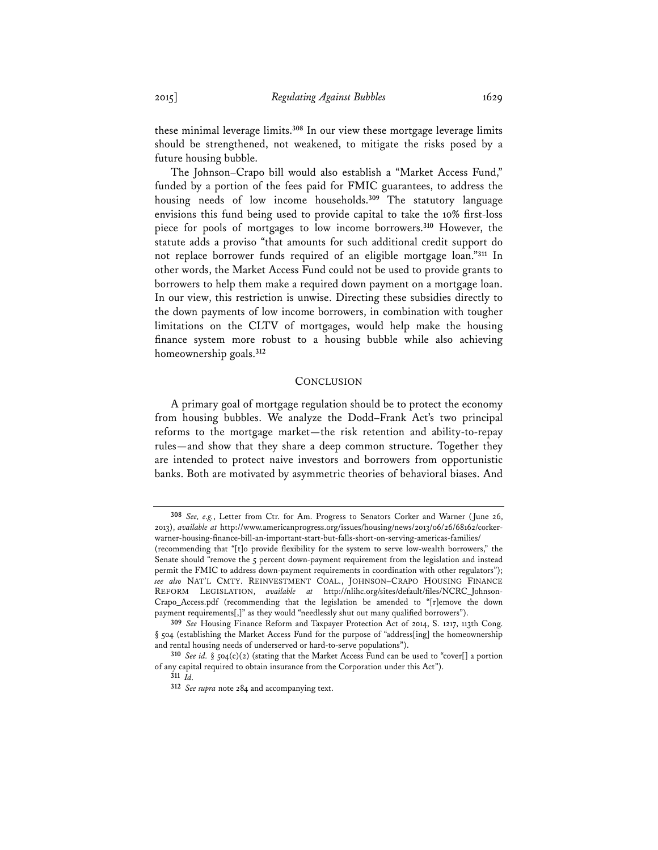these minimal leverage limits.**<sup>308</sup>** In our view these mortgage leverage limits should be strengthened, not weakened, to mitigate the risks posed by a future housing bubble.

The Johnson–Crapo bill would also establish a "Market Access Fund," funded by a portion of the fees paid for FMIC guarantees, to address the housing needs of low income households.**<sup>309</sup>** The statutory language envisions this fund being used to provide capital to take the 10% first-loss piece for pools of mortgages to low income borrowers.**<sup>310</sup>** However, the statute adds a proviso "that amounts for such additional credit support do not replace borrower funds required of an eligible mortgage loan."**<sup>311</sup>** In other words, the Market Access Fund could not be used to provide grants to borrowers to help them make a required down payment on a mortgage loan. In our view, this restriction is unwise. Directing these subsidies directly to the down payments of low income borrowers, in combination with tougher limitations on the CLTV of mortgages, would help make the housing finance system more robust to a housing bubble while also achieving homeownership goals.**<sup>312</sup>**

#### **CONCLUSION**

A primary goal of mortgage regulation should be to protect the economy from housing bubbles. We analyze the Dodd–Frank Act's two principal reforms to the mortgage market—the risk retention and ability-to-repay rules—and show that they share a deep common structure. Together they are intended to protect naive investors and borrowers from opportunistic banks. Both are motivated by asymmetric theories of behavioral biases. And

**<sup>308</sup>** *See, e.g.*, Letter from Ctr. for Am. Progress to Senators Corker and Warner (June 26, 2013), *available at* http://www.americanprogress.org/issues/housing/news/2013/06/26/68162/corkerwarner-housing-finance-bill-an-important-start-but-falls-short-on-serving-americas-families/

<sup>(</sup>recommending that "[t]o provide flexibility for the system to serve low-wealth borrowers," the Senate should "remove the 5 percent down-payment requirement from the legislation and instead permit the FMIC to address down-payment requirements in coordination with other regulators"); *see also* NAT'L CMTY. REINVESTMENT COAL., JOHNSON–CRAPO HOUSING FINANCE REFORM LEGISLATION, *available at* http://nlihc.org/sites/default/files/NCRC\_Johnson-Crapo\_Access.pdf (recommending that the legislation be amended to "[r]emove the down payment requirements[,]" as they would "needlessly shut out many qualified borrowers").

**<sup>309</sup>** *See* Housing Finance Reform and Taxpayer Protection Act of 2014, S. 1217, 113th Cong. § 504 (establishing the Market Access Fund for the purpose of "address[ing] the homeownership and rental housing needs of underserved or hard-to-serve populations").

**<sup>310</sup>** *See id.* § 504(c)(2) (stating that the Market Access Fund can be used to "cover[] a portion of any capital required to obtain insurance from the Corporation under this Act").

**<sup>311</sup>** *Id.*

**<sup>312</sup>** *See supra* note 284 and accompanying text.